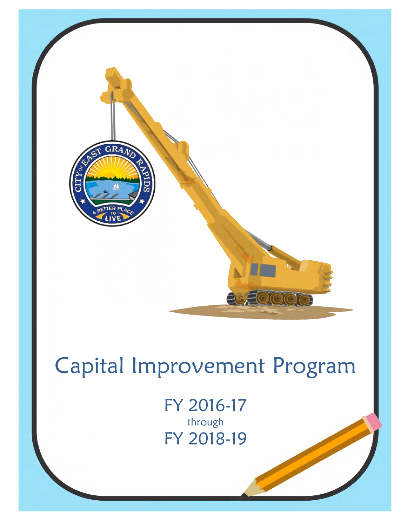

# Capital Improvement Program

FY 2016-17 through FY 2018-19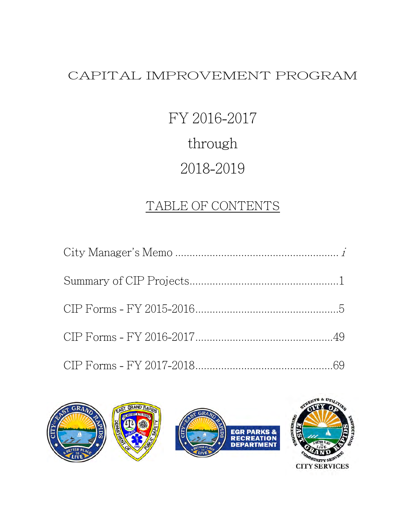#### CAPITAL IMPROVEMENT PROGRAM

# FY 2016-2017 through 2018-2019

#### TABLE OF CONTENTS

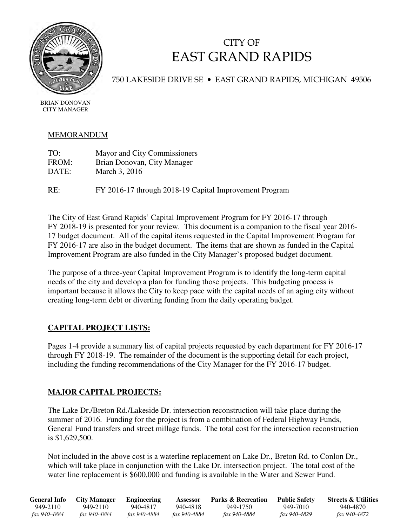

#### CITY OF EAST GRAND RAPIDS

750 LAKESIDE DRIVE SE • EAST GRAND RAPIDS, MICHIGAN 49506

BRIAN DONOVAN CITY MANAGER

#### MEMORANDUM

| TO:   | Mayor and City Commissioners |
|-------|------------------------------|
| FROM: | Brian Donovan, City Manager  |
| DATE: | March 3, 2016                |

RE: FY 2016-17 through 2018-19 Capital Improvement Program

The City of East Grand Rapids' Capital Improvement Program for FY 2016-17 through FY 2018-19 is presented for your review. This document is a companion to the fiscal year 2016- 17 budget document. All of the capital items requested in the Capital Improvement Program for FY 2016-17 are also in the budget document. The items that are shown as funded in the Capital Improvement Program are also funded in the City Manager's proposed budget document.

The purpose of a three-year Capital Improvement Program is to identify the long-term capital needs of the city and develop a plan for funding those projects. This budgeting process is important because it allows the City to keep pace with the capital needs of an aging city without creating long-term debt or diverting funding from the daily operating budget.

#### **CAPITAL PROJECT LISTS:**

Pages 1-4 provide a summary list of capital projects requested by each department for FY 2016-17 through FY 2018-19. The remainder of the document is the supporting detail for each project, including the funding recommendations of the City Manager for the FY 2016-17 budget.

#### **MAJOR CAPITAL PROJECTS:**

The Lake Dr./Breton Rd./Lakeside Dr. intersection reconstruction will take place during the summer of 2016. Funding for the project is from a combination of Federal Highway Funds, General Fund transfers and street millage funds. The total cost for the intersection reconstruction is \$1,629,500.

Not included in the above cost is a waterline replacement on Lake Dr., Breton Rd. to Conlon Dr., which will take place in conjunction with the Lake Dr. intersection project. The total cost of the water line replacement is \$600,000 and funding is available in the Water and Sewer Fund.

| General Info | City Manager | Engineering  | Assessor     | <b>Parks &amp; Recreation</b> | <b>Public Safety</b> | <b>Streets &amp; Utilities</b> |
|--------------|--------------|--------------|--------------|-------------------------------|----------------------|--------------------------------|
| 949-2110     | 949-2110     | 940-4817     | 940-4818     | 949-1750                      | 949-7010             | 940-4870                       |
| fax 940-4884 | fax 940-4884 | fax 940-4884 | fax 940-4884 | fax 940-4884                  | <i>fax 940-4829</i>  | fax 940-4872                   |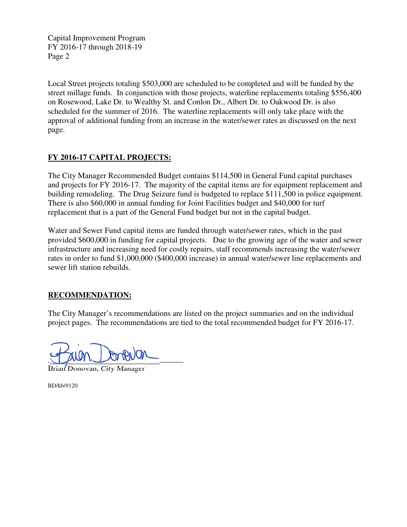Capital Improvement Program FY 2016-17 through 2018-19 Page 2

Local Street projects totaling \$503,000 are scheduled to be completed and will be funded by the street millage funds. In conjunction with those projects, waterline replacements totaling \$556,400 on Rosewood, Lake Dr. to Wealthy St. and Conlon Dr., Albert Dr. to Oakwood Dr. is also scheduled for the summer of 2016. The waterline replacements will only take place with the approval of additional funding from an increase in the water/sewer rates as discussed on the next page.

#### **FY 2016-17 CAPITAL PROJECTS:**

The City Manager Recommended Budget contains \$114,500 in General Fund capital purchases and projects for FY 2016-17. The majority of the capital items are for equipment replacement and building remodeling. The Drug Seizure fund is budgeted to replace \$111,500 in police equipment. There is also \$60,000 in annual funding for Joint Facilities budget and \$40,000 for turf replacement that is a part of the General Fund budget but not in the capital budget.

Water and Sewer Fund capital items are funded through water/sewer rates, which in the past provided \$600,000 in funding for capital projects. Due to the growing age of the water and sewer infrastructure and increasing need for costly repairs, staff recommends increasing the water/sewer rates in order to fund \$1,000,000 (\$400,000 increase) in annual water/sewer line replacements and sewer lift station rebuilds.

#### **RECOMMENDATION:**

The City Manager's recommendations are listed on the project summaries and on the individual project pages. The recommendations are tied to the total recommended budget for FY 2016-17.

 $\frac{1}{\sqrt{2}}$ 

Brian Donovan, City Manager

BD/kb/9120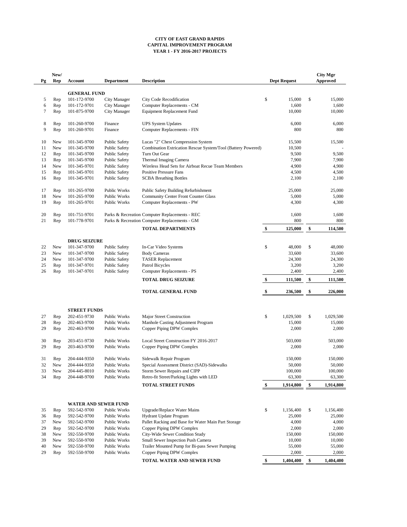|                | New/           |                     |                      |                                                              |        |                     |                           | <b>City Mgr</b> |
|----------------|----------------|---------------------|----------------------|--------------------------------------------------------------|--------|---------------------|---------------------------|-----------------|
| Pg             | Rep            | <b>Account</b>      | <b>Department</b>    | <b>Description</b>                                           |        | <b>Dept Request</b> |                           | <b>Approved</b> |
|                |                | <b>GENERAL FUND</b> |                      |                                                              |        |                     |                           |                 |
| 5              | Rep            | 101-172-9700        | <b>City Manager</b>  | <b>City Code Recodification</b>                              | \$     | 15,000              | $\boldsymbol{\mathsf{S}}$ | 15,000          |
| 6              | Rep            | 101-172-9701        | <b>City Manager</b>  | Computer Replacements - CM                                   |        | 1,600               |                           | 1,600           |
| 7              | Rep            | 101-875-9700        | <b>City Manager</b>  | <b>Equipment Replacement Fund</b>                            |        | 10,000              |                           | 10,000          |
| 8              | Rep            | 101-260-9700        | Finance              | <b>UPS System Updates</b>                                    |        | 6,000               |                           | 6,000           |
| 9              | Rep            | 101-260-9701        | Finance              | <b>Computer Replacements - FIN</b>                           |        | 800                 |                           | 800             |
| 10             | <b>New</b>     | 101-345-9700        | <b>Public Safety</b> | Lucas "2" Chest Compression System                           |        | 15,500              |                           | 15,500          |
| 11             | <b>New</b>     | 101-345-9700        | <b>Public Safety</b> | Combination Extrication Rescue System/Tool (Battery Powered) |        | 10,500              |                           |                 |
| 12             | Rep            | 101-345-9700        | <b>Public Safety</b> | Turn Out Gear                                                |        | 9,500               |                           | 9,500           |
| 13             | Rep            | 101-345-9700        | <b>Public Safety</b> | Thermal Imaging Camera                                       |        | 7,900               |                           | 7,900           |
| 14             | <b>New</b>     | 101-345-9701        | <b>Public Safety</b> | Wireless Head Sets for Airboat Recue Team Members            |        | 4,900               |                           | 4,900           |
| 15             | Rep            | 101-345-9701        | <b>Public Safety</b> | <b>Positive Pressure Fans</b>                                |        | 4,500               |                           | 4,500           |
| 16             | Rep            | 101-345-9701        | <b>Public Safety</b> | <b>SCBA Breathing Bottles</b>                                |        | 2,100               |                           | 2,100           |
| 17             | Rep            | 101-265-9700        | Public Works         | Public Safety Building Refurbishment                         |        | 25,000              |                           | 25,000          |
| 18             | <b>New</b>     | 101-265-9700        | Public Works         | <b>Community Center Front Counter Glass</b>                  |        | 5,000               |                           | 5,000           |
| 19             | Rep            | 101-265-9701        | Public Works         | <b>Computer Replacements - PW</b>                            |        | 4,300               |                           | 4,300           |
| 20             | Rep            | 101-751-9701        |                      | Parks & Recreation Computer Replacements - REC               |        | 1,600               |                           | 1,600           |
| 21             | Rep            | 101-778-9701        |                      | Parks & Recreation Computer Replacements - GM                |        | 800                 |                           | 800             |
|                |                |                     |                      | <b>TOTAL DEPARTMENTS</b>                                     | \$     | 125,000             | \$                        | 114,500         |
|                |                | <b>DRUG SEIZURE</b> |                      |                                                              |        |                     |                           |                 |
| 22             | <b>New</b>     | 101-347-9700        | <b>Public Safety</b> | In-Car Video Systems                                         | $\$\,$ | 48,000              | $\boldsymbol{\mathsf{S}}$ | 48,000          |
| 23             | New            | 101-347-9700        | <b>Public Safety</b> | <b>Body Cameras</b>                                          |        | 33,600              |                           | 33,600          |
| 24             | <b>New</b>     | 101-347-9700        | <b>Public Safety</b> | <b>TASER</b> Replacement                                     |        | 24,300              |                           | 24,300          |
| 25             | Rep            | 101-347-9701        | <b>Public Safety</b> | <b>Patrol Bicycles</b>                                       |        | 3,200               |                           | 3,200           |
| 26             | Rep            | 101-347-9701        | <b>Public Safety</b> | <b>Computer Replacements - PS</b>                            |        | 2,400               |                           | 2,400           |
|                |                |                     |                      | <b>TOTAL DRUG SEIZURE</b>                                    | \$     | 111,500             | \$                        | 111,500         |
|                |                |                     |                      | <b>TOTAL GENERAL FUND</b>                                    |        | 236,500             | \$                        | 226,000         |
|                |                | <b>STREET FUNDS</b> |                      |                                                              |        |                     |                           |                 |
| 27             | Rep            | 202-451-9730        | Public Works         | <b>Major Street Construction</b>                             | $\$\,$ | 1,029,500           | $\boldsymbol{\mathsf{S}}$ | 1,029,500       |
| 28             | Rep            | 202-463-9700        | Public Works         | Manhole Casting Adjustment Program                           |        | 15,000              |                           | 15,000          |
| 29             | Rep            | 202-463-9700        | Public Works         | Copper Piping DPW Complex                                    |        | 2,000               |                           | 2,000           |
| 30             | Rep            | 203-451-9730        | Public Works         | Local Street Construction FY 2016-2017                       |        | 503,000             |                           | 503,000         |
| 29             | Rep            | 203-463-9700        | Public Works         | Copper Piping DPW Complex                                    |        | 2,000               |                           | 2,000           |
| 31             | Rep            | 204-444-9350        | Public Works         | Sidewalk Repair Program                                      |        | 150,000             |                           | 150,000         |
| 32             | <b>New</b>     | 204-444-9350        | Public Works         | Special Assessment District (SAD)-Sidewalks                  |        | 50,000              |                           | 50,000          |
| 33             | <b>New</b>     | 204-445-8010        | Public Works         | <b>Storm Sewer Repairs and CIPP</b>                          |        | 100,000             |                           | 100,000         |
| 2 <sub>1</sub> | $D_{\alpha n}$ | 204 448 0700        | $DuhuhuWuhu$         | Dotro fit Stroot/Dorking Lights with LED                     |        | 62,300              |                           | 62,300          |

| 34 | Rep        | 204-448-9700                | <b>Public Works</b> | Retro-fit Street/Parking Lights with LED            | 63,300          |           | 63,300    |           |
|----|------------|-----------------------------|---------------------|-----------------------------------------------------|-----------------|-----------|-----------|-----------|
|    |            |                             |                     | <b>TOTAL STREET FUNDS</b>                           | 1,914,800<br>\$ |           | 1,914,800 |           |
|    |            |                             |                     |                                                     |                 |           |           |           |
|    |            | <b>WATER AND SEWER FUND</b> |                     |                                                     |                 |           |           |           |
| 35 | Rep        | 592-542-9700                | Public Works        | <b>Upgrade/Replace Water Mains</b>                  | \$              | 1,156,400 | \$.       | 1,156,400 |
| 36 | Rep        | 592-542-9700                | Public Works        | <b>Hydrant Update Program</b>                       |                 | 25,000    |           | 25,000    |
| 37 | <b>New</b> | 592-542-9700                | Public Works        | Pallet Racking and Base for Water Main Part Storage |                 | 4,000     |           | 4,000     |
| 29 | Rep        | 592-542-9700                | Public Works        | Copper Piping DPW Complex                           |                 | 2,000     |           | 2,000     |
| 38 | <b>New</b> | 592-550-9700                | Public Works        | City-Wide Sewer Condition Study                     |                 | 150,000   |           | 150,000   |
| 39 | <b>New</b> | 592-550-9700                | Public Works        | <b>Small Sewer Inspection Push Camera</b>           |                 | 10,000    |           | 10,000    |
| 40 | <b>New</b> | 592-550-9700                | Public Works        | Trailer Mounted Pump for Bi-pass Sewer Pumping      |                 | 55,000    |           | 55,000    |
| 29 | Rep        | 592-550-9700                | <b>Public Works</b> | Copper Piping DPW Complex                           |                 | 2,000     |           | 2,000     |
|    |            |                             |                     | TOTAL WATER AND SEWER FUND                          | \$              | 1,404,400 | \$        | 1,404,400 |

#### **CITY OF EAST GRAND RAPIDS CAPITAL IMPROVEMENT PROGRAM YEAR 1 - FY 2016-2017 PROJECTS**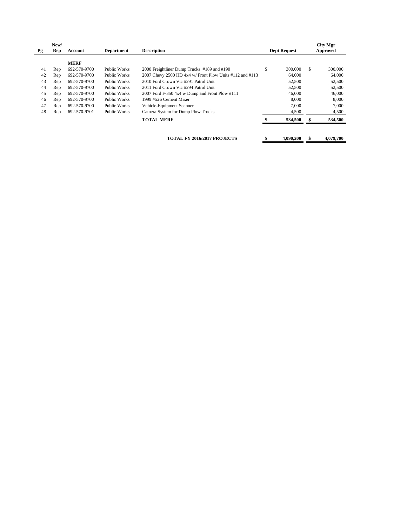| Pg | New/<br>Rep | Account      | <b>Department</b> | <b>Description</b>                                       | <b>Dept Request</b> |     | <b>City Mgr</b><br><b>Approved</b> |
|----|-------------|--------------|-------------------|----------------------------------------------------------|---------------------|-----|------------------------------------|
|    |             | <b>MERF</b>  |                   |                                                          |                     |     |                                    |
| 41 | Rep         | 692-570-9700 | Public Works      | 2000 Freightliner Dump Trucks #189 and #190              | \$<br>300,000       | \$. | 300,000                            |
| 42 | Rep         | 692-570-9700 | Public Works      | 2007 Chevy 2500 HD 4x4 w/ Front Plow Units #112 and #113 | 64,000              |     | 64,000                             |
| 43 | Rep         | 692-570-9700 | Public Works      | 2010 Ford Crown Vic #291 Patrol Unit                     | 52,500              |     | 52,500                             |
| 44 | Rep         | 692-570-9700 | Public Works      | 2011 Ford Crown Vic #294 Patrol Unit                     | 52,500              |     | 52,500                             |
| 45 | Rep         | 692-570-9700 | Public Works      | 2007 Ford F-350 4x4 w Dump and Front Plow $\#111$        | 46,000              |     | 46,000                             |
| 46 | Rep         | 692-570-9700 | Public Works      | 1999 #526 Cement Mixer                                   | 8,000               |     | 8,000                              |
| 47 | Rep         | 692-570-9700 | Public Works      | Vehicle-Equipment Scanner                                | 7,000               |     | 7,000                              |
| 48 | Rep         | 692-570-9701 | Public Works      | Camera System for Dump Plow Trucks                       | 4,500               |     | 4,500                              |
|    |             |              |                   | <b>TOTAL MERF</b>                                        | 534,500             |     | 534,500                            |

**TOTAL FY 2016/2017 PROJECTS \$ 4,090,200 \$ 4,079,700**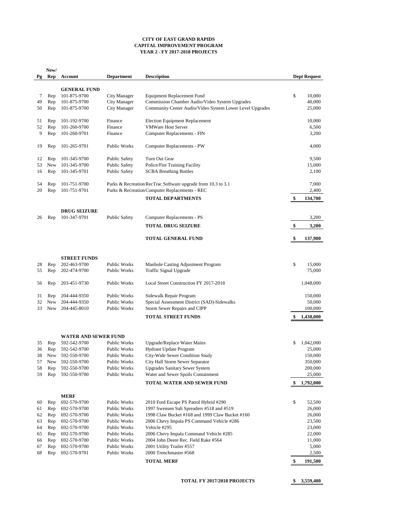|    | New/       |                             |                      |                                                              |    |                     |  |
|----|------------|-----------------------------|----------------------|--------------------------------------------------------------|----|---------------------|--|
| Pg | Rep        | <b>Account</b>              | <b>Department</b>    | <b>Description</b>                                           |    | <b>Dept Request</b> |  |
|    |            |                             |                      |                                                              |    |                     |  |
|    |            | <b>GENERAL FUND</b>         |                      |                                                              |    |                     |  |
| 7  | Rep        | 101-875-9700                | <b>City Manager</b>  | <b>Equipment Replacement Fund</b>                            | \$ | 10,000              |  |
| 49 | Rep        | 101-875-9700                | <b>City Manager</b>  | Commission Chamber Audio/Video System Upgrades               |    | 40,000              |  |
| 50 | Rep        | 101-875-9700                | <b>City Manager</b>  | Community Center Audio/Video System Lower Level Upgrades     |    | 25,000              |  |
|    |            |                             |                      |                                                              |    |                     |  |
| 51 | Rep        | 101-192-9700                | Finance              | <b>Election Equipment Replacement</b>                        |    | 10,000              |  |
| 52 | Rep        | 101-260-9700                | Finance              | <b>VMWare Host Server</b>                                    |    | 6,500               |  |
| 9  | Rep        | 101-260-9701                | Finance              | <b>Computer Replacements - FIN</b>                           |    | 3,200               |  |
|    |            |                             |                      |                                                              |    |                     |  |
| 19 | Rep        | 101-265-9701                | <b>Public Works</b>  | <b>Computer Replacements - PW</b>                            |    | 4,000               |  |
|    |            |                             |                      |                                                              |    |                     |  |
| 12 | Rep        | 101-345-9700                | <b>Public Safety</b> | Turn Out Gear                                                |    | 9,500               |  |
| 53 | <b>New</b> | 101-345-9700                | <b>Public Safety</b> | Police/Fire Training Facility                                |    | 15,000              |  |
| 16 | Rep        | 101-345-9701                | <b>Public Safety</b> | <b>SCBA Breathing Bottles</b>                                |    | 2,100               |  |
|    |            |                             |                      |                                                              |    |                     |  |
| 54 | Rep        | 101-751-9700                |                      | Parks & Recreation RecTrac Software upgrade from 10.3 to 3.1 |    | 7,000               |  |
| 20 | Rep        | 101-751-9701                |                      | Parks & Recreation Computer Replacements - REC               |    | 2,400               |  |
|    |            |                             |                      |                                                              |    |                     |  |
|    |            |                             |                      | <b>TOTAL DEPARTMENTS</b>                                     | \$ | 134,700             |  |
|    |            |                             |                      |                                                              |    |                     |  |
|    |            | <b>DRUG SEIZURE</b>         |                      |                                                              |    |                     |  |
| 26 | Rep        | 101-347-9701                | <b>Public Safety</b> | <b>Computer Replacements - PS</b>                            |    | 3,200               |  |
|    |            |                             |                      | <b>TOTAL DRUG SEIZURE</b>                                    | \$ | 3,200               |  |
|    |            |                             |                      |                                                              |    |                     |  |
|    |            |                             |                      | <b>TOTAL GENERAL FUND</b>                                    |    | 137,900             |  |
|    |            |                             |                      |                                                              |    |                     |  |
|    |            |                             |                      |                                                              |    |                     |  |
|    |            | <b>STREET FUNDS</b>         |                      |                                                              |    |                     |  |
| 28 | Rep        | 202-463-9700                | Public Works         | Manhole Casting Adjustment Program                           | \$ | 15,000              |  |
| 55 | Rep        | 202-474-9700                | Public Works         | <b>Traffic Signal Upgrade</b>                                |    | 75,000              |  |
|    |            |                             |                      |                                                              |    |                     |  |
| 56 | Rep        | 203-451-9730                | Public Works         | Local Street Construction FY 2017-2018                       |    | 1,048,000           |  |
|    |            |                             |                      |                                                              |    |                     |  |
| 31 | Rep        | 204-444-9350                | <b>Public Works</b>  | Sidewalk Repair Program                                      |    | 150,000             |  |
| 32 | <b>New</b> | 204-444-9350                | Public Works         | Special Assessment District (SAD)-Sidewalks                  |    | 50,000              |  |
| 33 | <b>New</b> | 204-445-8010                | <b>Public Works</b>  | <b>Storm Sewer Repairs and CIPP</b>                          |    | 100,000             |  |
|    |            |                             |                      | <b>TOTAL STREET FUNDS</b>                                    |    | 1,438,000           |  |
|    |            |                             |                      |                                                              |    |                     |  |
|    |            |                             |                      |                                                              |    |                     |  |
|    |            | <b>WATER AND SEWER FUND</b> |                      |                                                              |    |                     |  |
|    |            | 592-542-9700                | <b>Public Works</b>  |                                                              |    |                     |  |
| 35 | Rep        |                             |                      | <b>Upgrade/Replace Water Mains</b>                           | \$ | 1,042,000           |  |
| 36 | Rep        | 592-542-9700                | Public Works         | Hydrant Update Program                                       |    | 25,000              |  |
| 38 | <b>New</b> | 592-550-9700                | <b>Public Works</b>  | City-Wide Sewer Condition Study                              |    | 150,000             |  |
| 57 | <b>New</b> | 592-550-9700                | <b>Public Works</b>  | City Hall Storm Sewer Separator                              |    | 350,000             |  |
| 58 | Rep        | 592-550-9700                | Public Works         | <b>Upgrades Sanitary Sewer System</b>                        |    | 200,000             |  |
| 59 | Rep        | 592-550-9700                | Public Works         | Water and Sewer Spoils Containment                           |    | 25,000              |  |

#### **TOTAL WATER AND SEWER FUND \$ 1,792,000**

**MERF**

| 60  | Rep | 692-570-9700 | Public Works        | 2010 Ford Escape PS Patrol Hybrid #290          | 52,500 |         |
|-----|-----|--------------|---------------------|-------------------------------------------------|--------|---------|
| 61  | Rep | 692-570-9700 | <b>Public Works</b> | 1997 Swensen Salt Spreaders #518 and #519       |        | 26,000  |
| 62  | Rep | 692-570-9700 | <b>Public Works</b> | 1998 Claw Bucket #168 and 1999 Claw Bucket #160 |        | 26,000  |
| 63  | Rep | 692-570-9700 | Public Works        | 2006 Chevy Impala PS Command Vehicle #286       |        | 23,500  |
| 64  | Rep | 692-570-9700 | Public Works        | Vehicle #295                                    |        | 23,000  |
| 65  | Rep | 692-570-9700 | <b>Public Works</b> | 2006 Chevy Impala Command Vehicle #285          |        | 22,000  |
| 66  | Rep | 692-570-9700 | Public Works        | 2004 John Deere Rec. Field Rake #564            |        | 11,000  |
| 67  | Rep | 692-570-9700 | <b>Public Works</b> | 2001 Utility Trailer #557                       |        | 5,000   |
| -68 | Rep | 692-570-9701 | <b>Public Works</b> | 2000 Trenchmaster #568                          |        | 2,500   |
|     |     |              |                     | <b>TOTAL MERF</b>                               |        | 191,500 |

#### **TOTAL FY 2017/2018 PROJECTS \$ 3,559,400**

#### **CITY OF EAST GRAND RAPIDS CAPITAL IMPROVEMENT PROGRAM YEAR 2 - FY 2017-2018 PROJECTS**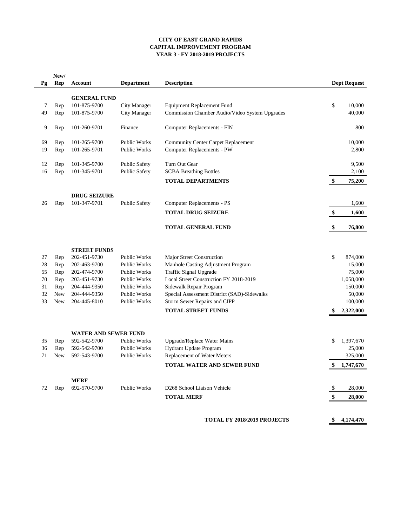#### **CITY OF EAST GRAND RAPIDS CAPITAL IMPROVEMENT PROGRAM YEAR 3 - FY 2018-2019 PROJECTS**

| Pg       | New/<br>Rep | <b>Account</b>               | <b>Department</b>                          | <b>Description</b>                                               |    | <b>Dept Request</b>  |
|----------|-------------|------------------------------|--------------------------------------------|------------------------------------------------------------------|----|----------------------|
|          |             | <b>GENERAL FUND</b>          |                                            |                                                                  |    |                      |
| 7        | Rep         | 101-875-9700                 | <b>City Manager</b>                        | <b>Equipment Replacement Fund</b>                                | \$ | 10,000               |
| 49       | Rep         | 101-875-9700                 | <b>City Manager</b>                        | Commission Chamber Audio/Video System Upgrades                   |    | 40,000               |
|          |             |                              |                                            |                                                                  |    |                      |
| 9        | Rep         | 101-260-9701                 | Finance                                    | <b>Computer Replacements - FIN</b>                               |    | 800                  |
| 69       | Rep         | 101-265-9700                 | <b>Public Works</b>                        | <b>Community Center Carpet Replacement</b>                       |    | 10,000               |
| 19       | Rep         | 101-265-9701                 | Public Works                               | <b>Computer Replacements - PW</b>                                |    | 2,800                |
| 12       | Rep         | 101-345-9700                 | <b>Public Safety</b>                       | Turn Out Gear                                                    |    | 9,500                |
| 16       | Rep         | 101-345-9701                 | <b>Public Safety</b>                       | <b>SCBA Breathing Bottles</b>                                    |    | 2,100                |
|          |             |                              |                                            | <b>TOTAL DEPARTMENTS</b>                                         | \$ | 75,200               |
|          |             | <b>DRUG SEIZURE</b>          |                                            |                                                                  |    |                      |
| 26       | Rep         | 101-347-9701                 | <b>Public Safety</b>                       | <b>Computer Replacements - PS</b>                                |    | 1,600                |
|          |             |                              |                                            | <b>TOTAL DRUG SEIZURE</b>                                        | \$ | 1,600                |
|          |             |                              |                                            | <b>TOTAL GENERAL FUND</b>                                        |    | 76,800               |
|          |             |                              |                                            |                                                                  |    |                      |
|          |             | <b>STREET FUNDS</b>          |                                            |                                                                  |    |                      |
| 27<br>28 | Rep         | 202-451-9730<br>202-463-9700 | <b>Public Works</b><br><b>Public Works</b> | Major Street Construction<br>Manhole Casting Adjustment Program  | \$ | 874,000<br>15,000    |
| 55       | Rep<br>Rep  | 202-474-9700                 | <b>Public Works</b>                        | <b>Traffic Signal Upgrade</b>                                    |    | 75,000               |
| 70       | Rep         | 203-451-9730                 | <b>Public Works</b>                        | Local Street Construction FY 2018-2019                           |    | 1,058,000            |
| 31       | Rep         | 204-444-9350                 | <b>Public Works</b>                        | Sidewalk Repair Program                                          |    | 150,000              |
| 32       | <b>New</b>  | 204-444-9350                 | Public Works                               | Special Assessment District (SAD)-Sidewalks                      |    | 50,000               |
| 33       | <b>New</b>  | 204-445-8010                 | Public Works                               | Storm Sewer Repairs and CIPP                                     |    | 100,000              |
|          |             |                              |                                            | <b>TOTAL STREET FUNDS</b>                                        | S, | 2,322,000            |
|          |             |                              |                                            |                                                                  |    |                      |
|          |             | <b>WATER AND SEWER FUND</b>  |                                            |                                                                  |    |                      |
| 35       | Rep         | 592-542-9700                 | <b>Public Works</b>                        | <b>Upgrade/Replace Water Mains</b>                               | \$ | 1,397,670            |
| 36<br>71 | Rep         | 592-542-9700<br>592-543-9700 | <b>Public Works</b><br><b>Public Works</b> | Hydrant Update Program                                           |    | 25,000               |
|          | <b>New</b>  |                              |                                            | Replacement of Water Meters<br><b>TOTAL WATER AND SEWER FUND</b> | \$ | 325,000<br>1,747,670 |
|          |             |                              |                                            |                                                                  |    |                      |
|          |             | <b>MERF</b>                  |                                            |                                                                  |    |                      |
| 72       | Rep         | 692-570-9700                 | <b>Public Works</b>                        | D268 School Liaison Vehicle                                      | \$ | 28,000               |
|          |             |                              |                                            | <b>TOTAL MERF</b>                                                | S  | 28,000               |
|          |             |                              |                                            |                                                                  |    |                      |
|          |             |                              |                                            | <b>TOTAL FY 2018/2019 PROJECTS</b>                               |    | 4,174,470            |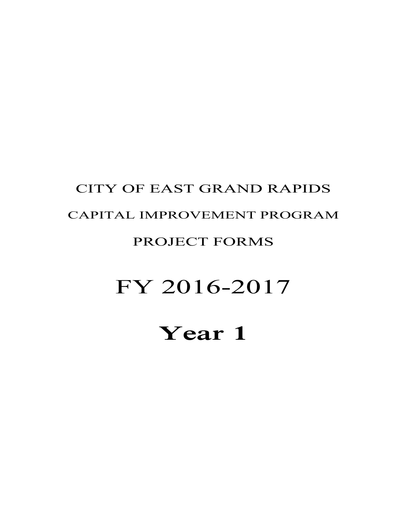# **Year 1**

# FY 2016-2017

#### PROJECT FORMS

## CAPITAL IMPROVEMENT PROGRAM

CITY OF EAST GRAND RAPIDS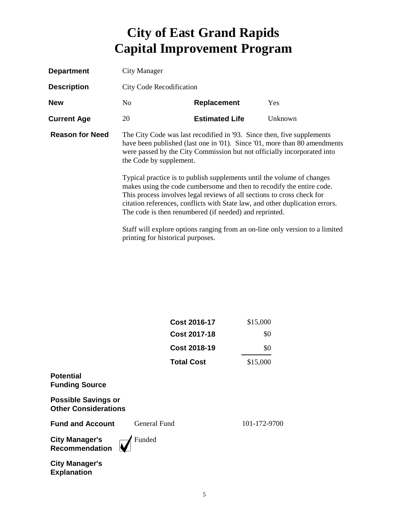| <b>Department</b>      | City Manager                                                 |                                                                                                                                                                                                                                                                                                                                                                                                                                                                                                                          |                                                                                                                                                           |  |  |
|------------------------|--------------------------------------------------------------|--------------------------------------------------------------------------------------------------------------------------------------------------------------------------------------------------------------------------------------------------------------------------------------------------------------------------------------------------------------------------------------------------------------------------------------------------------------------------------------------------------------------------|-----------------------------------------------------------------------------------------------------------------------------------------------------------|--|--|
| <b>Description</b>     | <b>City Code Recodification</b>                              |                                                                                                                                                                                                                                                                                                                                                                                                                                                                                                                          |                                                                                                                                                           |  |  |
| <b>New</b>             | No.                                                          | <b>Replacement</b>                                                                                                                                                                                                                                                                                                                                                                                                                                                                                                       | Yes                                                                                                                                                       |  |  |
| <b>Current Age</b>     | 20                                                           | <b>Estimated Life</b>                                                                                                                                                                                                                                                                                                                                                                                                                                                                                                    | Unknown                                                                                                                                                   |  |  |
| <b>Reason for Need</b> | the Code by supplement.<br>printing for historical purposes. | The City Code was last recodified in '93. Since then, five supplements<br>were passed by the City Commission but not officially incorporated into<br>Typical practice is to publish supplements until the volume of changes<br>makes using the code cumbersome and then to recodify the entire code.<br>This process involves legal reviews of all sections to cross check for<br>citation references, conflicts with State law, and other duplication errors.<br>The code is then renumbered (if needed) and reprinted. | have been published (last one in '01). Since '01, more than 80 amendments<br>Staff will explore options ranging from an on-line only version to a limited |  |  |

|                                                           | <b>Cost 2016-17</b> | \$15,000     |
|-----------------------------------------------------------|---------------------|--------------|
|                                                           | Cost 2017-18        | \$0          |
|                                                           | <b>Cost 2018-19</b> | \$0          |
|                                                           | <b>Total Cost</b>   | \$15,000     |
| <b>Potential</b><br><b>Funding Source</b>                 |                     |              |
| <b>Possible Savings or</b><br><b>Other Considerations</b> |                     |              |
| <b>Fund and Account</b>                                   | General Fund        | 101-172-9700 |
| <b>City Manager's</b><br><b>Recommendation</b>            | Funded              |              |
| <b>City Manager's</b><br><b>Explanation</b>               |                     |              |

5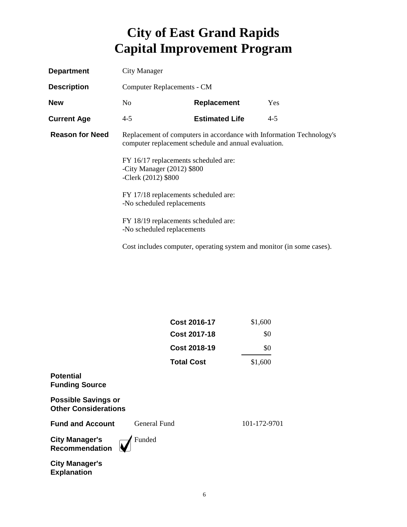| <b>Department</b>      | City Manager                                                                                                                 |                                                                       |         |  |  |  |
|------------------------|------------------------------------------------------------------------------------------------------------------------------|-----------------------------------------------------------------------|---------|--|--|--|
| <b>Description</b>     | Computer Replacements - CM                                                                                                   |                                                                       |         |  |  |  |
| <b>New</b>             | No                                                                                                                           | <b>Replacement</b>                                                    | Yes     |  |  |  |
| <b>Current Age</b>     | $4 - 5$                                                                                                                      | <b>Estimated Life</b>                                                 | $4 - 5$ |  |  |  |
| <b>Reason for Need</b> | Replacement of computers in accordance with Information Technology's<br>computer replacement schedule and annual evaluation. |                                                                       |         |  |  |  |
|                        | FY 16/17 replacements scheduled are:<br>-City Manager (2012) \$800<br>-Clerk (2012) \$800                                    |                                                                       |         |  |  |  |
|                        | FY 17/18 replacements scheduled are:<br>-No scheduled replacements                                                           |                                                                       |         |  |  |  |
|                        | FY 18/19 replacements scheduled are:<br>-No scheduled replacements                                                           |                                                                       |         |  |  |  |
|                        |                                                                                                                              | Cost includes computer, operating system and monitor (in some cases). |         |  |  |  |

|                                                           | <b>Cost 2017-18</b> | \$0          |
|-----------------------------------------------------------|---------------------|--------------|
|                                                           | <b>Cost 2018-19</b> | \$0          |
|                                                           | <b>Total Cost</b>   | \$1,600      |
| <b>Potential</b><br><b>Funding Source</b>                 |                     |              |
| <b>Possible Savings or</b><br><b>Other Considerations</b> |                     |              |
| <b>Fund and Account</b>                                   | General Fund        | 101-172-9701 |
| <b>City Manager's</b><br><b>Recommendation</b>            | Funded              |              |
| <b>City Manager's</b><br><b>Explanation</b>               |                     |              |

**Cost 2016-17** \$1,600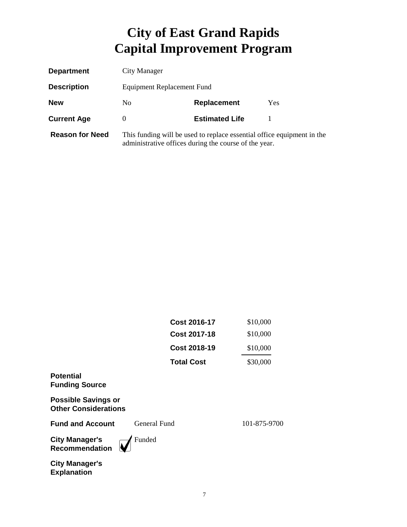| <b>Department</b>      | City Manager               |                                                                                                                                 |     |
|------------------------|----------------------------|---------------------------------------------------------------------------------------------------------------------------------|-----|
| <b>Description</b>     | Equipment Replacement Fund |                                                                                                                                 |     |
| <b>New</b>             | No.                        | <b>Replacement</b>                                                                                                              | Yes |
| <b>Current Age</b>     | $\Omega$                   | <b>Estimated Life</b>                                                                                                           |     |
| <b>Reason for Need</b> |                            | This funding will be used to replace essential office equipment in the<br>administrative offices during the course of the year. |     |

|                                                           | <b>Cost 2016-17</b> | \$10,000     |
|-----------------------------------------------------------|---------------------|--------------|
|                                                           | <b>Cost 2017-18</b> | \$10,000     |
|                                                           | <b>Cost 2018-19</b> | \$10,000     |
|                                                           | <b>Total Cost</b>   | \$30,000     |
| <b>Potential</b><br><b>Funding Source</b>                 |                     |              |
| <b>Possible Savings or</b><br><b>Other Considerations</b> |                     |              |
| <b>Fund and Account</b>                                   | General Fund        | 101-875-9700 |
| <b>City Manager's</b><br>Recommendation                   | Funded              |              |
| <b>City Manager's</b><br><b>Explanation</b>               |                     |              |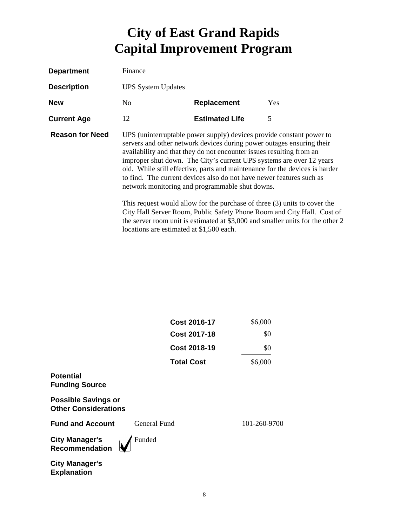| <b>Department</b>      | Finance                                                                                                                                                                                                                                                                                                                                                                                                                                                                                                                                                                                                                                                                                                                                            |                       |     |
|------------------------|----------------------------------------------------------------------------------------------------------------------------------------------------------------------------------------------------------------------------------------------------------------------------------------------------------------------------------------------------------------------------------------------------------------------------------------------------------------------------------------------------------------------------------------------------------------------------------------------------------------------------------------------------------------------------------------------------------------------------------------------------|-----------------------|-----|
| <b>Description</b>     | <b>UPS System Updates</b>                                                                                                                                                                                                                                                                                                                                                                                                                                                                                                                                                                                                                                                                                                                          |                       |     |
| <b>New</b>             | N <sub>0</sub>                                                                                                                                                                                                                                                                                                                                                                                                                                                                                                                                                                                                                                                                                                                                     | <b>Replacement</b>    | Yes |
| <b>Current Age</b>     | 12                                                                                                                                                                                                                                                                                                                                                                                                                                                                                                                                                                                                                                                                                                                                                 | <b>Estimated Life</b> | 5   |
| <b>Reason for Need</b> | UPS (uninterruptable power supply) devices provide constant power to<br>servers and other network devices during power outages ensuring their<br>availability and that they do not encounter issues resulting from an<br>improper shut down. The City's current UPS systems are over 12 years<br>old. While still effective, parts and maintenance for the devices is harder<br>to find. The current devices also do not have newer features such as<br>network monitoring and programmable shut downs.<br>This request would allow for the purchase of three $(3)$ units to cover the<br>City Hall Server Room, Public Safety Phone Room and City Hall. Cost of<br>the server room unit is estimated at \$3,000 and smaller units for the other 2 |                       |     |

locations are estimated at \$1,500 each.

|                                                           | <b>Cost 2016-17</b> | \$6,000      |
|-----------------------------------------------------------|---------------------|--------------|
|                                                           | <b>Cost 2017-18</b> | \$0          |
|                                                           | <b>Cost 2018-19</b> | \$0          |
|                                                           | <b>Total Cost</b>   | \$6,000      |
| <b>Potential</b><br><b>Funding Source</b>                 |                     |              |
| <b>Possible Savings or</b><br><b>Other Considerations</b> |                     |              |
| <b>Fund and Account</b>                                   | General Fund        | 101-260-9700 |
| <b>City Manager's</b><br>Recommendation                   | Funded              |              |
| <b>City Manager's</b><br><b>Explanation</b>               |                     |              |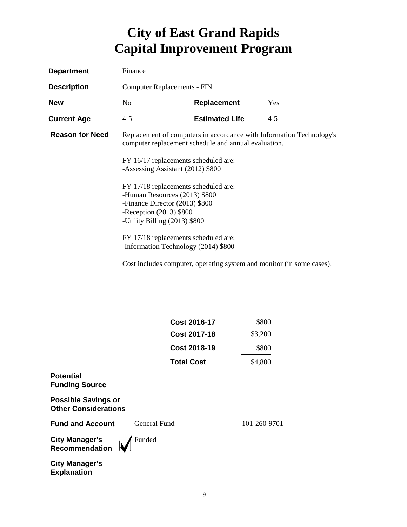| <b>Department</b>      | Finance                                                                                                                                                                                                                                                                                                                            |                                                                                                                              |            |
|------------------------|------------------------------------------------------------------------------------------------------------------------------------------------------------------------------------------------------------------------------------------------------------------------------------------------------------------------------------|------------------------------------------------------------------------------------------------------------------------------|------------|
| <b>Description</b>     | <b>Computer Replacements - FIN</b>                                                                                                                                                                                                                                                                                                 |                                                                                                                              |            |
| <b>New</b>             | N <sub>0</sub>                                                                                                                                                                                                                                                                                                                     | Replacement                                                                                                                  | <b>Yes</b> |
| <b>Current Age</b>     | $4 - 5$                                                                                                                                                                                                                                                                                                                            | <b>Estimated Life</b>                                                                                                        | $4 - 5$    |
| <b>Reason for Need</b> | FY 16/17 replacements scheduled are:<br>-Assessing Assistant (2012) \$800<br>FY 17/18 replacements scheduled are:<br>-Human Resources (2013) \$800<br>-Finance Director (2013) \$800<br>-Reception $(2013)$ \$800<br>-Utility Billing (2013) \$800<br>FY 17/18 replacements scheduled are:<br>-Information Technology (2014) \$800 | Replacement of computers in accordance with Information Technology's<br>computer replacement schedule and annual evaluation. |            |

Cost includes computer, operating system and monitor (in some cases).

| Cost 2016-17        | \$800   |
|---------------------|---------|
| <b>Cost 2017-18</b> | \$3,200 |
| <b>Cost 2018-19</b> | \$800   |
| <b>Total Cost</b>   | \$4,800 |

#### **Potential Funding Source**

**Possible Savings or Other Considerations**

**Fund and Account** General Fund 101-260-9701

**City Manager's Recommendation** Funded

**City Manager's Explanation**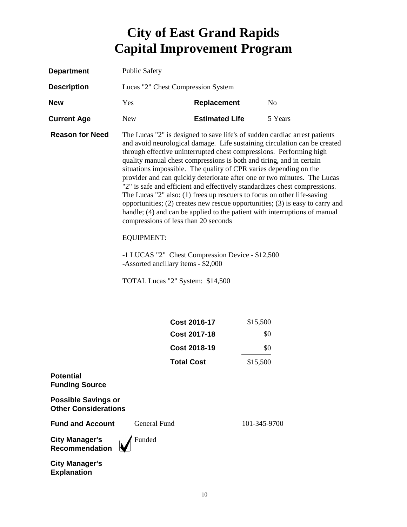| <b>Department</b>                                         | <b>Public Safety</b>                                                                                                                                                                                                                                                                                                                                                                                                                                                                                                                                                                                                                                                                                                                                                                                                    |                       |              |
|-----------------------------------------------------------|-------------------------------------------------------------------------------------------------------------------------------------------------------------------------------------------------------------------------------------------------------------------------------------------------------------------------------------------------------------------------------------------------------------------------------------------------------------------------------------------------------------------------------------------------------------------------------------------------------------------------------------------------------------------------------------------------------------------------------------------------------------------------------------------------------------------------|-----------------------|--------------|
| <b>Description</b>                                        | Lucas "2" Chest Compression System                                                                                                                                                                                                                                                                                                                                                                                                                                                                                                                                                                                                                                                                                                                                                                                      |                       |              |
| <b>New</b>                                                | Yes                                                                                                                                                                                                                                                                                                                                                                                                                                                                                                                                                                                                                                                                                                                                                                                                                     | Replacement           | No           |
| <b>Current Age</b>                                        | <b>New</b>                                                                                                                                                                                                                                                                                                                                                                                                                                                                                                                                                                                                                                                                                                                                                                                                              | <b>Estimated Life</b> | 5 Years      |
| <b>Reason for Need</b>                                    | The Lucas "2" is designed to save life's of sudden cardiac arrest patients<br>and avoid neurological damage. Life sustaining circulation can be created<br>through effective uninterrupted chest compressions. Performing high<br>quality manual chest compressions is both and tiring, and in certain<br>situations impossible. The quality of CPR varies depending on the<br>provider and can quickly deteriorate after one or two minutes. The Lucas<br>"2" is safe and efficient and effectively standardizes chest compressions.<br>The Lucas "2" also: (1) frees up rescuers to focus on other life-saving<br>opportunities; (2) creates new rescue opportunities; (3) is easy to carry and<br>handle; (4) and can be applied to the patient with interruptions of manual<br>compressions of less than 20 seconds |                       |              |
|                                                           | <b>EQUIPMENT:</b>                                                                                                                                                                                                                                                                                                                                                                                                                                                                                                                                                                                                                                                                                                                                                                                                       |                       |              |
|                                                           | -1 LUCAS "2" Chest Compression Device - \$12,500<br>-Assorted ancillary items - \$2,000                                                                                                                                                                                                                                                                                                                                                                                                                                                                                                                                                                                                                                                                                                                                 |                       |              |
|                                                           | TOTAL Lucas "2" System: \$14,500                                                                                                                                                                                                                                                                                                                                                                                                                                                                                                                                                                                                                                                                                                                                                                                        |                       |              |
|                                                           |                                                                                                                                                                                                                                                                                                                                                                                                                                                                                                                                                                                                                                                                                                                                                                                                                         |                       |              |
|                                                           |                                                                                                                                                                                                                                                                                                                                                                                                                                                                                                                                                                                                                                                                                                                                                                                                                         | Cost 2016-17          | \$15,500     |
|                                                           |                                                                                                                                                                                                                                                                                                                                                                                                                                                                                                                                                                                                                                                                                                                                                                                                                         | <b>Cost 2017-18</b>   | \$0          |
|                                                           |                                                                                                                                                                                                                                                                                                                                                                                                                                                                                                                                                                                                                                                                                                                                                                                                                         | <b>Cost 2018-19</b>   | \$0          |
|                                                           | Total Cost                                                                                                                                                                                                                                                                                                                                                                                                                                                                                                                                                                                                                                                                                                                                                                                                              |                       | \$15,500     |
| <b>Potential</b><br><b>Funding Source</b>                 |                                                                                                                                                                                                                                                                                                                                                                                                                                                                                                                                                                                                                                                                                                                                                                                                                         |                       |              |
| <b>Possible Savings or</b><br><b>Other Considerations</b> |                                                                                                                                                                                                                                                                                                                                                                                                                                                                                                                                                                                                                                                                                                                                                                                                                         |                       |              |
| <b>Fund and Account</b>                                   | <b>General Fund</b>                                                                                                                                                                                                                                                                                                                                                                                                                                                                                                                                                                                                                                                                                                                                                                                                     |                       | 101-345-9700 |
| <b>City Manager's</b><br><b>Recommendation</b>            | Funded                                                                                                                                                                                                                                                                                                                                                                                                                                                                                                                                                                                                                                                                                                                                                                                                                  |                       |              |
| <b>City Manager's</b>                                     |                                                                                                                                                                                                                                                                                                                                                                                                                                                                                                                                                                                                                                                                                                                                                                                                                         |                       |              |

**Explanation**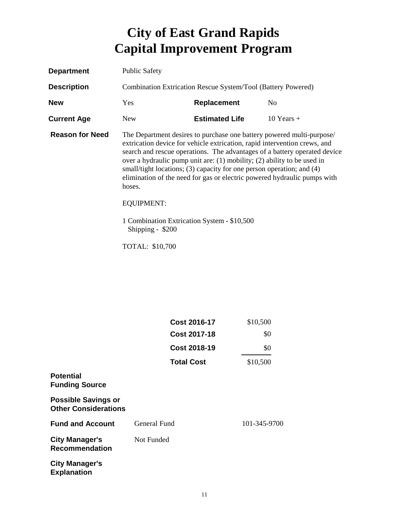| <b>Department</b>      | <b>Public Safety</b>                                                                            |                                                                                                                                                                                                                                                                                                                                                                                        |                                                                           |
|------------------------|-------------------------------------------------------------------------------------------------|----------------------------------------------------------------------------------------------------------------------------------------------------------------------------------------------------------------------------------------------------------------------------------------------------------------------------------------------------------------------------------------|---------------------------------------------------------------------------|
| <b>Description</b>     | Combination Extrication Rescue System/Tool (Battery Powered)                                    |                                                                                                                                                                                                                                                                                                                                                                                        |                                                                           |
| <b>New</b>             | <b>Yes</b>                                                                                      | <b>Replacement</b>                                                                                                                                                                                                                                                                                                                                                                     | N <sub>o</sub>                                                            |
| <b>Current Age</b>     | <b>New</b>                                                                                      | <b>Estimated Life</b>                                                                                                                                                                                                                                                                                                                                                                  | $10$ Years $+$                                                            |
| <b>Reason for Need</b> | hoses.<br><b>EQUIPMENT:</b><br>1 Combination Extrication System - \$10,500<br>Shipping - $$200$ | The Department desires to purchase one battery powered multi-purpose/<br>extrication device for vehicle extrication, rapid intervention crews, and<br>over a hydraulic pump unit are: $(1)$ mobility; $(2)$ ability to be used in<br>small/tight locations; (3) capacity for one person operation; and (4)<br>elimination of the need for gas or electric powered hydraulic pumps with | search and rescue operations. The advantages of a battery operated device |
|                        | TOTAL: \$10,700                                                                                 |                                                                                                                                                                                                                                                                                                                                                                                        |                                                                           |

|                                                           | <b>Cost 2016-17</b> | \$10,500     |
|-----------------------------------------------------------|---------------------|--------------|
|                                                           | Cost 2017-18        | \$0          |
|                                                           | <b>Cost 2018-19</b> | \$0          |
|                                                           | <b>Total Cost</b>   | \$10,500     |
| <b>Potential</b><br><b>Funding Source</b>                 |                     |              |
| <b>Possible Savings or</b><br><b>Other Considerations</b> |                     |              |
| <b>Fund and Account</b>                                   | General Fund        | 101-345-9700 |
| <b>City Manager's</b><br><b>Recommendation</b>            | Not Funded          |              |
| <b>City Manager's</b><br><b>Explanation</b>               |                     |              |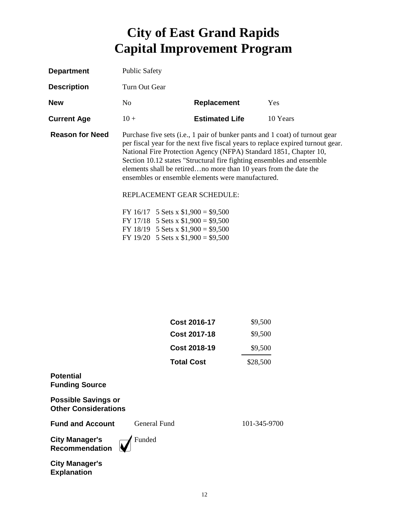| <b>Department</b>      | <b>Public Safety</b>                                                                                                                                                                                                                                                                                                                                                                                                                                                 |                       |          |
|------------------------|----------------------------------------------------------------------------------------------------------------------------------------------------------------------------------------------------------------------------------------------------------------------------------------------------------------------------------------------------------------------------------------------------------------------------------------------------------------------|-----------------------|----------|
| <b>Description</b>     | Turn Out Gear                                                                                                                                                                                                                                                                                                                                                                                                                                                        |                       |          |
| <b>New</b>             | N <sub>0</sub>                                                                                                                                                                                                                                                                                                                                                                                                                                                       | Replacement           | Yes      |
| <b>Current Age</b>     | $10 +$                                                                                                                                                                                                                                                                                                                                                                                                                                                               | <b>Estimated Life</b> | 10 Years |
| <b>Reason for Need</b> | Purchase five sets (i.e., 1 pair of bunker pants and 1 coat) of turnout gear<br>per fiscal year for the next five fiscal years to replace expired turnout gear.<br>National Fire Protection Agency (NFPA) Standard 1851, Chapter 10,<br>Section 10.12 states "Structural fire fighting ensembles and ensemble<br>elements shall be retiredno more than 10 years from the date the<br>ensembles or ensemble elements were manufactured.<br>REPLACEMENT GEAR SCHEDULE: |                       |          |
|                        | FY 16/17 5 Sets x $$1,900 = $9,500$<br>FY 17/18 5 Sets x $$1,900 = $9,500$<br>FY 18/19 5 Sets x $$1,900 = $9,500$                                                                                                                                                                                                                                                                                                                                                    |                       |          |

|                                                           | Cost 2016-17        | \$9,500      |
|-----------------------------------------------------------|---------------------|--------------|
|                                                           | <b>Cost 2017-18</b> | \$9,500      |
|                                                           | <b>Cost 2018-19</b> | \$9,500      |
|                                                           | <b>Total Cost</b>   | \$28,500     |
| <b>Potential</b><br><b>Funding Source</b>                 |                     |              |
| <b>Possible Savings or</b><br><b>Other Considerations</b> |                     |              |
| <b>Fund and Account</b>                                   | General Fund        | 101-345-9700 |
| <b>City Manager's</b><br><b>Recommendation</b>            | Funded              |              |
| <b>City Manager's</b>                                     |                     |              |

**Explanation**

FY 19/20 5 Sets x  $$1,900 = $9,500$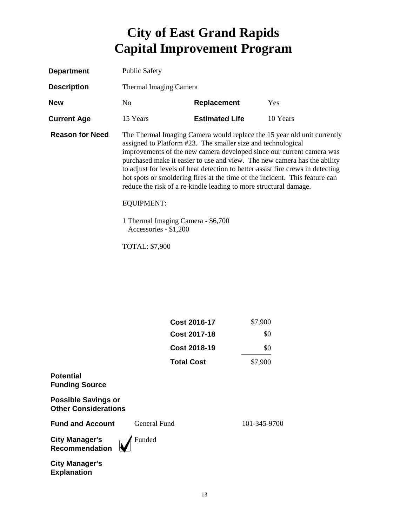| <b>Department</b>      | <b>Public Safety</b>                                                                                      |                                                                                                                                                                                                                                                                                                                                                                                                                                                          |                                                                         |
|------------------------|-----------------------------------------------------------------------------------------------------------|----------------------------------------------------------------------------------------------------------------------------------------------------------------------------------------------------------------------------------------------------------------------------------------------------------------------------------------------------------------------------------------------------------------------------------------------------------|-------------------------------------------------------------------------|
| <b>Description</b>     | Thermal Imaging Camera                                                                                    |                                                                                                                                                                                                                                                                                                                                                                                                                                                          |                                                                         |
| <b>New</b>             | No.                                                                                                       | <b>Replacement</b>                                                                                                                                                                                                                                                                                                                                                                                                                                       | Yes                                                                     |
| <b>Current Age</b>     | 15 Years                                                                                                  | <b>Estimated Life</b>                                                                                                                                                                                                                                                                                                                                                                                                                                    | 10 Years                                                                |
| <b>Reason for Need</b> | <b>EQUIPMENT:</b><br>1 Thermal Imaging Camera - \$6,700<br>Accessories - \$1,200<br><b>TOTAL: \$7,900</b> | assigned to Platform #23. The smaller size and technological<br>improvements of the new camera developed since our current camera was<br>purchased make it easier to use and view. The new camera has the ability<br>to adjust for levels of heat detection to better assist fire crews in detecting<br>hot spots or smoldering fires at the time of the incident. This feature can<br>reduce the risk of a re-kindle leading to more structural damage. | The Thermal Imaging Camera would replace the 15 year old unit currently |

|                                                           | <b>Cost 2016-17</b> | \$7,900      |
|-----------------------------------------------------------|---------------------|--------------|
|                                                           | <b>Cost 2017-18</b> | \$0          |
|                                                           | <b>Cost 2018-19</b> | \$0          |
|                                                           | <b>Total Cost</b>   | \$7,900      |
| <b>Potential</b><br><b>Funding Source</b>                 |                     |              |
| <b>Possible Savings or</b><br><b>Other Considerations</b> |                     |              |
| <b>Fund and Account</b>                                   | General Fund        | 101-345-9700 |
| <b>City Manager's</b><br>Recommendation                   | Funded              |              |
| <b>City Manager's</b><br><b>Explanation</b>               |                     |              |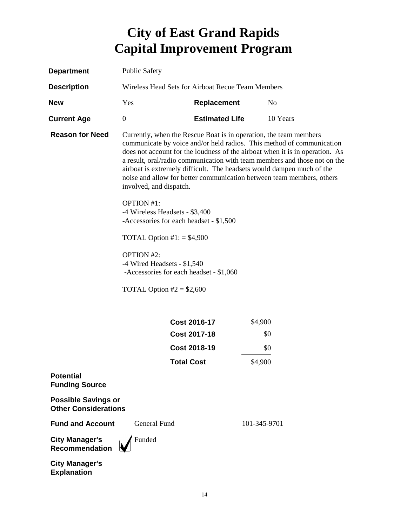| <b>Department</b>                                         | <b>Public Safety</b>                                                                                                                                                                                                                                                                                                                                                                                                                                                                 |                       |              |
|-----------------------------------------------------------|--------------------------------------------------------------------------------------------------------------------------------------------------------------------------------------------------------------------------------------------------------------------------------------------------------------------------------------------------------------------------------------------------------------------------------------------------------------------------------------|-----------------------|--------------|
| <b>Description</b>                                        | Wireless Head Sets for Airboat Recue Team Members                                                                                                                                                                                                                                                                                                                                                                                                                                    |                       |              |
| <b>New</b>                                                | Yes                                                                                                                                                                                                                                                                                                                                                                                                                                                                                  | <b>Replacement</b>    | No           |
| <b>Current Age</b>                                        | $\boldsymbol{0}$                                                                                                                                                                                                                                                                                                                                                                                                                                                                     | <b>Estimated Life</b> | 10 Years     |
| <b>Reason for Need</b>                                    | Currently, when the Rescue Boat is in operation, the team members<br>communicate by voice and/or held radios. This method of communication<br>does not account for the loudness of the airboat when it is in operation. As<br>a result, oral/radio communication with team members and those not on the<br>airboat is extremely difficult. The headsets would dampen much of the<br>noise and allow for better communication between team members, others<br>involved, and dispatch. |                       |              |
|                                                           | <b>OPTION #1:</b>                                                                                                                                                                                                                                                                                                                                                                                                                                                                    |                       |              |
|                                                           | -4 Wireless Headsets - \$3,400<br>-Accessories for each headset - \$1,500                                                                                                                                                                                                                                                                                                                                                                                                            |                       |              |
|                                                           | TOTAL Option $\text{\#}1$ : = \$4,900                                                                                                                                                                                                                                                                                                                                                                                                                                                |                       |              |
|                                                           | <b>OPTION #2:</b><br>-4 Wired Headsets - \$1,540<br>-Accessories for each headset - \$1,060                                                                                                                                                                                                                                                                                                                                                                                          |                       |              |
|                                                           | TOTAL Option $#2 = $2,600$                                                                                                                                                                                                                                                                                                                                                                                                                                                           |                       |              |
|                                                           |                                                                                                                                                                                                                                                                                                                                                                                                                                                                                      | <b>Cost 2016-17</b>   | \$4,900      |
|                                                           |                                                                                                                                                                                                                                                                                                                                                                                                                                                                                      | <b>Cost 2017-18</b>   | \$0          |
|                                                           |                                                                                                                                                                                                                                                                                                                                                                                                                                                                                      | <b>Cost 2018-19</b>   | \$0          |
|                                                           | Total Cost                                                                                                                                                                                                                                                                                                                                                                                                                                                                           |                       | \$4,900      |
| <b>Potential</b><br><b>Funding Source</b>                 |                                                                                                                                                                                                                                                                                                                                                                                                                                                                                      |                       |              |
| <b>Possible Savings or</b><br><b>Other Considerations</b> |                                                                                                                                                                                                                                                                                                                                                                                                                                                                                      |                       |              |
| <b>Fund and Account</b>                                   | <b>General Fund</b>                                                                                                                                                                                                                                                                                                                                                                                                                                                                  |                       | 101-345-9701 |
| <b>City Manager's</b><br><b>Recommendation</b>            | Funded                                                                                                                                                                                                                                                                                                                                                                                                                                                                               |                       |              |
| <b>City Manager's</b>                                     |                                                                                                                                                                                                                                                                                                                                                                                                                                                                                      |                       |              |

**Explanation**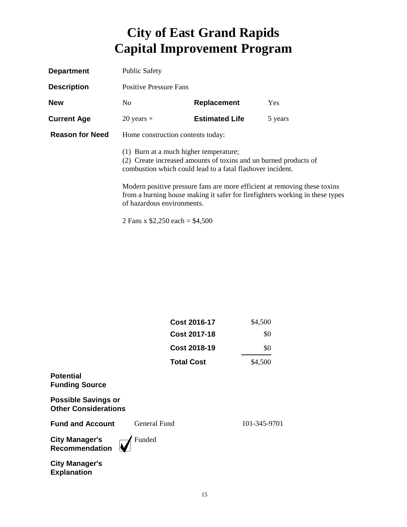| <b>Department</b>      | <b>Public Safety</b>                   |                                                                                                                                |                                                                                                                                                            |
|------------------------|----------------------------------------|--------------------------------------------------------------------------------------------------------------------------------|------------------------------------------------------------------------------------------------------------------------------------------------------------|
| <b>Description</b>     | <b>Positive Pressure Fans</b>          |                                                                                                                                |                                                                                                                                                            |
| <b>New</b>             | No.                                    | Replacement                                                                                                                    | <b>Yes</b>                                                                                                                                                 |
| <b>Current Age</b>     | $20$ years +                           | <b>Estimated Life</b>                                                                                                          | 5 years                                                                                                                                                    |
| <b>Reason for Need</b> | Home construction contents today:      |                                                                                                                                |                                                                                                                                                            |
|                        | (1) Burn at a much higher temperature; | (2) Create increased amounts of toxins and un burned products of<br>combustion which could lead to a fatal flashover incident. |                                                                                                                                                            |
|                        | of hazardous environments.             |                                                                                                                                | Modern positive pressure fans are more efficient at removing these toxins<br>from a burning house making it safer for fire fighters working in these types |

2 Fans x \$2,250 each = \$4,500

|                                                           | Cost 2017-18        | \$0          |
|-----------------------------------------------------------|---------------------|--------------|
|                                                           | <b>Cost 2018-19</b> | \$0          |
|                                                           | <b>Total Cost</b>   | \$4,500      |
| <b>Potential</b><br><b>Funding Source</b>                 |                     |              |
| <b>Possible Savings or</b><br><b>Other Considerations</b> |                     |              |
| <b>Fund and Account</b>                                   | General Fund        | 101-345-9701 |
| <b>City Manager's</b><br><b>Recommendation</b>            | Funded              |              |
| <b>City Manager's</b><br><b>Explanation</b>               |                     |              |

**Cost 2016-17** \$4,500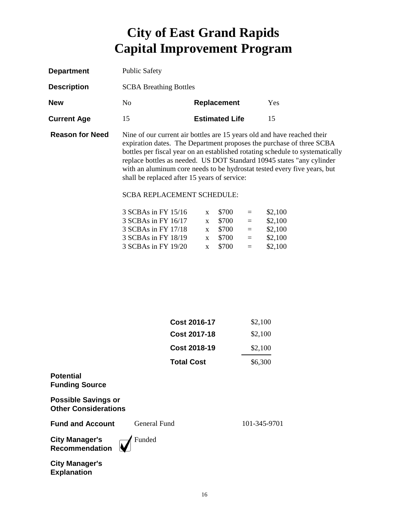| <b>Department</b>      | <b>Public Safety</b>          |                                                                                                                                                |     |
|------------------------|-------------------------------|------------------------------------------------------------------------------------------------------------------------------------------------|-----|
| <b>Description</b>     | <b>SCBA Breathing Bottles</b> |                                                                                                                                                |     |
| <b>New</b>             | N <sub>0</sub>                | <b>Replacement</b>                                                                                                                             | Yes |
| <b>Current Age</b>     | 15                            | <b>Estimated Life</b>                                                                                                                          | 15  |
| <b>Reason for Need</b> |                               | Nine of our current air bottles are 15 years old and have reached their<br>expiration dates. The Department proposes the purchase of three SCB |     |

expiration dates. The Department proposes the purchase of three SCBA bottles per fiscal year on an established rotating schedule to systematically replace bottles as needed. US DOT Standard 10945 states "any cylinder with an aluminum core needs to be hydrostat tested every five years, but shall be replaced after 15 years of service:

#### SCBA REPLACEMENT SCHEDULE:

| $\mathbf{x}$ | \$700 | $=$          | \$2,100 |
|--------------|-------|--------------|---------|
| $\mathbf{x}$ | \$700 | $=$          | \$2,100 |
|              | \$700 | $=$          | \$2,100 |
| $\mathbf{x}$ | \$700 | $=$          | \$2,100 |
| $\mathbf{x}$ | \$700 | $=$          | \$2,100 |
|              |       | $\mathbf{x}$ |         |

| Cost 2016-17        | \$2,100 |
|---------------------|---------|
| <b>Cost 2017-18</b> | \$2,100 |
| Cost 2018-19        | \$2,100 |
| <b>Total Cost</b>   | \$6,300 |

#### **Potential Funding Source**

**Possible Savings or Other Considerations**

**Fund and Account** General Fund 101-345-9701

**City Manager's Recommendation**



**City Manager's Explanation**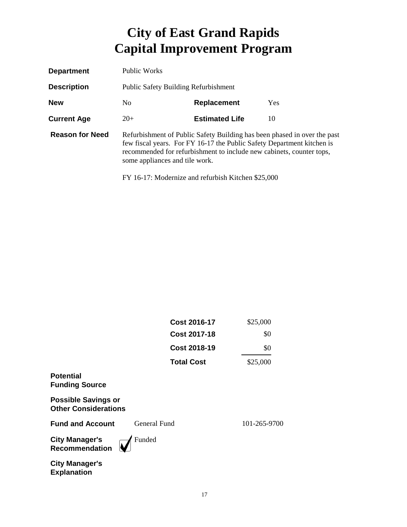| <b>Department</b>      | Public Works                                |                                                                                                                                                                                                      |                                                                          |  |
|------------------------|---------------------------------------------|------------------------------------------------------------------------------------------------------------------------------------------------------------------------------------------------------|--------------------------------------------------------------------------|--|
| <b>Description</b>     | <b>Public Safety Building Refurbishment</b> |                                                                                                                                                                                                      |                                                                          |  |
| <b>New</b>             | Replacement<br>No.<br>Yes                   |                                                                                                                                                                                                      |                                                                          |  |
| <b>Current Age</b>     | $20+$                                       | <b>Estimated Life</b>                                                                                                                                                                                | 10                                                                       |  |
| <b>Reason for Need</b> | some appliances and tile work.              | few fiscal years. For FY 16-17 the Public Safety Department kitchen is<br>recommended for refurbishment to include new cabinets, counter tops,<br>FY 16-17: Modernize and refurbish Kitchen \$25,000 | Refurbishment of Public Safety Building has been phased in over the past |  |

|                                                           | <b>Cost 2016-17</b> | \$25,000     |
|-----------------------------------------------------------|---------------------|--------------|
|                                                           | <b>Cost 2017-18</b> | \$0          |
|                                                           | <b>Cost 2018-19</b> | \$0          |
|                                                           | <b>Total Cost</b>   | \$25,000     |
| <b>Potential</b><br><b>Funding Source</b>                 |                     |              |
| <b>Possible Savings or</b><br><b>Other Considerations</b> |                     |              |
| <b>Fund and Account</b>                                   | General Fund        | 101-265-9700 |
| <b>City Manager's</b><br>Recommendation                   | Funded              |              |
| <b>City Manager's</b><br><b>Explanation</b>               |                     |              |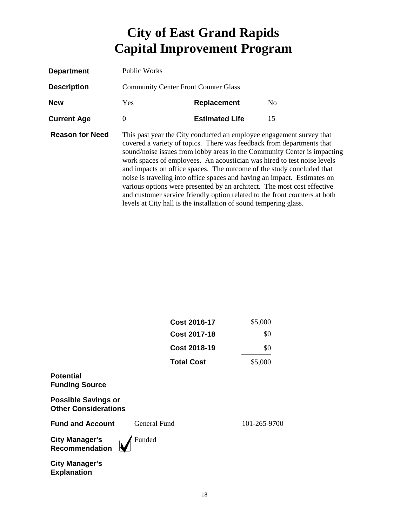| <b>Department</b>      | Public Works                                       |                                                                                                                                                                                                                                                                                                                                                                                                                                                                                                                                                                                                             |                                                                          |
|------------------------|----------------------------------------------------|-------------------------------------------------------------------------------------------------------------------------------------------------------------------------------------------------------------------------------------------------------------------------------------------------------------------------------------------------------------------------------------------------------------------------------------------------------------------------------------------------------------------------------------------------------------------------------------------------------------|--------------------------------------------------------------------------|
| <b>Description</b>     | <b>Community Center Front Counter Glass</b>        |                                                                                                                                                                                                                                                                                                                                                                                                                                                                                                                                                                                                             |                                                                          |
| <b>New</b>             | <b>Yes</b><br>N <sub>0</sub><br><b>Replacement</b> |                                                                                                                                                                                                                                                                                                                                                                                                                                                                                                                                                                                                             |                                                                          |
| <b>Current Age</b>     | $\Omega$                                           | <b>Estimated Life</b>                                                                                                                                                                                                                                                                                                                                                                                                                                                                                                                                                                                       | 15                                                                       |
| <b>Reason for Need</b> |                                                    | This past year the City conducted an employee engagement survey that<br>covered a variety of topics. There was feedback from departments that<br>work spaces of employees. An acoustician was hired to test noise levels<br>and impacts on office spaces. The outcome of the study concluded that<br>noise is traveling into office spaces and having an impact. Estimates on<br>various options were presented by an architect. The most cost effective<br>and customer service friendly option related to the front counters at both<br>levels at City hall is the installation of sound tempering glass. | sound/noise issues from lobby areas in the Community Center is impacting |

|                                                           | <b>Cost 2016-17</b> | \$5,000      |
|-----------------------------------------------------------|---------------------|--------------|
|                                                           | <b>Cost 2017-18</b> | \$0          |
|                                                           | <b>Cost 2018-19</b> | \$0          |
|                                                           | <b>Total Cost</b>   | \$5,000      |
| <b>Potential</b><br><b>Funding Source</b>                 |                     |              |
| <b>Possible Savings or</b><br><b>Other Considerations</b> |                     |              |
| <b>Fund and Account</b>                                   | General Fund        | 101-265-9700 |
| <b>City Manager's</b><br><b>Recommendation</b>            | Funded              |              |
| <b>City Manager's</b><br><b>Explanation</b>               |                     |              |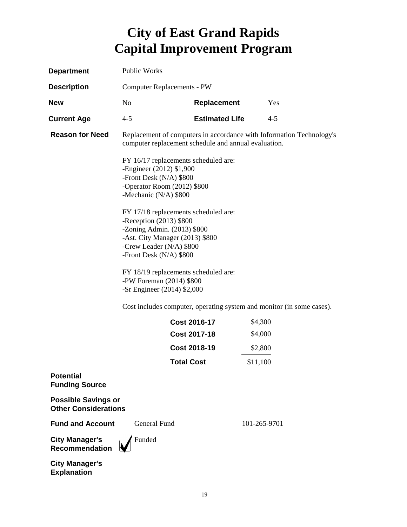| <b>Department</b>                                         | Public Works                                                                                                                                                                                                                                                                                                                                                                              |                       |                                                                       |
|-----------------------------------------------------------|-------------------------------------------------------------------------------------------------------------------------------------------------------------------------------------------------------------------------------------------------------------------------------------------------------------------------------------------------------------------------------------------|-----------------------|-----------------------------------------------------------------------|
| <b>Description</b>                                        | <b>Computer Replacements - PW</b>                                                                                                                                                                                                                                                                                                                                                         |                       |                                                                       |
| <b>New</b>                                                | No                                                                                                                                                                                                                                                                                                                                                                                        | Replacement           | Yes                                                                   |
| <b>Current Age</b>                                        | $4 - 5$                                                                                                                                                                                                                                                                                                                                                                                   | <b>Estimated Life</b> | $4 - 5$                                                               |
| <b>Reason for Need</b>                                    | Replacement of computers in accordance with Information Technology's<br>computer replacement schedule and annual evaluation.                                                                                                                                                                                                                                                              |                       |                                                                       |
|                                                           | FY 16/17 replacements scheduled are:<br>-Engineer (2012) \$1,900<br>-Front Desk (N/A) \$800<br>-Operator Room (2012) \$800<br>-Mechanic (N/A) \$800<br>FY 17/18 replacements scheduled are:<br>-Reception (2013) \$800<br>-Zoning Admin. $(2013)$ \$800<br>-Ast. City Manager (2013) \$800<br>-Crew Leader (N/A) \$800<br>-Front Desk (N/A) \$800<br>FY 18/19 replacements scheduled are: |                       |                                                                       |
|                                                           | -PW Foreman (2014) \$800<br>-Sr Engineer (2014) \$2,000                                                                                                                                                                                                                                                                                                                                   |                       |                                                                       |
|                                                           |                                                                                                                                                                                                                                                                                                                                                                                           |                       | Cost includes computer, operating system and monitor (in some cases). |
|                                                           |                                                                                                                                                                                                                                                                                                                                                                                           | <b>Cost 2016-17</b>   | \$4,300                                                               |
|                                                           |                                                                                                                                                                                                                                                                                                                                                                                           | <b>Cost 2017-18</b>   | \$4,000                                                               |
|                                                           |                                                                                                                                                                                                                                                                                                                                                                                           | <b>Cost 2018-19</b>   | \$2,800                                                               |
|                                                           | <b>Total Cost</b>                                                                                                                                                                                                                                                                                                                                                                         |                       | \$11,100                                                              |
| <b>Potential</b><br><b>Funding Source</b>                 |                                                                                                                                                                                                                                                                                                                                                                                           |                       |                                                                       |
| <b>Possible Savings or</b><br><b>Other Considerations</b> |                                                                                                                                                                                                                                                                                                                                                                                           |                       |                                                                       |
| <b>Fund and Account</b>                                   | General Fund                                                                                                                                                                                                                                                                                                                                                                              |                       | 101-265-9701                                                          |
| <b>City Manager's</b><br><b>Recommendation</b>            | Funded                                                                                                                                                                                                                                                                                                                                                                                    |                       |                                                                       |
| <b>City Manager's</b>                                     |                                                                                                                                                                                                                                                                                                                                                                                           |                       |                                                                       |

**Explanation**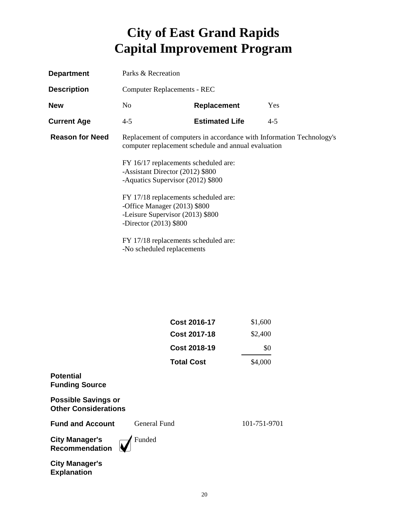| <b>Department</b>      | Parks & Recreation                                                                                                                   |                                    |         |  |
|------------------------|--------------------------------------------------------------------------------------------------------------------------------------|------------------------------------|---------|--|
| <b>Description</b>     |                                                                                                                                      | <b>Computer Replacements - REC</b> |         |  |
| <b>New</b>             | N <sub>0</sub>                                                                                                                       | <b>Replacement</b>                 | Yes     |  |
| <b>Current Age</b>     | $4 - 5$                                                                                                                              | <b>Estimated Life</b>              | $4 - 5$ |  |
| <b>Reason for Need</b> | Replacement of computers in accordance with Information Technology's<br>computer replacement schedule and annual evaluation          |                                    |         |  |
|                        | FY 16/17 replacements scheduled are:<br>-Assistant Director (2012) \$800<br>-Aquatics Supervisor (2012) \$800                        |                                    |         |  |
|                        | FY 17/18 replacements scheduled are:<br>-Office Manager (2013) \$800<br>-Leisure Supervisor (2013) \$800<br>-Director $(2013)$ \$800 |                                    |         |  |
|                        | FY 17/18 replacements scheduled are:<br>-No scheduled replacements                                                                   |                                    |         |  |

|                                                           | <b>Cost 2016-17</b><br><b>Cost 2017-18</b> | \$1,600        |
|-----------------------------------------------------------|--------------------------------------------|----------------|
|                                                           | <b>Cost 2018-19</b>                        | \$2,400<br>\$0 |
|                                                           | <b>Total Cost</b>                          | \$4,000        |
| <b>Potential</b><br><b>Funding Source</b>                 |                                            |                |
| <b>Possible Savings or</b><br><b>Other Considerations</b> |                                            |                |
| <b>Fund and Account</b>                                   | General Fund                               | 101-751-9701   |
| <b>City Manager's</b><br><b>Recommendation</b>            | Funded                                     |                |
| <b>City Manager's</b><br><b>Explanation</b>               |                                            |                |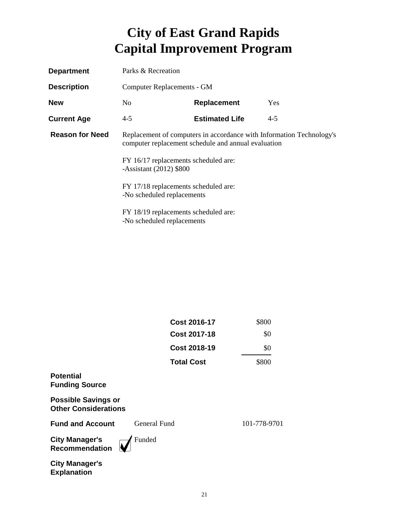| <b>Department</b>      | Parks & Recreation                                                                                                                                                                                                                                                     |                       |         |
|------------------------|------------------------------------------------------------------------------------------------------------------------------------------------------------------------------------------------------------------------------------------------------------------------|-----------------------|---------|
| <b>Description</b>     | Computer Replacements - GM                                                                                                                                                                                                                                             |                       |         |
| <b>New</b>             | No.                                                                                                                                                                                                                                                                    | Replacement           | Yes     |
| <b>Current Age</b>     | $4 - 5$                                                                                                                                                                                                                                                                | <b>Estimated Life</b> | $4 - 5$ |
| <b>Reason for Need</b> | Replacement of computers in accordance with Information Technology's<br>computer replacement schedule and annual evaluation<br>FY 16/17 replacements scheduled are:<br>-Assistant $(2012)$ \$800<br>FY 17/18 replacements scheduled are:<br>-No scheduled replacements |                       |         |
|                        |                                                                                                                                                                                                                                                                        |                       |         |
|                        |                                                                                                                                                                                                                                                                        |                       |         |
|                        | FY 18/19 replacements scheduled are:<br>-No scheduled replacements                                                                                                                                                                                                     |                       |         |

|                                                           | <b>Cost 2016-17</b> | \$800        |
|-----------------------------------------------------------|---------------------|--------------|
|                                                           | <b>Cost 2017-18</b> | \$0          |
|                                                           | Cost 2018-19        | \$0          |
|                                                           | <b>Total Cost</b>   | \$800        |
| <b>Potential</b><br><b>Funding Source</b>                 |                     |              |
| <b>Possible Savings or</b><br><b>Other Considerations</b> |                     |              |
| <b>Fund and Account</b>                                   | General Fund        | 101-778-9701 |
| <b>City Manager's</b><br>Recommendation                   | Funded              |              |
| <b>City Manager's</b><br><b>Explanation</b>               |                     |              |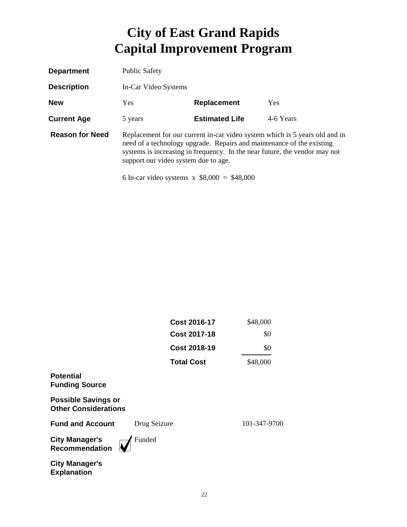| <b>Department</b>      | <b>Public Safety</b>                                                                                                                                                                                                                                                                                                        |                       |           |
|------------------------|-----------------------------------------------------------------------------------------------------------------------------------------------------------------------------------------------------------------------------------------------------------------------------------------------------------------------------|-----------------------|-----------|
| <b>Description</b>     | In-Car Video Systems                                                                                                                                                                                                                                                                                                        |                       |           |
| <b>New</b>             | Yes.<br><b>Replacement</b><br><b>Yes</b>                                                                                                                                                                                                                                                                                    |                       |           |
| <b>Current Age</b>     | 5 years                                                                                                                                                                                                                                                                                                                     | <b>Estimated Life</b> | 4-6 Years |
| <b>Reason for Need</b> | Replacement for our current in-car video system which is 5 years old and in<br>need of a technology upgrade. Repairs and maintenance of the existing<br>systems is increasing in frequency. In the near future, the vendor may not<br>support our video system due to age.<br>6 In-car video systems $x$ \$8,000 = \$48,000 |                       |           |

|                                                           | <b>Cost 2016-17</b> | \$48,000     |
|-----------------------------------------------------------|---------------------|--------------|
|                                                           | <b>Cost 2017-18</b> | \$0          |
|                                                           | <b>Cost 2018-19</b> | \$0          |
|                                                           | <b>Total Cost</b>   | \$48,000     |
| <b>Potential</b><br><b>Funding Source</b>                 |                     |              |
| <b>Possible Savings or</b><br><b>Other Considerations</b> |                     |              |
| <b>Fund and Account</b>                                   | Drug Seizure        | 101-347-9700 |
| <b>City Manager's</b><br><b>Recommendation</b>            | Funded              |              |
| <b>City Manager's</b><br><b>Explanation</b>               |                     |              |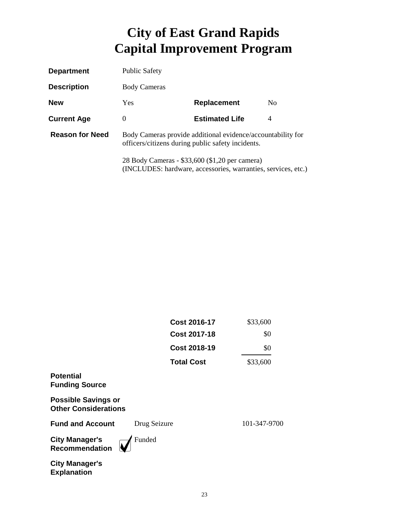| <b>Department</b>      | <b>Public Safety</b>                              |                                                               |                |
|------------------------|---------------------------------------------------|---------------------------------------------------------------|----------------|
| <b>Description</b>     | <b>Body Cameras</b>                               |                                                               |                |
| <b>New</b>             | <b>Yes</b>                                        | Replacement                                                   | N <sub>0</sub> |
| <b>Current Age</b>     | $\theta$                                          | <b>Estimated Life</b>                                         | 4              |
| <b>Reason for Need</b> | officers/citizens during public safety incidents. | Body Cameras provide additional evidence/accountability for   |                |
|                        | 28 Body Cameras - \$33,600 (\$1,20 per camera)    | (INCLUDES: hardware, accessories, warranties, services, etc.) |                |

|                                                           | <b>Cost 2016-17</b> | \$33,600     |
|-----------------------------------------------------------|---------------------|--------------|
|                                                           | <b>Cost 2017-18</b> | \$0          |
|                                                           | <b>Cost 2018-19</b> | \$0          |
|                                                           | <b>Total Cost</b>   | \$33,600     |
| <b>Potential</b><br><b>Funding Source</b>                 |                     |              |
| <b>Possible Savings or</b><br><b>Other Considerations</b> |                     |              |
| <b>Fund and Account</b>                                   | Drug Seizure        | 101-347-9700 |
| <b>City Manager's</b><br><b>Recommendation</b>            | Funded              |              |
| <b>City Manager's</b><br><b>Explanation</b>               |                     |              |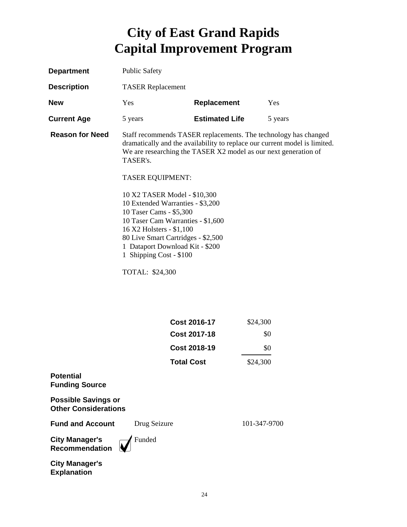| <b>Department</b>      | <b>Public Safety</b>                                                                                                                                                                                                                                                                                                       |                       |                                                                                                                                                                                                                  |
|------------------------|----------------------------------------------------------------------------------------------------------------------------------------------------------------------------------------------------------------------------------------------------------------------------------------------------------------------------|-----------------------|------------------------------------------------------------------------------------------------------------------------------------------------------------------------------------------------------------------|
| <b>Description</b>     | <b>TASER</b> Replacement                                                                                                                                                                                                                                                                                                   |                       |                                                                                                                                                                                                                  |
| <b>New</b>             | Yes                                                                                                                                                                                                                                                                                                                        | <b>Replacement</b>    | Yes                                                                                                                                                                                                              |
| <b>Current Age</b>     | 5 years                                                                                                                                                                                                                                                                                                                    | <b>Estimated Life</b> | 5 years                                                                                                                                                                                                          |
| <b>Reason for Need</b> | TASER's.<br><b>TASER EQUIPMENT:</b><br>10 X2 TASER Model - \$10,300<br>10 Extended Warranties - \$3,200<br>10 Taser Cams - \$5,300<br>10 Taser Cam Warranties - \$1,600<br>16 X2 Holsters - \$1,100<br>80 Live Smart Cartridges - \$2,500<br>1 Dataport Download Kit - \$200<br>1 Shipping Cost - \$100<br>TOTAL: \$24,300 |                       | Staff recommends TASER replacements. The technology has changed<br>dramatically and the availability to replace our current model is limited.<br>We are researching the TASER X2 model as our next generation of |
|                        |                                                                                                                                                                                                                                                                                                                            |                       |                                                                                                                                                                                                                  |
|                        |                                                                                                                                                                                                                                                                                                                            | <b>Cost 2016-17</b>   | \$24,300                                                                                                                                                                                                         |
|                        |                                                                                                                                                                                                                                                                                                                            | <b>Cost 2017-18</b>   | \$0                                                                                                                                                                                                              |

|                                                    | <b>Cost 2018-19</b> | \$0          |
|----------------------------------------------------|---------------------|--------------|
|                                                    | <b>Total Cost</b>   | \$24,300     |
| Potential<br><b>Funding Source</b>                 |                     |              |
| <b>Possible Savings or</b><br>Other Considerations |                     |              |
| <b>Fund and Account</b>                            | Drug Seizure        | 101-347-9700 |
| City Manager's<br>Recommendation                   | Funded              |              |
| City Managar'e                                     |                     |              |

**City Manager's Explanation**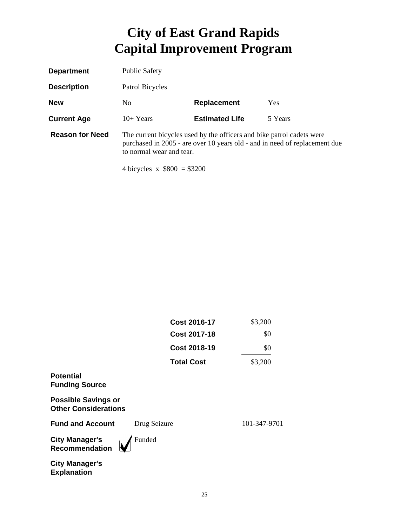| <b>Department</b>      | <b>Public Safety</b>                           |                                                                       |                                                                            |
|------------------------|------------------------------------------------|-----------------------------------------------------------------------|----------------------------------------------------------------------------|
| <b>Description</b>     | Patrol Bicycles                                |                                                                       |                                                                            |
| <b>New</b>             | N <sub>0</sub>                                 | Replacement                                                           | <b>Yes</b>                                                                 |
| <b>Current Age</b>     | $10+Years$                                     | <b>Estimated Life</b>                                                 | 5 Years                                                                    |
| <b>Reason for Need</b> | to normal wear and tear.<br>$11.1$ $1$ $0.000$ | The current bicycles used by the officers and bike patrol cadets were | purchased in 2005 - are over 10 years old - and in need of replacement due |

4 bicycles x \$800 = \$3200

|                                                           | <b>Cost 2016-17</b> | \$3,200      |
|-----------------------------------------------------------|---------------------|--------------|
|                                                           | <b>Cost 2017-18</b> | \$0          |
|                                                           | <b>Cost 2018-19</b> | \$0          |
|                                                           | <b>Total Cost</b>   | \$3,200      |
| <b>Potential</b><br><b>Funding Source</b>                 |                     |              |
| <b>Possible Savings or</b><br><b>Other Considerations</b> |                     |              |
| <b>Fund and Account</b>                                   | Drug Seizure        | 101-347-9701 |
| <b>City Manager's</b><br><b>Recommendation</b>            | Funded              |              |
| <b>City Manager's</b><br><b>Explanation</b>               |                     |              |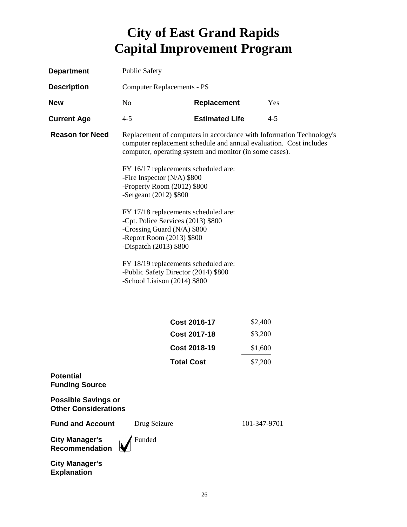| <b>Department</b>                                         | <b>Public Safety</b>                                                                                                                                                                                  |                       |              |
|-----------------------------------------------------------|-------------------------------------------------------------------------------------------------------------------------------------------------------------------------------------------------------|-----------------------|--------------|
| <b>Description</b>                                        | <b>Computer Replacements - PS</b>                                                                                                                                                                     |                       |              |
| <b>New</b>                                                | N <sub>o</sub>                                                                                                                                                                                        | Replacement           | Yes          |
| <b>Current Age</b>                                        | $4 - 5$                                                                                                                                                                                               | <b>Estimated Life</b> | $4 - 5$      |
| <b>Reason for Need</b>                                    | Replacement of computers in accordance with Information Technology's<br>computer replacement schedule and annual evaluation. Cost includes<br>computer, operating system and monitor (in some cases). |                       |              |
|                                                           | FY 16/17 replacements scheduled are:<br>-Fire Inspector $(N/A)$ \$800<br>-Property Room (2012) \$800<br>-Sergeant $(2012)$ \$800                                                                      |                       |              |
|                                                           | FY 17/18 replacements scheduled are:<br>-Cpt. Police Services (2013) \$800<br>-Crossing Guard (N/A) \$800<br>-Report Room (2013) \$800<br>-Dispatch $(2013)$ \$800                                    |                       |              |
|                                                           | FY 18/19 replacements scheduled are:<br>-Public Safety Director (2014) \$800<br>-School Liaison (2014) \$800                                                                                          |                       |              |
|                                                           |                                                                                                                                                                                                       | Cost 2016-17          | \$2,400      |
|                                                           |                                                                                                                                                                                                       | <b>Cost 2017-18</b>   | \$3,200      |
|                                                           |                                                                                                                                                                                                       | <b>Cost 2018-19</b>   | \$1,600      |
|                                                           | <b>Total Cost</b>                                                                                                                                                                                     |                       | \$7,200      |
| <b>Potential</b><br><b>Funding Source</b>                 |                                                                                                                                                                                                       |                       |              |
| <b>Possible Savings or</b><br><b>Other Considerations</b> |                                                                                                                                                                                                       |                       |              |
| <b>Fund and Account</b>                                   | Drug Seizure                                                                                                                                                                                          |                       | 101-347-9701 |
| <b>City Manager's</b><br><b>Recommendation</b>            | Funded                                                                                                                                                                                                |                       |              |
| <b>City Manager's</b>                                     |                                                                                                                                                                                                       |                       |              |

**Explanation**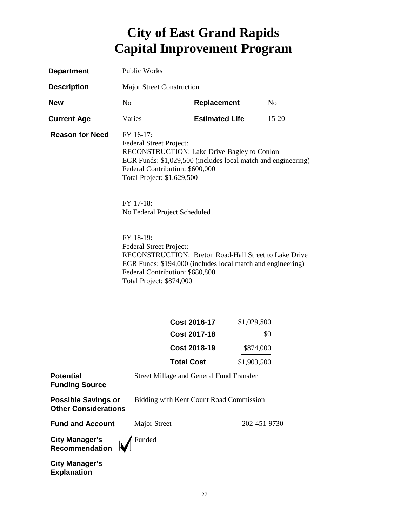| <b>Department</b>                                         | <b>Public Works</b>                                                                                                                                                                                                         |                                                 |              |                |
|-----------------------------------------------------------|-----------------------------------------------------------------------------------------------------------------------------------------------------------------------------------------------------------------------------|-------------------------------------------------|--------------|----------------|
| <b>Description</b>                                        | Major Street Construction                                                                                                                                                                                                   |                                                 |              |                |
| <b>New</b>                                                | N <sub>o</sub>                                                                                                                                                                                                              | <b>Replacement</b>                              |              | N <sub>0</sub> |
| <b>Current Age</b>                                        | Varies                                                                                                                                                                                                                      | <b>Estimated Life</b>                           |              | $15 - 20$      |
| <b>Reason for Need</b>                                    | FY 16-17:<br>Federal Street Project:<br>RECONSTRUCTION: Lake Drive-Bagley to Conlon<br>EGR Funds: \$1,029,500 (includes local match and engineering)<br>Federal Contribution: \$600,000<br>Total Project: \$1,629,500       |                                                 |              |                |
|                                                           | FY 17-18:<br>No Federal Project Scheduled                                                                                                                                                                                   |                                                 |              |                |
|                                                           | FY 18-19:<br>Federal Street Project:<br>RECONSTRUCTION: Breton Road-Hall Street to Lake Drive<br>EGR Funds: \$194,000 (includes local match and engineering)<br>Federal Contribution: \$680,800<br>Total Project: \$874,000 |                                                 |              |                |
|                                                           |                                                                                                                                                                                                                             | <b>Cost 2016-17</b>                             | \$1,029,500  |                |
|                                                           |                                                                                                                                                                                                                             | <b>Cost 2017-18</b>                             |              | \$0            |
|                                                           |                                                                                                                                                                                                                             | <b>Cost 2018-19</b>                             | \$874,000    |                |
|                                                           |                                                                                                                                                                                                                             | <b>Total Cost</b>                               | \$1,903,500  |                |
| <b>Potential</b><br><b>Funding Source</b>                 |                                                                                                                                                                                                                             | <b>Street Millage and General Fund Transfer</b> |              |                |
| <b>Possible Savings or</b><br><b>Other Considerations</b> |                                                                                                                                                                                                                             | Bidding with Kent Count Road Commission         |              |                |
| <b>Fund and Account</b>                                   | <b>Major Street</b>                                                                                                                                                                                                         |                                                 | 202-451-9730 |                |
| <b>City Manager's</b><br>Recommendation                   | Funded                                                                                                                                                                                                                      |                                                 |              |                |
| <b>City Manager's</b>                                     |                                                                                                                                                                                                                             |                                                 |              |                |

**Explanation**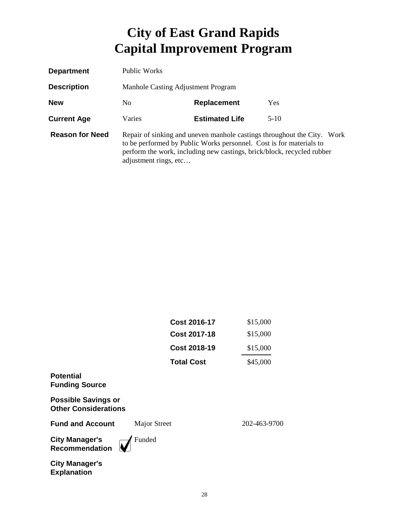| <b>Department</b>      | Public Works                                                                                                                                                                                                                                      |                       |        |
|------------------------|---------------------------------------------------------------------------------------------------------------------------------------------------------------------------------------------------------------------------------------------------|-----------------------|--------|
| <b>Description</b>     | Manhole Casting Adjustment Program                                                                                                                                                                                                                |                       |        |
| <b>New</b>             | N <sub>0</sub><br>Replacement<br><b>Yes</b>                                                                                                                                                                                                       |                       |        |
| <b>Current Age</b>     | Varies                                                                                                                                                                                                                                            | <b>Estimated Life</b> | $5-10$ |
| <b>Reason for Need</b> | Repair of sinking and uneven manhole castings throughout the City. Work<br>to be performed by Public Works personnel. Cost is for materials to<br>perform the work, including new castings, brick/block, recycled rubber<br>adjustment rings, etc |                       |        |

|                                                           | <b>Cost 2016-17</b> | \$15,000     |
|-----------------------------------------------------------|---------------------|--------------|
|                                                           | <b>Cost 2017-18</b> | \$15,000     |
|                                                           | <b>Cost 2018-19</b> | \$15,000     |
|                                                           | <b>Total Cost</b>   | \$45,000     |
| <b>Potential</b><br><b>Funding Source</b>                 |                     |              |
| <b>Possible Savings or</b><br><b>Other Considerations</b> |                     |              |
| <b>Fund and Account</b>                                   | <b>Major Street</b> | 202-463-9700 |
| <b>City Manager's</b><br>Recommendation                   | Funded              |              |
| <b>City Manager's</b><br><b>Explanation</b>               |                     |              |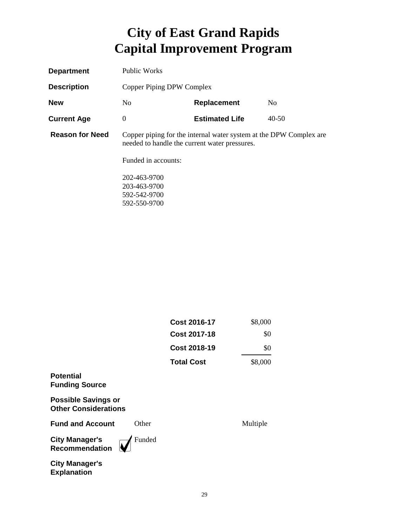| <b>Department</b>      | <b>Public Works</b>                                                                                                 |                       |                |
|------------------------|---------------------------------------------------------------------------------------------------------------------|-----------------------|----------------|
| <b>Description</b>     | Copper Piping DPW Complex                                                                                           |                       |                |
| <b>New</b>             | N <sub>0</sub>                                                                                                      | <b>Replacement</b>    | N <sub>0</sub> |
| <b>Current Age</b>     | $\boldsymbol{0}$                                                                                                    | <b>Estimated Life</b> | $40 - 50$      |
| <b>Reason for Need</b> | Copper piping for the internal water system at the DPW Complex are<br>needed to handle the current water pressures. |                       |                |
|                        | Funded in accounts:                                                                                                 |                       |                |
|                        | 202-463-9700                                                                                                        |                       |                |
|                        | 203-463-9700                                                                                                        |                       |                |
|                        | 592-542-9700                                                                                                        |                       |                |

592-550-9700

|                                                           | Cost 2016-17      | \$8,000  |
|-----------------------------------------------------------|-------------------|----------|
|                                                           | Cost 2017-18      | \$0      |
|                                                           | Cost 2018-19      | \$0      |
|                                                           | <b>Total Cost</b> | \$8,000  |
| <b>Potential</b><br><b>Funding Source</b>                 |                   |          |
| <b>Possible Savings or</b><br><b>Other Considerations</b> |                   |          |
| <b>Fund and Account</b><br>Other                          |                   | Multiple |
| Funded<br><b>City Manager's</b><br><b>Recommendation</b>  |                   |          |

**City Manager's Explanation**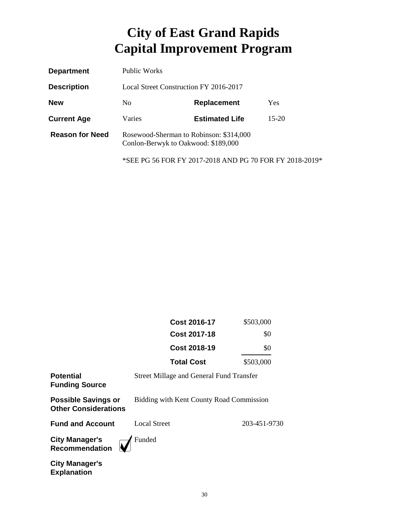| <b>Department</b>      | Public Works                                                                   |                       |         |
|------------------------|--------------------------------------------------------------------------------|-----------------------|---------|
| <b>Description</b>     | Local Street Construction FY 2016-2017                                         |                       |         |
| <b>New</b>             | Yes<br>N <sub>0</sub><br>Replacement                                           |                       |         |
| <b>Current Age</b>     | Varies                                                                         | <b>Estimated Life</b> | $15-20$ |
| <b>Reason for Need</b> | Rosewood-Sherman to Robinson: \$314,000<br>Conlon-Berwyk to Oakwood: \$189,000 |                       |         |

\*SEE PG 56 FOR FY 2017-2018 AND PG 70 FOR FY 2018-2019\*

|                                                           | <b>Cost 2016-17</b>                             | \$503,000    |
|-----------------------------------------------------------|-------------------------------------------------|--------------|
|                                                           | Cost 2017-18                                    | \$0          |
|                                                           | <b>Cost 2018-19</b>                             | \$0          |
|                                                           | <b>Total Cost</b>                               | \$503,000    |
| <b>Potential</b><br><b>Funding Source</b>                 | <b>Street Millage and General Fund Transfer</b> |              |
| <b>Possible Savings or</b><br><b>Other Considerations</b> | Bidding with Kent County Road Commission        |              |
| <b>Fund and Account</b>                                   | <b>Local Street</b>                             | 203-451-9730 |
| <b>City Manager's</b><br><b>Recommendation</b>            | Funded                                          |              |
| <b>City Manager's</b>                                     |                                                 |              |

**Explanation**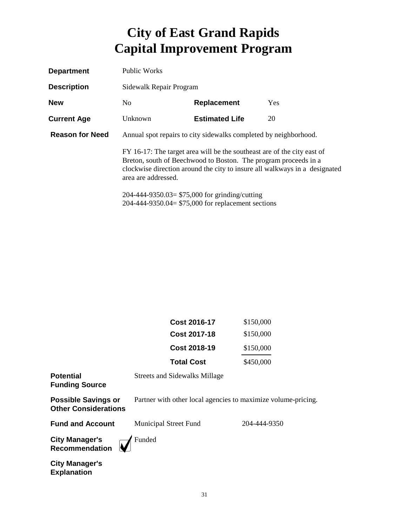| <b>Department</b>      | Public Works                                                                                                                                                                                                                                    |                       |            |
|------------------------|-------------------------------------------------------------------------------------------------------------------------------------------------------------------------------------------------------------------------------------------------|-----------------------|------------|
| <b>Description</b>     | Sidewalk Repair Program                                                                                                                                                                                                                         |                       |            |
| <b>New</b>             | N <sub>0</sub>                                                                                                                                                                                                                                  | Replacement           | <b>Yes</b> |
| <b>Current Age</b>     | Unknown                                                                                                                                                                                                                                         | <b>Estimated Life</b> | 20         |
| <b>Reason for Need</b> | Annual spot repairs to city sidewalks completed by neighborhood.                                                                                                                                                                                |                       |            |
|                        | FY 16-17: The target area will be the southeast are of the city east of<br>Breton, south of Beechwood to Boston. The program proceeds in a<br>clockwise direction around the city to insure all walkways in a designated<br>area are addressed. |                       |            |
|                        | 204-444-9350.03= $$75,000$ for grinding/cutting<br>204-444-9350.04= $$75,000$ for replacement sections                                                                                                                                          |                       |            |

| <b>Cost 2016-17</b> | \$150,000 |
|---------------------|-----------|
| Cost 2017-18        | \$150,000 |
| Cost 2018-19        | \$150,000 |
| <b>Total Cost</b>   | \$450,000 |

**Potential Funding Source**

Streets and Sidewalks Millage

**Possible Savings or Other Considerations**

Partner with other local agencies to maximize volume-pricing.

**Fund and Account** Municipal Street Fund 204-444-9350

**City Manager's Recommendation**



**City Manager's Explanation**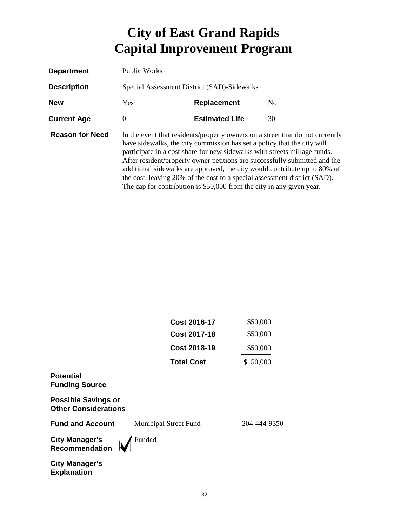| <b>Department</b>      | Public Works                                |                                                                                                                                                                                                                                                                                                            |                                                                                                                                                                                                                                          |
|------------------------|---------------------------------------------|------------------------------------------------------------------------------------------------------------------------------------------------------------------------------------------------------------------------------------------------------------------------------------------------------------|------------------------------------------------------------------------------------------------------------------------------------------------------------------------------------------------------------------------------------------|
| <b>Description</b>     | Special Assessment District (SAD)-Sidewalks |                                                                                                                                                                                                                                                                                                            |                                                                                                                                                                                                                                          |
| <b>New</b>             | Yes                                         | Replacement                                                                                                                                                                                                                                                                                                | N <sub>0</sub>                                                                                                                                                                                                                           |
| <b>Current Age</b>     | $\Omega$                                    | <b>Estimated Life</b>                                                                                                                                                                                                                                                                                      | 30                                                                                                                                                                                                                                       |
| <b>Reason for Need</b> |                                             | have sidewalks, the city commission has set a policy that the city will<br>participate in a cost share for new sidewalks with streets millage funds.<br>the cost, leaving 20% of the cost to a special assessment district (SAD).<br>The cap for contribution is \$50,000 from the city in any given year. | In the event that residents/property owners on a street that do not currently<br>After resident/property owner petitions are successfully submitted and the<br>additional sidewalks are approved, the city would contribute up to 80% of |

| <b>Cost 2016-17</b> | \$50,000  |
|---------------------|-----------|
| <b>Cost 2017-18</b> | \$50,000  |
| <b>Cost 2018-19</b> | \$50,000  |
| <b>Total Cost</b>   | \$150,000 |
|                     |           |

**Funding Source**

**Potential** 

**Possible Savings or Other Considerations**

**Fund and Account** Municipal Street Fund 204-444-9350

**City Manager's Recommendation**

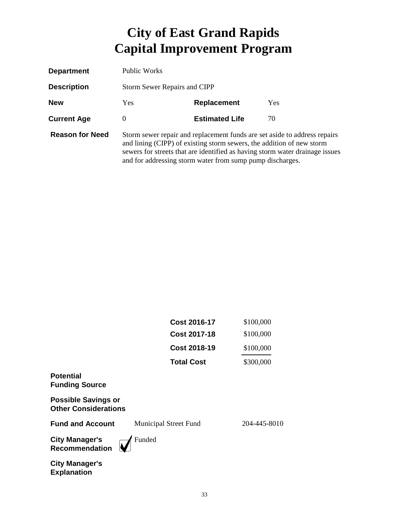| <b>Department</b>      | Public Works                                                                                                                                                                                                                                                                                    |                       |     |
|------------------------|-------------------------------------------------------------------------------------------------------------------------------------------------------------------------------------------------------------------------------------------------------------------------------------------------|-----------------------|-----|
| <b>Description</b>     | <b>Storm Sewer Repairs and CIPP</b>                                                                                                                                                                                                                                                             |                       |     |
| <b>New</b>             | <b>Yes</b>                                                                                                                                                                                                                                                                                      | <b>Replacement</b>    | Yes |
| <b>Current Age</b>     | $\theta$                                                                                                                                                                                                                                                                                        | <b>Estimated Life</b> | 70  |
| <b>Reason for Need</b> | Storm sewer repair and replacement funds are set aside to address repairs<br>and lining (CIPP) of existing storm sewers, the addition of new storm<br>sewers for streets that are identified as having storm water drainage issues<br>and for addressing storm water from sump pump discharges. |                       |     |

| <b>Cost 2016-17</b> | \$100,000 |
|---------------------|-----------|
| <b>Cost 2017-18</b> | \$100,000 |
| Cost 2018-19        | \$100,000 |
| <b>Total Cost</b>   | \$300,000 |

#### **Potential Funding Source**

**Possible Savings or Other Considerations**

**Fund and Account** Municipal Street Fund 204-445-8010

**City Manager's Recommendation**

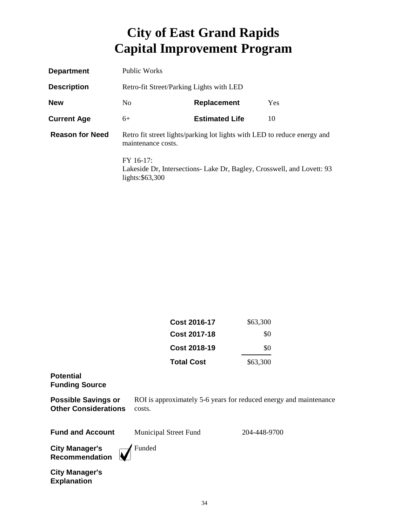| <b>Department</b>      | <b>Public Works</b>                                                                            |                                                                        |            |
|------------------------|------------------------------------------------------------------------------------------------|------------------------------------------------------------------------|------------|
| <b>Description</b>     | Retro-fit Street/Parking Lights with LED                                                       |                                                                        |            |
| <b>New</b>             | N <sub>0</sub>                                                                                 | <b>Replacement</b>                                                     | <b>Yes</b> |
| <b>Current Age</b>     | $6+$                                                                                           | <b>Estimated Life</b>                                                  | 10         |
| <b>Reason for Need</b> | Retro fit street lights/parking lot lights with LED to reduce energy and<br>maintenance costs. |                                                                        |            |
|                        | FY 16-17:<br>lights:\$63,300                                                                   | Lakeside Dr, Intersections- Lake Dr, Bagley, Crosswell, and Lovett: 93 |            |

| Cost 2016-17      | \$63,300 |
|-------------------|----------|
| Cost 2017-18      | \$0      |
| Cost 2018-19      | \$0      |
| <b>Total Cost</b> | \$63,300 |

#### **Potential Funding Source**

**Possible Savings or Other Considerations** costs. ROI is approximately 5-6 years for reduced energy and maintenance

| <b>Fund and Account</b> | <b>Municipal Street Fund</b> | 204-448-9700 |
|-------------------------|------------------------------|--------------|
|-------------------------|------------------------------|--------------|

**City Manager's Recommendation**

**M** Funded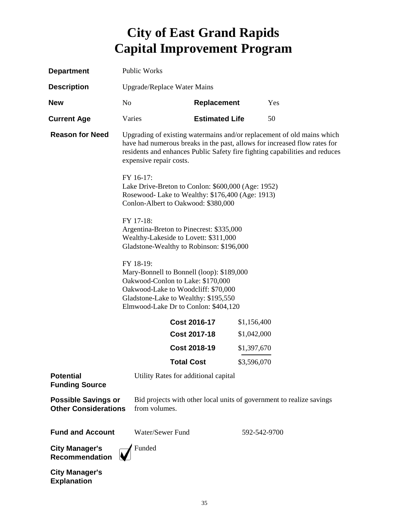| <b>Department</b>                                         | Public Works                |                                                                                                                                                                                                                                                               |             |                                                                      |  |
|-----------------------------------------------------------|-----------------------------|---------------------------------------------------------------------------------------------------------------------------------------------------------------------------------------------------------------------------------------------------------------|-------------|----------------------------------------------------------------------|--|
| <b>Description</b>                                        | Upgrade/Replace Water Mains |                                                                                                                                                                                                                                                               |             |                                                                      |  |
| <b>New</b>                                                | N <sub>0</sub>              | <b>Replacement</b>                                                                                                                                                                                                                                            |             | Yes                                                                  |  |
| <b>Current Age</b>                                        | Varies                      | <b>Estimated Life</b>                                                                                                                                                                                                                                         |             | 50                                                                   |  |
| <b>Reason for Need</b>                                    |                             | Upgrading of existing watermains and/or replacement of old mains which<br>have had numerous breaks in the past, allows for increased flow rates for<br>residents and enhances Public Safety fire fighting capabilities and reduces<br>expensive repair costs. |             |                                                                      |  |
|                                                           | FY 16-17:                   | Lake Drive-Breton to Conlon: \$600,000 (Age: 1952)<br>Rosewood- Lake to Wealthy: \$176,400 (Age: 1913)<br>Conlon-Albert to Oakwood: \$380,000                                                                                                                 |             |                                                                      |  |
|                                                           | FY 17-18:                   | Argentina-Breton to Pinecrest: \$335,000<br>Wealthy-Lakeside to Lovett: \$311,000<br>Gladstone-Wealthy to Robinson: \$196,000                                                                                                                                 |             |                                                                      |  |
|                                                           | FY 18-19:                   | Mary-Bonnell to Bonnell (loop): \$189,000<br>Oakwood-Conlon to Lake: \$170,000<br>Oakwood-Lake to Woodcliff: \$70,000<br>Gladstone-Lake to Wealthy: \$195,550<br>Elmwood-Lake Dr to Conlon: \$404,120                                                         |             |                                                                      |  |
|                                                           |                             | Cost 2016-17                                                                                                                                                                                                                                                  | \$1,156,400 |                                                                      |  |
|                                                           |                             | <b>Cost 2017-18</b>                                                                                                                                                                                                                                           | \$1,042,000 |                                                                      |  |
|                                                           |                             | <b>Cost 2018-19</b>                                                                                                                                                                                                                                           | \$1,397,670 |                                                                      |  |
|                                                           |                             | <b>Total Cost</b>                                                                                                                                                                                                                                             | \$3,596,070 |                                                                      |  |
| <b>Potential</b><br><b>Funding Source</b>                 |                             | Utility Rates for additional capital                                                                                                                                                                                                                          |             |                                                                      |  |
| <b>Possible Savings or</b><br><b>Other Considerations</b> | from volumes.               |                                                                                                                                                                                                                                                               |             | Bid projects with other local units of government to realize savings |  |
| <b>Fund and Account</b>                                   | Water/Sewer Fund            |                                                                                                                                                                                                                                                               |             | 592-542-9700                                                         |  |
| <b>City Manager's</b><br><b>Recommendation</b>            | Funded                      |                                                                                                                                                                                                                                                               |             |                                                                      |  |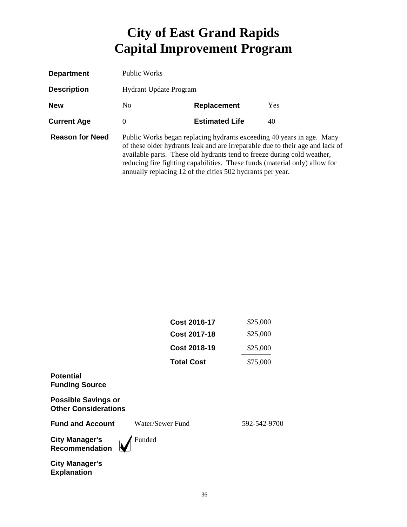| <b>Department</b>      | Public Works                  |                                                                                                                                                                                                                                                                                              |                                                                               |
|------------------------|-------------------------------|----------------------------------------------------------------------------------------------------------------------------------------------------------------------------------------------------------------------------------------------------------------------------------------------|-------------------------------------------------------------------------------|
| <b>Description</b>     | <b>Hydrant Update Program</b> |                                                                                                                                                                                                                                                                                              |                                                                               |
| <b>New</b>             | N <sub>0</sub>                | <b>Replacement</b>                                                                                                                                                                                                                                                                           | <b>Yes</b>                                                                    |
| <b>Current Age</b>     | $\Omega$                      | <b>Estimated Life</b>                                                                                                                                                                                                                                                                        | 40                                                                            |
| <b>Reason for Need</b> |                               | Public Works began replacing hydrants exceeding 40 years in age. Many<br>available parts. These old hydrants tend to freeze during cold weather,<br>reducing fire fighting capabilities. These funds (material only) allow for<br>annually replacing 12 of the cities 502 hydrants per year. | of these older hydrants leak and are irreparable due to their age and lack of |

|                                                           | <b>Cost 2016-17</b> | \$25,000     |
|-----------------------------------------------------------|---------------------|--------------|
|                                                           | <b>Cost 2017-18</b> | \$25,000     |
|                                                           | <b>Cost 2018-19</b> | \$25,000     |
|                                                           | <b>Total Cost</b>   | \$75,000     |
| <b>Potential</b><br><b>Funding Source</b>                 |                     |              |
| <b>Possible Savings or</b><br><b>Other Considerations</b> |                     |              |
| <b>Fund and Account</b>                                   | Water/Sewer Fund    | 592-542-9700 |
| <b>City Manager's</b><br><b>Recommendation</b>            | Funded              |              |
| <b>City Manager's</b><br><b>Explanation</b>               |                     |              |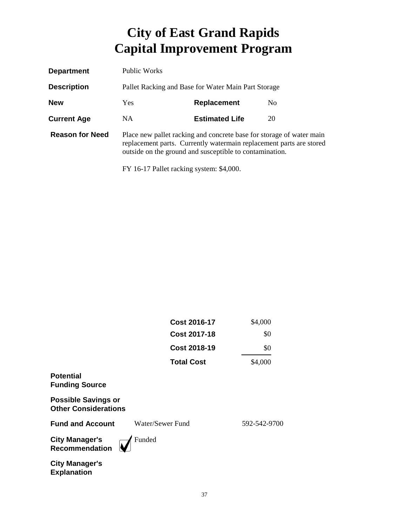| <b>Department</b>      | Public Works                                                                                                                                                                                           |                       |    |  |
|------------------------|--------------------------------------------------------------------------------------------------------------------------------------------------------------------------------------------------------|-----------------------|----|--|
| <b>Description</b>     | Pallet Racking and Base for Water Main Part Storage                                                                                                                                                    |                       |    |  |
| <b>New</b>             | Yes.<br><b>Replacement</b><br>No.                                                                                                                                                                      |                       |    |  |
| <b>Current Age</b>     | NA.                                                                                                                                                                                                    | <b>Estimated Life</b> | 20 |  |
| <b>Reason for Need</b> | Place new pallet racking and concrete base for storage of water main<br>replacement parts. Currently watermain replacement parts are stored<br>outside on the ground and susceptible to contamination. |                       |    |  |

FY 16-17 Pallet racking system: \$4,000.

|                                                           | <b>Cost 2016-17</b> | \$4,000      |
|-----------------------------------------------------------|---------------------|--------------|
|                                                           | <b>Cost 2017-18</b> | \$0          |
|                                                           | <b>Cost 2018-19</b> | \$0          |
|                                                           | <b>Total Cost</b>   | \$4,000      |
| <b>Potential</b><br><b>Funding Source</b>                 |                     |              |
| <b>Possible Savings or</b><br><b>Other Considerations</b> |                     |              |
| <b>Fund and Account</b>                                   | Water/Sewer Fund    | 592-542-9700 |
| <b>City Manager's</b><br><b>Recommendation</b>            | Funded              |              |
| <b>City Manager's</b><br><b>Explanation</b>               |                     |              |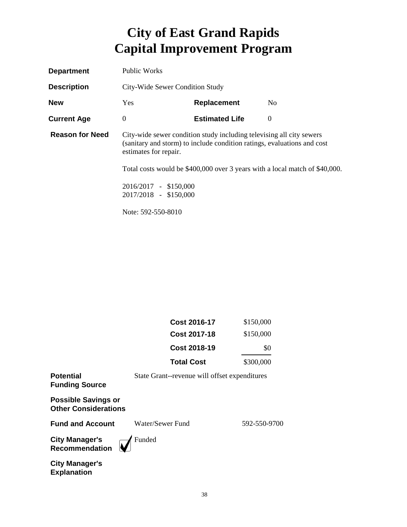| <b>Department</b>      | Public Works<br>City-Wide Sewer Condition Study                                                                                                                          |                       |                                                                             |
|------------------------|--------------------------------------------------------------------------------------------------------------------------------------------------------------------------|-----------------------|-----------------------------------------------------------------------------|
| <b>Description</b>     |                                                                                                                                                                          |                       |                                                                             |
| <b>New</b>             | <b>Yes</b>                                                                                                                                                               | <b>Replacement</b>    | N <sub>o</sub>                                                              |
| <b>Current Age</b>     | $\theta$                                                                                                                                                                 | <b>Estimated Life</b> | $\Omega$                                                                    |
| <b>Reason for Need</b> | City-wide sewer condition study including televising all city sewers<br>(sanitary and storm) to include condition ratings, evaluations and cost<br>estimates for repair. |                       |                                                                             |
|                        |                                                                                                                                                                          |                       | Total costs would be \$400,000 over 3 years with a local match of \$40,000. |
|                        | 2016/2017 - \$150,000                                                                                                                                                    |                       |                                                                             |
|                        | 2017/2018 - \$150,000                                                                                                                                                    |                       |                                                                             |
|                        | Note: 592-550-8010                                                                                                                                                       |                       |                                                                             |

| Cost 2016-17        | \$150,000 |
|---------------------|-----------|
| Cost 2017-18        | \$150,000 |
| <b>Cost 2018-19</b> | \$0       |
| <b>Total Cost</b>   | \$300,000 |

| Potential<br><b>Funding Source</b>                        | State Grant--revenue will offset expenditures |              |
|-----------------------------------------------------------|-----------------------------------------------|--------------|
| <b>Possible Savings or</b><br><b>Other Considerations</b> |                                               |              |
| <b>Fund and Account</b>                                   | Water/Sewer Fund                              | 592-550-9700 |
| City Manager's<br>Recommendation                          | Funded                                        |              |
| City Manager's                                            |                                               |              |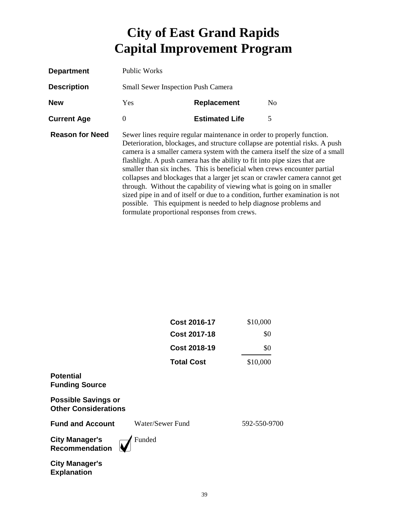| <b>Department</b>      | Public Works                                                                                                                                                                                                                                                                                                                                                                                                                                                                                                                                                                                                                                                                                                                                                  |                       |                |
|------------------------|---------------------------------------------------------------------------------------------------------------------------------------------------------------------------------------------------------------------------------------------------------------------------------------------------------------------------------------------------------------------------------------------------------------------------------------------------------------------------------------------------------------------------------------------------------------------------------------------------------------------------------------------------------------------------------------------------------------------------------------------------------------|-----------------------|----------------|
| <b>Description</b>     | <b>Small Sewer Inspection Push Camera</b>                                                                                                                                                                                                                                                                                                                                                                                                                                                                                                                                                                                                                                                                                                                     |                       |                |
| <b>New</b>             | <b>Yes</b>                                                                                                                                                                                                                                                                                                                                                                                                                                                                                                                                                                                                                                                                                                                                                    | Replacement           | N <sub>0</sub> |
| <b>Current Age</b>     | 0                                                                                                                                                                                                                                                                                                                                                                                                                                                                                                                                                                                                                                                                                                                                                             | <b>Estimated Life</b> | 5              |
| <b>Reason for Need</b> | Sewer lines require regular maintenance in order to properly function.<br>Deterioration, blockages, and structure collapse are potential risks. A push<br>camera is a smaller camera system with the camera itself the size of a small<br>flashlight. A push camera has the ability to fit into pipe sizes that are<br>smaller than six inches. This is beneficial when crews encounter partial<br>collapses and blockages that a larger jet scan or crawler camera cannot get<br>through. Without the capability of viewing what is going on in smaller<br>sized pipe in and of itself or due to a condition, further examination is not<br>possible. This equipment is needed to help diagnose problems and<br>formulate proportional responses from crews. |                       |                |

|                                                           | <b>Cost 2016-17</b> | \$10,000     |
|-----------------------------------------------------------|---------------------|--------------|
|                                                           | <b>Cost 2017-18</b> | \$0          |
|                                                           | <b>Cost 2018-19</b> | \$0          |
|                                                           | <b>Total Cost</b>   | \$10,000     |
| <b>Potential</b><br><b>Funding Source</b>                 |                     |              |
| <b>Possible Savings or</b><br><b>Other Considerations</b> |                     |              |
| <b>Fund and Account</b>                                   | Water/Sewer Fund    | 592-550-9700 |
| <b>City Manager's</b><br>Recommendation                   | Funded              |              |
| City Manager's                                            |                     |              |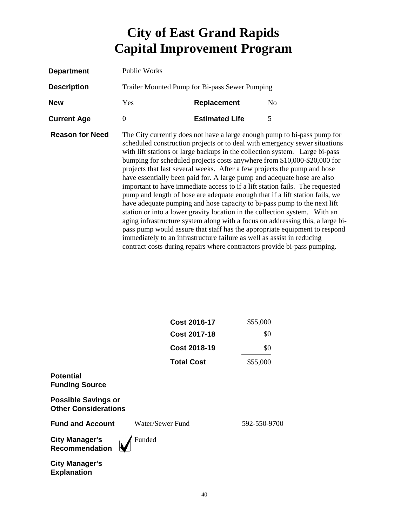| <b>Department</b>      | Public Works                                   |                                                                                                                                                                                                                                                                                                           |                                                                                                                                                                                                                                                                                                                                                                                                                                                                                                                                                                                                                                                                                                                                                                                                             |
|------------------------|------------------------------------------------|-----------------------------------------------------------------------------------------------------------------------------------------------------------------------------------------------------------------------------------------------------------------------------------------------------------|-------------------------------------------------------------------------------------------------------------------------------------------------------------------------------------------------------------------------------------------------------------------------------------------------------------------------------------------------------------------------------------------------------------------------------------------------------------------------------------------------------------------------------------------------------------------------------------------------------------------------------------------------------------------------------------------------------------------------------------------------------------------------------------------------------------|
| <b>Description</b>     | Trailer Mounted Pump for Bi-pass Sewer Pumping |                                                                                                                                                                                                                                                                                                           |                                                                                                                                                                                                                                                                                                                                                                                                                                                                                                                                                                                                                                                                                                                                                                                                             |
| <b>New</b>             | Yes                                            | <b>Replacement</b>                                                                                                                                                                                                                                                                                        | N <sub>0</sub>                                                                                                                                                                                                                                                                                                                                                                                                                                                                                                                                                                                                                                                                                                                                                                                              |
| <b>Current Age</b>     | $\overline{0}$                                 | <b>Estimated Life</b>                                                                                                                                                                                                                                                                                     | 5                                                                                                                                                                                                                                                                                                                                                                                                                                                                                                                                                                                                                                                                                                                                                                                                           |
| <b>Reason for Need</b> |                                                | projects that last several weeks. After a few projects the pump and hose<br>have essentially been paid for. A large pump and adequate hose are also<br>immediately to an infrastructure failure as well as assist in reducing<br>contract costs during repairs where contractors provide bi-pass pumping. | The City currently does not have a large enough pump to bi-pass pump for<br>scheduled construction projects or to deal with emergency sewer situations<br>with lift stations or large backups in the collection system. Large bi-pass<br>bumping for scheduled projects costs anywhere from \$10,000-\$20,000 for<br>important to have immediate access to if a lift station fails. The requested<br>pump and length of hose are adequate enough that if a lift station fails, we<br>have adequate pumping and hose capacity to bi-pass pump to the next lift<br>station or into a lower gravity location in the collection system. With an<br>aging infrastructure system along with a focus on addressing this, a large bi-<br>pass pump would assure that staff has the appropriate equipment to respond |

|                                                           | Cost 2016-17<br><b>Cost 2017-18</b> | \$55,000<br>\$0 |
|-----------------------------------------------------------|-------------------------------------|-----------------|
|                                                           | <b>Cost 2018-19</b>                 | \$0             |
|                                                           | <b>Total Cost</b>                   | \$55,000        |
| <b>Potential</b><br><b>Funding Source</b>                 |                                     |                 |
| <b>Possible Savings or</b><br><b>Other Considerations</b> |                                     |                 |
| <b>Fund and Account</b>                                   | Water/Sewer Fund                    | 592-550-9700    |
| <b>City Manager's</b><br><b>Recommendation</b>            | Funded                              |                 |
| <b>City Manager's</b>                                     |                                     |                 |

**Explanation**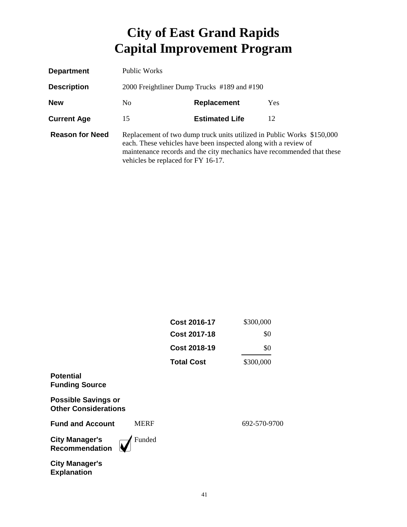| <b>Department</b>      | Public Works                                                                                                                                                                                                                                              |                       |     |
|------------------------|-----------------------------------------------------------------------------------------------------------------------------------------------------------------------------------------------------------------------------------------------------------|-----------------------|-----|
| <b>Description</b>     | 2000 Freightliner Dump Trucks #189 and #190                                                                                                                                                                                                               |                       |     |
| <b>New</b>             | No.                                                                                                                                                                                                                                                       | <b>Replacement</b>    | Yes |
| <b>Current Age</b>     | 15                                                                                                                                                                                                                                                        | <b>Estimated Life</b> | 12  |
| <b>Reason for Need</b> | Replacement of two dump truck units utilized in Public Works \$150,000<br>each. These vehicles have been inspected along with a review of<br>maintenance records and the city mechanics have recommended that these<br>vehicles be replaced for FY 16-17. |                       |     |

|                                                           |             | <b>Cost 2016-17</b> | \$300,000    |
|-----------------------------------------------------------|-------------|---------------------|--------------|
|                                                           |             | <b>Cost 2017-18</b> | \$0          |
|                                                           |             | <b>Cost 2018-19</b> | \$0          |
|                                                           |             | <b>Total Cost</b>   | \$300,000    |
| <b>Potential</b><br><b>Funding Source</b>                 |             |                     |              |
| <b>Possible Savings or</b><br><b>Other Considerations</b> |             |                     |              |
| <b>Fund and Account</b>                                   | <b>MERF</b> |                     | 692-570-9700 |
| <b>City Manager's</b><br>Recommendation                   | Funded      |                     |              |
| <b>City Manager's</b><br><b>Explanation</b>               |             |                     |              |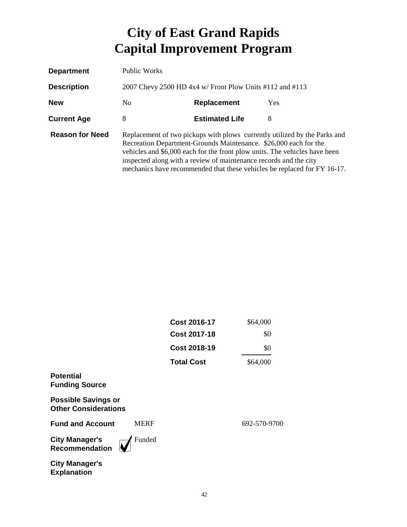| <b>Department</b>      | Public Works                                                                                                                                                                                                                                                                                                                                                                 |                       |            |
|------------------------|------------------------------------------------------------------------------------------------------------------------------------------------------------------------------------------------------------------------------------------------------------------------------------------------------------------------------------------------------------------------------|-----------------------|------------|
| <b>Description</b>     | 2007 Chevy 2500 HD 4x4 w/ Front Plow Units #112 and #113                                                                                                                                                                                                                                                                                                                     |                       |            |
| <b>New</b>             | No.                                                                                                                                                                                                                                                                                                                                                                          | Replacement           | <b>Yes</b> |
| <b>Current Age</b>     | 8                                                                                                                                                                                                                                                                                                                                                                            | <b>Estimated Life</b> | 8          |
| <b>Reason for Need</b> | Replacement of two pickups with plows currently utilized by the Parks and<br>Recreation Department-Grounds Maintenance. \$26,000 each for the<br>vehicles and \$6,000 each for the front plow units. The vehicles have been<br>inspected along with a review of maintenance records and the city<br>mechanics have recommended that these vehicles be replaced for FY 16-17. |                       |            |

|                                                           |             | <b>Cost 2016-17</b> | \$64,000     |
|-----------------------------------------------------------|-------------|---------------------|--------------|
|                                                           |             | <b>Cost 2017-18</b> | \$0          |
|                                                           |             | <b>Cost 2018-19</b> | \$0          |
|                                                           |             | <b>Total Cost</b>   | \$64,000     |
| <b>Potential</b><br><b>Funding Source</b>                 |             |                     |              |
| <b>Possible Savings or</b><br><b>Other Considerations</b> |             |                     |              |
| <b>Fund and Account</b>                                   | <b>MERF</b> |                     | 692-570-9700 |
| <b>City Manager's</b><br><b>Recommendation</b>            | Funded      |                     |              |
| <b>City Manager's</b><br><b>Explanation</b>               |             |                     |              |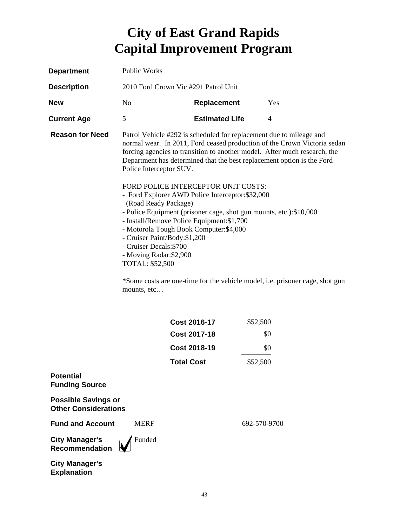| <b>Department</b>                                         | <b>Public Works</b>                                                                                                                                                                                                                                                                                                                                                                                                                                                                    |                                                                                                                                               |              |                                                                                                                                                       |
|-----------------------------------------------------------|----------------------------------------------------------------------------------------------------------------------------------------------------------------------------------------------------------------------------------------------------------------------------------------------------------------------------------------------------------------------------------------------------------------------------------------------------------------------------------------|-----------------------------------------------------------------------------------------------------------------------------------------------|--------------|-------------------------------------------------------------------------------------------------------------------------------------------------------|
| <b>Description</b>                                        | 2010 Ford Crown Vic #291 Patrol Unit                                                                                                                                                                                                                                                                                                                                                                                                                                                   |                                                                                                                                               |              |                                                                                                                                                       |
| <b>New</b>                                                | N <sub>o</sub>                                                                                                                                                                                                                                                                                                                                                                                                                                                                         | Replacement                                                                                                                                   |              | Yes                                                                                                                                                   |
| <b>Current Age</b>                                        | 5                                                                                                                                                                                                                                                                                                                                                                                                                                                                                      | <b>Estimated Life</b>                                                                                                                         |              | 4                                                                                                                                                     |
| <b>Reason for Need</b>                                    | Police Interceptor SUV.                                                                                                                                                                                                                                                                                                                                                                                                                                                                | Patrol Vehicle #292 is scheduled for replacement due to mileage and<br>Department has determined that the best replacement option is the Ford |              | normal wear. In 2011, Ford ceased production of the Crown Victoria sedan<br>forcing agencies to transition to another model. After much research, the |
|                                                           | FORD POLICE INTERCEPTOR UNIT COSTS:<br>- Ford Explorer AWD Police Interceptor: \$32,000<br>(Road Ready Package)<br>- Police Equipment (prisoner cage, shot gun mounts, etc.):\$10,000<br>- Install/Remove Police Equipment: \$1,700<br>- Motorola Tough Book Computer: \$4,000<br>- Cruiser Paint/Body:\$1,200<br>- Cruiser Decals: \$700<br>- Moving Radar: \$2,900<br>TOTAL: \$52,500<br>*Some costs are one-time for the vehicle model, i.e. prisoner cage, shot gun<br>mounts, etc |                                                                                                                                               |              |                                                                                                                                                       |
|                                                           |                                                                                                                                                                                                                                                                                                                                                                                                                                                                                        | <b>Cost 2016-17</b>                                                                                                                           | \$52,500     |                                                                                                                                                       |
|                                                           |                                                                                                                                                                                                                                                                                                                                                                                                                                                                                        | <b>Cost 2017-18</b>                                                                                                                           |              | \$0                                                                                                                                                   |
|                                                           |                                                                                                                                                                                                                                                                                                                                                                                                                                                                                        | <b>Cost 2018-19</b>                                                                                                                           |              | \$0                                                                                                                                                   |
|                                                           |                                                                                                                                                                                                                                                                                                                                                                                                                                                                                        | Total Cost                                                                                                                                    | \$52,500     |                                                                                                                                                       |
| <b>Potential</b><br><b>Funding Source</b>                 |                                                                                                                                                                                                                                                                                                                                                                                                                                                                                        |                                                                                                                                               |              |                                                                                                                                                       |
| <b>Possible Savings or</b><br><b>Other Considerations</b> |                                                                                                                                                                                                                                                                                                                                                                                                                                                                                        |                                                                                                                                               |              |                                                                                                                                                       |
| <b>Fund and Account</b>                                   | <b>MERF</b>                                                                                                                                                                                                                                                                                                                                                                                                                                                                            |                                                                                                                                               | 692-570-9700 |                                                                                                                                                       |
| <b>City Manager's</b><br><b>Recommendation</b>            | Funded                                                                                                                                                                                                                                                                                                                                                                                                                                                                                 |                                                                                                                                               |              |                                                                                                                                                       |
| <b>City Manager's</b><br><b>Explanation</b>               |                                                                                                                                                                                                                                                                                                                                                                                                                                                                                        |                                                                                                                                               |              |                                                                                                                                                       |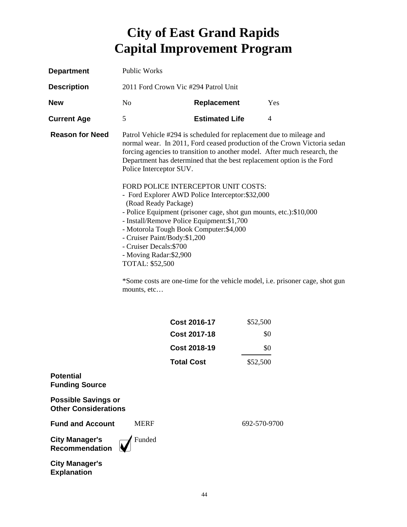| <b>Department</b>                                         | <b>Public Works</b>                                                                                                                                                                                                                                                                                                                                                                                                                                                                    |                       |                                                                                                                                                                                                                                                                                                        |  |
|-----------------------------------------------------------|----------------------------------------------------------------------------------------------------------------------------------------------------------------------------------------------------------------------------------------------------------------------------------------------------------------------------------------------------------------------------------------------------------------------------------------------------------------------------------------|-----------------------|--------------------------------------------------------------------------------------------------------------------------------------------------------------------------------------------------------------------------------------------------------------------------------------------------------|--|
| <b>Description</b>                                        | 2011 Ford Crown Vic #294 Patrol Unit                                                                                                                                                                                                                                                                                                                                                                                                                                                   |                       |                                                                                                                                                                                                                                                                                                        |  |
| <b>New</b>                                                | N <sub>0</sub>                                                                                                                                                                                                                                                                                                                                                                                                                                                                         | Replacement           | Yes                                                                                                                                                                                                                                                                                                    |  |
| <b>Current Age</b>                                        | 5                                                                                                                                                                                                                                                                                                                                                                                                                                                                                      | <b>Estimated Life</b> | $\overline{4}$                                                                                                                                                                                                                                                                                         |  |
| <b>Reason for Need</b>                                    | Police Interceptor SUV.                                                                                                                                                                                                                                                                                                                                                                                                                                                                |                       | Patrol Vehicle #294 is scheduled for replacement due to mileage and<br>normal wear. In 2011, Ford ceased production of the Crown Victoria sedan<br>forcing agencies to transition to another model. After much research, the<br>Department has determined that the best replacement option is the Ford |  |
|                                                           | FORD POLICE INTERCEPTOR UNIT COSTS:<br>- Ford Explorer AWD Police Interceptor: \$32,000<br>(Road Ready Package)<br>- Police Equipment (prisoner cage, shot gun mounts, etc.):\$10,000<br>- Install/Remove Police Equipment: \$1,700<br>- Motorola Tough Book Computer: \$4,000<br>- Cruiser Paint/Body:\$1,200<br>- Cruiser Decals: \$700<br>- Moving Radar: \$2,900<br>TOTAL: \$52,500<br>*Some costs are one-time for the vehicle model, i.e. prisoner cage, shot gun<br>mounts, etc |                       |                                                                                                                                                                                                                                                                                                        |  |
|                                                           |                                                                                                                                                                                                                                                                                                                                                                                                                                                                                        | <b>Cost 2016-17</b>   | \$52,500                                                                                                                                                                                                                                                                                               |  |
|                                                           |                                                                                                                                                                                                                                                                                                                                                                                                                                                                                        | <b>Cost 2017-18</b>   | \$0                                                                                                                                                                                                                                                                                                    |  |
|                                                           |                                                                                                                                                                                                                                                                                                                                                                                                                                                                                        | <b>Cost 2018-19</b>   | \$0                                                                                                                                                                                                                                                                                                    |  |
|                                                           |                                                                                                                                                                                                                                                                                                                                                                                                                                                                                        | <b>Total Cost</b>     | \$52,500                                                                                                                                                                                                                                                                                               |  |
| <b>Potential</b><br><b>Funding Source</b>                 |                                                                                                                                                                                                                                                                                                                                                                                                                                                                                        |                       |                                                                                                                                                                                                                                                                                                        |  |
| <b>Possible Savings or</b><br><b>Other Considerations</b> |                                                                                                                                                                                                                                                                                                                                                                                                                                                                                        |                       |                                                                                                                                                                                                                                                                                                        |  |
| <b>Fund and Account</b>                                   | <b>MERF</b>                                                                                                                                                                                                                                                                                                                                                                                                                                                                            |                       | 692-570-9700                                                                                                                                                                                                                                                                                           |  |
| <b>City Manager's</b><br><b>Recommendation</b>            | Funded                                                                                                                                                                                                                                                                                                                                                                                                                                                                                 |                       |                                                                                                                                                                                                                                                                                                        |  |
| <b>City Manager's</b><br><b>Explanation</b>               |                                                                                                                                                                                                                                                                                                                                                                                                                                                                                        |                       |                                                                                                                                                                                                                                                                                                        |  |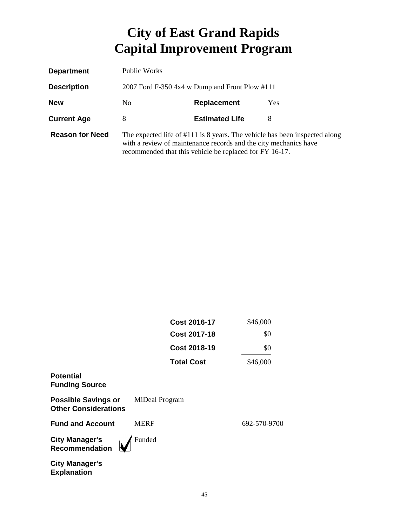| <b>Department</b>      | Public Works                                                                                                                                                                                              |                       |      |
|------------------------|-----------------------------------------------------------------------------------------------------------------------------------------------------------------------------------------------------------|-----------------------|------|
| <b>Description</b>     | 2007 Ford F-350 4x4 w Dump and Front Plow #111                                                                                                                                                            |                       |      |
| <b>New</b>             | N <sub>0</sub>                                                                                                                                                                                            | <b>Replacement</b>    | Yes. |
| <b>Current Age</b>     | 8                                                                                                                                                                                                         | <b>Estimated Life</b> | 8    |
| <b>Reason for Need</b> | The expected life of #111 is 8 years. The vehicle has been inspected along<br>with a review of maintenance records and the city mechanics have<br>recommended that this vehicle be replaced for FY 16-17. |                       |      |

|                                                           | <b>Cost 2016-17</b> | \$46,000     |
|-----------------------------------------------------------|---------------------|--------------|
|                                                           | <b>Cost 2017-18</b> | \$0          |
|                                                           | <b>Cost 2018-19</b> | \$0          |
|                                                           | <b>Total Cost</b>   | \$46,000     |
| <b>Potential</b><br><b>Funding Source</b>                 |                     |              |
| <b>Possible Savings or</b><br><b>Other Considerations</b> | MiDeal Program      |              |
| <b>Fund and Account</b>                                   | <b>MERF</b>         | 692-570-9700 |
| <b>City Manager's</b><br><b>Recommendation</b>            | Funded              |              |
| <b>City Manager's</b><br><b>Explanation</b>               |                     |              |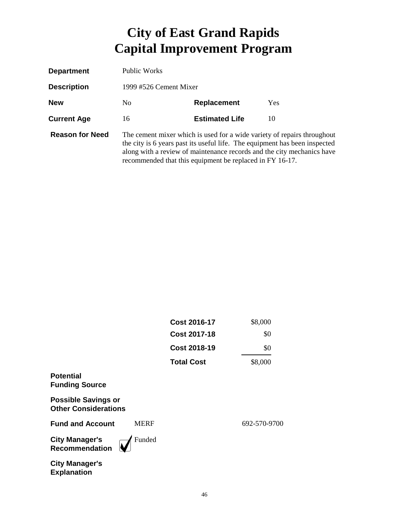| <b>Department</b>      | Public Works           |                                                                                                                                                                                                                                                                                             |     |
|------------------------|------------------------|---------------------------------------------------------------------------------------------------------------------------------------------------------------------------------------------------------------------------------------------------------------------------------------------|-----|
| <b>Description</b>     | 1999 #526 Cement Mixer |                                                                                                                                                                                                                                                                                             |     |
| <b>New</b>             | N <sub>0</sub>         | <b>Replacement</b>                                                                                                                                                                                                                                                                          | Yes |
| <b>Current Age</b>     | 16                     | <b>Estimated Life</b>                                                                                                                                                                                                                                                                       | 10  |
| <b>Reason for Need</b> |                        | The cement mixer which is used for a wide variety of repairs throughout<br>the city is 6 years past its useful life. The equipment has been inspected<br>along with a review of maintenance records and the city mechanics have<br>recommended that this equipment be replaced in FY 16-17. |     |

|                                                           | <b>Cost 2016-17</b> | \$8,000      |
|-----------------------------------------------------------|---------------------|--------------|
|                                                           | <b>Cost 2017-18</b> | \$0          |
|                                                           | <b>Cost 2018-19</b> | \$0          |
|                                                           | <b>Total Cost</b>   | \$8,000      |
| <b>Potential</b><br><b>Funding Source</b>                 |                     |              |
| <b>Possible Savings or</b><br><b>Other Considerations</b> |                     |              |
| <b>Fund and Account</b><br><b>MERF</b>                    |                     | 692-570-9700 |
| Funded<br><b>City Manager's</b><br><b>Recommendation</b>  |                     |              |
| <b>City Manager's</b><br><b>Explanation</b>               |                     |              |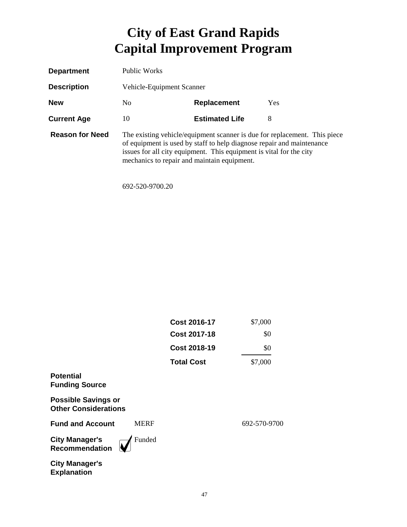| <b>Department</b>      | Public Works                                       |                                                                                                                                              |                                                                           |
|------------------------|----------------------------------------------------|----------------------------------------------------------------------------------------------------------------------------------------------|---------------------------------------------------------------------------|
| <b>Description</b>     | Vehicle-Equipment Scanner                          |                                                                                                                                              |                                                                           |
| <b>New</b>             | <b>Yes</b><br>N <sub>0</sub><br><b>Replacement</b> |                                                                                                                                              |                                                                           |
| <b>Current Age</b>     | 10                                                 | <b>Estimated Life</b>                                                                                                                        | 8                                                                         |
| <b>Reason for Need</b> | mechanics to repair and maintain equipment.        | of equipment is used by staff to help diagnose repair and maintenance<br>issues for all city equipment. This equipment is vital for the city | The existing vehicle/equipment scanner is due for replacement. This piece |

692-520-9700.20

|                                                           |             | <b>Cost 2016-17</b> | \$7,000      |
|-----------------------------------------------------------|-------------|---------------------|--------------|
|                                                           |             | <b>Cost 2017-18</b> | \$0          |
|                                                           |             | <b>Cost 2018-19</b> | \$0          |
|                                                           |             | <b>Total Cost</b>   | \$7,000      |
| <b>Potential</b><br><b>Funding Source</b>                 |             |                     |              |
| <b>Possible Savings or</b><br><b>Other Considerations</b> |             |                     |              |
| <b>Fund and Account</b>                                   | <b>MERF</b> |                     | 692-570-9700 |
| <b>City Manager's</b><br>Recommendation                   | Funded      |                     |              |
| <b>City Manager's</b><br><b>Explanation</b>               |             |                     |              |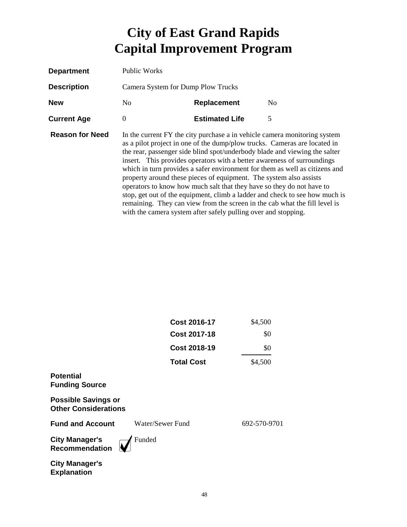| <b>Department</b>      | Public Works                       |                                                                                                                                                                                                                                                                                          |                                                                                                                                                                                                                                                                                                                                                                                                                                                                                  |
|------------------------|------------------------------------|------------------------------------------------------------------------------------------------------------------------------------------------------------------------------------------------------------------------------------------------------------------------------------------|----------------------------------------------------------------------------------------------------------------------------------------------------------------------------------------------------------------------------------------------------------------------------------------------------------------------------------------------------------------------------------------------------------------------------------------------------------------------------------|
| <b>Description</b>     | Camera System for Dump Plow Trucks |                                                                                                                                                                                                                                                                                          |                                                                                                                                                                                                                                                                                                                                                                                                                                                                                  |
| <b>New</b>             | No.                                | <b>Replacement</b>                                                                                                                                                                                                                                                                       | N <sub>0</sub>                                                                                                                                                                                                                                                                                                                                                                                                                                                                   |
| <b>Current Age</b>     | 0                                  | <b>Estimated Life</b>                                                                                                                                                                                                                                                                    | 5                                                                                                                                                                                                                                                                                                                                                                                                                                                                                |
| <b>Reason for Need</b> |                                    | insert. This provides operators with a better awareness of surroundings<br>property around these pieces of equipment. The system also assists<br>operators to know how much salt that they have so they do not have to<br>with the camera system after safely pulling over and stopping. | In the current FY the city purchase a in vehicle camera monitoring system<br>as a pilot project in one of the dump/plow trucks. Cameras are located in<br>the rear, passenger side blind spot/underbody blade and viewing the salter<br>which in turn provides a safer environment for them as well as citizens and<br>stop, get out of the equipment, climb a ladder and check to see how much is<br>remaining. They can view from the screen in the cab what the fill level is |

|                                                           | <b>Cost 2016-17</b> | \$4,500      |
|-----------------------------------------------------------|---------------------|--------------|
|                                                           | <b>Cost 2017-18</b> | \$0          |
|                                                           | <b>Cost 2018-19</b> | \$0          |
|                                                           | <b>Total Cost</b>   | \$4,500      |
| <b>Potential</b><br><b>Funding Source</b>                 |                     |              |
| <b>Possible Savings or</b><br><b>Other Considerations</b> |                     |              |
| <b>Fund and Account</b>                                   | Water/Sewer Fund    | 692-570-9701 |
| <b>City Manager's</b><br><b>Recommendation</b>            | Funded              |              |
| <b>City Manager's</b>                                     |                     |              |

**Explanation**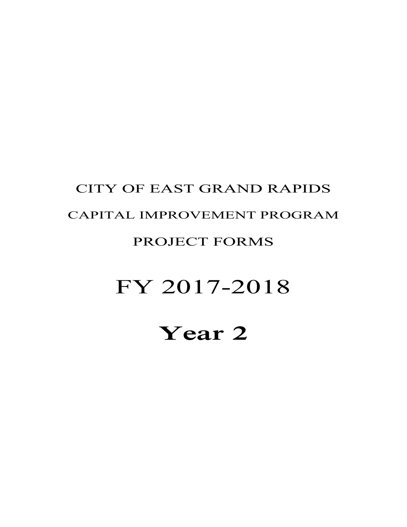# **Year 2**

# FY 2017-2018

#### PROJECT FORMS

# CAPITAL IMPROVEMENT PROGRAM

CITY OF EAST GRAND RAPIDS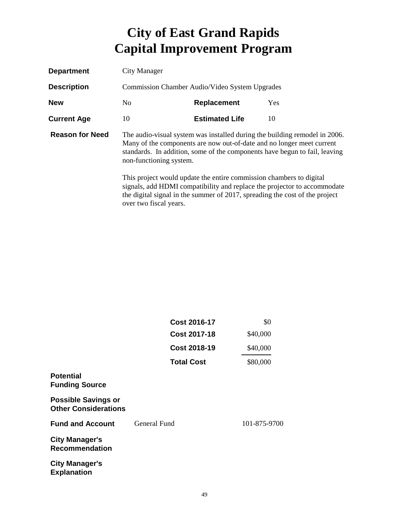| <b>Department</b>      | City Manager                                                                                                                                                                                                                                                 |                                  |    |  |  |
|------------------------|--------------------------------------------------------------------------------------------------------------------------------------------------------------------------------------------------------------------------------------------------------------|----------------------------------|----|--|--|
| <b>Description</b>     | Commission Chamber Audio/Video System Upgrades                                                                                                                                                                                                               |                                  |    |  |  |
| <b>New</b>             | No.                                                                                                                                                                                                                                                          | <b>Yes</b><br><b>Replacement</b> |    |  |  |
| <b>Current Age</b>     | 10                                                                                                                                                                                                                                                           | <b>Estimated Life</b>            | 10 |  |  |
| <b>Reason for Need</b> | The audio-visual system was installed during the building remodel in 2006.<br>Many of the components are now out-of-date and no longer meet current<br>standards. In addition, some of the components have begun to fail, leaving<br>non-functioning system. |                                  |    |  |  |
|                        | This project would update the entire commission chambers to digital<br>signals, add HDMI compatibility and replace the projector to accommodate<br>the digital signal in the summer of 2017, spreading the cost of the project<br>over two fiscal years.     |                                  |    |  |  |

|                                                           | <b>Cost 2016-17</b> | \$0          |
|-----------------------------------------------------------|---------------------|--------------|
|                                                           | <b>Cost 2017-18</b> | \$40,000     |
|                                                           | <b>Cost 2018-19</b> | \$40,000     |
|                                                           | <b>Total Cost</b>   | \$80,000     |
| <b>Potential</b><br><b>Funding Source</b>                 |                     |              |
| <b>Possible Savings or</b><br><b>Other Considerations</b> |                     |              |
| <b>Fund and Account</b>                                   | General Fund        | 101-875-9700 |
| <b>City Manager's</b><br><b>Recommendation</b>            |                     |              |
| <b>City Manager's</b><br><b>Explanation</b>               |                     |              |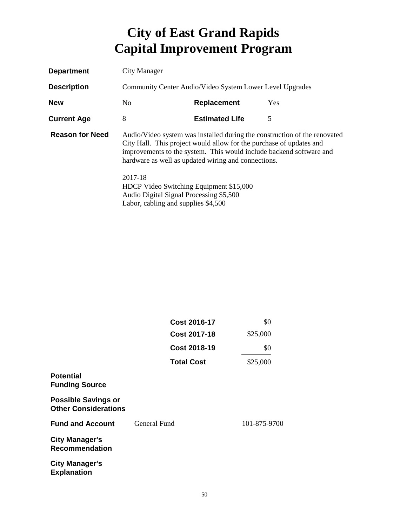| <b>Department</b>      | City Manager                                                                                                                                                                                                                                                                   |                                                                                                                           |            |
|------------------------|--------------------------------------------------------------------------------------------------------------------------------------------------------------------------------------------------------------------------------------------------------------------------------|---------------------------------------------------------------------------------------------------------------------------|------------|
| <b>Description</b>     | Community Center Audio/Video System Lower Level Upgrades                                                                                                                                                                                                                       |                                                                                                                           |            |
| <b>New</b>             | N <sub>0</sub>                                                                                                                                                                                                                                                                 | Replacement                                                                                                               | <b>Yes</b> |
| <b>Current Age</b>     | 8                                                                                                                                                                                                                                                                              | <b>Estimated Life</b>                                                                                                     | 5          |
| <b>Reason for Need</b> | Audio/Video system was installed during the construction of the renovated<br>City Hall. This project would allow for the purchase of updates and<br>improvements to the system. This would include backend software and<br>hardware as well as updated wiring and connections. |                                                                                                                           |            |
|                        | 2017-18                                                                                                                                                                                                                                                                        | HDCP Video Switching Equipment \$15,000<br>Audio Digital Signal Processing \$5,500<br>Labor, cabling and supplies \$4,500 |            |

|                                                           | <b>Cost 2016-17</b> | \$0          |
|-----------------------------------------------------------|---------------------|--------------|
|                                                           | <b>Cost 2017-18</b> | \$25,000     |
|                                                           | <b>Cost 2018-19</b> | \$0          |
|                                                           | <b>Total Cost</b>   | \$25,000     |
| <b>Potential</b><br><b>Funding Source</b>                 |                     |              |
| <b>Possible Savings or</b><br><b>Other Considerations</b> |                     |              |
| <b>Fund and Account</b>                                   | General Fund        | 101-875-9700 |
| <b>City Manager's</b><br><b>Recommendation</b>            |                     |              |
| <b>City Manager's</b><br><b>Explanation</b>               |                     |              |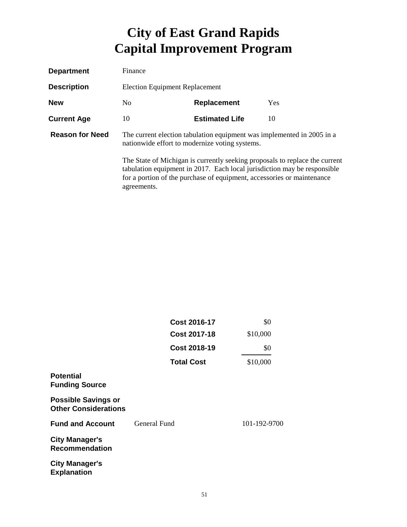| <b>Department</b>      | Finance                                                                                                                                                                                                                                          |                       |            |
|------------------------|--------------------------------------------------------------------------------------------------------------------------------------------------------------------------------------------------------------------------------------------------|-----------------------|------------|
| <b>Description</b>     | <b>Election Equipment Replacement</b>                                                                                                                                                                                                            |                       |            |
| <b>New</b>             | N <sub>0</sub>                                                                                                                                                                                                                                   | <b>Replacement</b>    | <b>Yes</b> |
| <b>Current Age</b>     | 10                                                                                                                                                                                                                                               | <b>Estimated Life</b> | 10         |
| <b>Reason for Need</b> | The current election tabulation equipment was implemented in 2005 in a<br>nationwide effort to modernize voting systems.                                                                                                                         |                       |            |
|                        | The State of Michigan is currently seeking proposals to replace the current<br>tabulation equipment in 2017. Each local jurisdiction may be responsible<br>for a portion of the purchase of equipment, accessories or maintenance<br>agreements. |                       |            |

|                                                           | <b>Cost 2016-17</b> | \$0          |
|-----------------------------------------------------------|---------------------|--------------|
|                                                           | <b>Cost 2017-18</b> | \$10,000     |
|                                                           | <b>Cost 2018-19</b> | \$0          |
|                                                           | <b>Total Cost</b>   | \$10,000     |
| <b>Potential</b><br><b>Funding Source</b>                 |                     |              |
| <b>Possible Savings or</b><br><b>Other Considerations</b> |                     |              |
| <b>Fund and Account</b>                                   | General Fund        | 101-192-9700 |
| <b>City Manager's</b><br><b>Recommendation</b>            |                     |              |
| <b>City Manager's</b><br><b>Explanation</b>               |                     |              |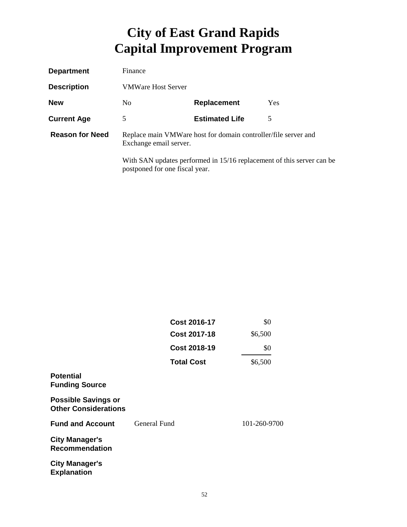| <b>Department</b>      | Finance                                                                                   |                                                                       |     |
|------------------------|-------------------------------------------------------------------------------------------|-----------------------------------------------------------------------|-----|
| <b>Description</b>     | <b>VMWare Host Server</b>                                                                 |                                                                       |     |
| <b>New</b>             | N <sub>0</sub>                                                                            | <b>Replacement</b>                                                    | Yes |
| <b>Current Age</b>     | 5                                                                                         | <b>Estimated Life</b>                                                 | 5   |
| <b>Reason for Need</b> | Replace main VMW are host for domain controller/file server and<br>Exchange email server. |                                                                       |     |
|                        | postponed for one fiscal year.                                                            | With SAN updates performed in 15/16 replacement of this server can be |     |

|                                                           | <b>Cost 2016-17</b> | \$0          |
|-----------------------------------------------------------|---------------------|--------------|
|                                                           | <b>Cost 2017-18</b> | \$6,500      |
|                                                           | <b>Cost 2018-19</b> | \$0          |
|                                                           | <b>Total Cost</b>   | \$6,500      |
| <b>Potential</b><br><b>Funding Source</b>                 |                     |              |
| <b>Possible Savings or</b><br><b>Other Considerations</b> |                     |              |
| <b>Fund and Account</b>                                   | General Fund        | 101-260-9700 |
| <b>City Manager's</b><br><b>Recommendation</b>            |                     |              |
| <b>City Manager's</b><br><b>Explanation</b>               |                     |              |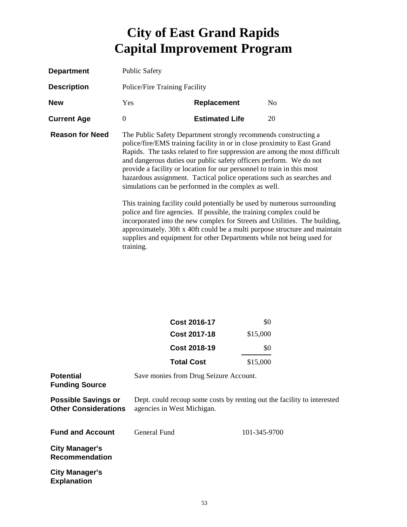| <b>Department</b>      | <b>Public Safety</b>                                                                                                                                                                                                                                                                                                                                                                                                                                                                                                                                                                   |                                                                      |                                                                                                                                                          |
|------------------------|----------------------------------------------------------------------------------------------------------------------------------------------------------------------------------------------------------------------------------------------------------------------------------------------------------------------------------------------------------------------------------------------------------------------------------------------------------------------------------------------------------------------------------------------------------------------------------------|----------------------------------------------------------------------|----------------------------------------------------------------------------------------------------------------------------------------------------------|
| <b>Description</b>     | Police/Fire Training Facility                                                                                                                                                                                                                                                                                                                                                                                                                                                                                                                                                          |                                                                      |                                                                                                                                                          |
| <b>New</b>             | Yes                                                                                                                                                                                                                                                                                                                                                                                                                                                                                                                                                                                    | <b>Replacement</b>                                                   | N <sub>0</sub>                                                                                                                                           |
| <b>Current Age</b>     | $\theta$                                                                                                                                                                                                                                                                                                                                                                                                                                                                                                                                                                               | <b>Estimated Life</b>                                                | 20                                                                                                                                                       |
| <b>Reason for Need</b> | The Public Safety Department strongly recommends constructing a<br>police/fire/EMS training facility in or in close proximity to East Grand<br>Rapids. The tasks related to fire suppression are among the most difficult<br>and dangerous duties our public safety officers perform. We do not<br>provide a facility or location for our personnel to train in this most<br>hazardous assignment. Tactical police operations such as searches and<br>simulations can be performed in the complex as well.<br>This training facility could potentially be used by numerous surrounding |                                                                      |                                                                                                                                                          |
|                        |                                                                                                                                                                                                                                                                                                                                                                                                                                                                                                                                                                                        | police and fire agencies. If possible, the training complex could be | incorporated into the new complex for Streets and Utilities. The building,<br>approximately. 30ft x 40ft could be a multi purpose structure and maintain |

training.

supplies and equipment for other Departments while not being used for

|                                                           | <b>Cost 2016-17</b>                                                                                   | \$0          |
|-----------------------------------------------------------|-------------------------------------------------------------------------------------------------------|--------------|
|                                                           | <b>Cost 2017-18</b>                                                                                   | \$15,000     |
|                                                           | <b>Cost 2018-19</b>                                                                                   | \$0          |
|                                                           | <b>Total Cost</b>                                                                                     | \$15,000     |
| <b>Potential</b><br><b>Funding Source</b>                 | Save monies from Drug Seizure Account.                                                                |              |
| <b>Possible Savings or</b><br><b>Other Considerations</b> | Dept. could recoup some costs by renting out the facility to interested<br>agencies in West Michigan. |              |
| <b>Fund and Account</b>                                   | General Fund                                                                                          | 101-345-9700 |
| <b>City Manager's</b><br><b>Recommendation</b>            |                                                                                                       |              |
| <b>City Manager's</b><br><b>Explanation</b>               |                                                                                                       |              |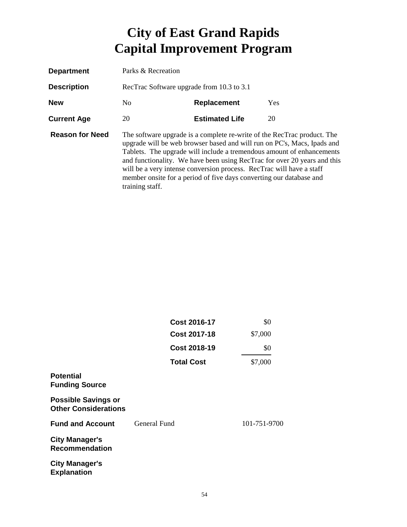| <b>Department</b>      | Parks & Recreation                        |                                                                                                                                                                                                                        |                                                                                                                                                                                                                              |  |
|------------------------|-------------------------------------------|------------------------------------------------------------------------------------------------------------------------------------------------------------------------------------------------------------------------|------------------------------------------------------------------------------------------------------------------------------------------------------------------------------------------------------------------------------|--|
| <b>Description</b>     | RecTrac Software upgrade from 10.3 to 3.1 |                                                                                                                                                                                                                        |                                                                                                                                                                                                                              |  |
| <b>New</b>             | No.<br><b>Yes</b><br><b>Replacement</b>   |                                                                                                                                                                                                                        |                                                                                                                                                                                                                              |  |
| <b>Current Age</b>     | 20                                        | <b>Estimated Life</b>                                                                                                                                                                                                  | 20                                                                                                                                                                                                                           |  |
| <b>Reason for Need</b> | training staff.                           | The software upgrade is a complete re-write of the RecTrac product. The<br>will be a very intense conversion process. RecTrac will have a staff<br>member onsite for a period of five days converting our database and | upgrade will be web browser based and will run on PC's, Macs, Ipads and<br>Tablets. The upgrade will include a tremendous amount of enhancements<br>and functionality. We have been using RecTrac for over 20 years and this |  |

|                                                           | <b>Cost 2016-17</b> | \$0          |
|-----------------------------------------------------------|---------------------|--------------|
|                                                           | <b>Cost 2017-18</b> | \$7,000      |
|                                                           | <b>Cost 2018-19</b> | \$0          |
|                                                           | <b>Total Cost</b>   | \$7,000      |
| <b>Potential</b><br><b>Funding Source</b>                 |                     |              |
| <b>Possible Savings or</b><br><b>Other Considerations</b> |                     |              |
| <b>Fund and Account</b>                                   | General Fund        | 101-751-9700 |
| <b>City Manager's</b><br><b>Recommendation</b>            |                     |              |
| <b>City Manager's</b><br><b>Explanation</b>               |                     |              |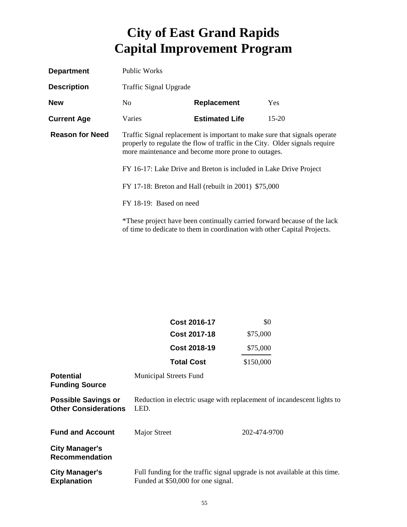| <b>Department</b>      | Public Works                                                                                                                                                                                                   |                                                                                                                                                      |         |
|------------------------|----------------------------------------------------------------------------------------------------------------------------------------------------------------------------------------------------------------|------------------------------------------------------------------------------------------------------------------------------------------------------|---------|
| <b>Description</b>     | <b>Traffic Signal Upgrade</b>                                                                                                                                                                                  |                                                                                                                                                      |         |
| <b>New</b>             | No.                                                                                                                                                                                                            | <b>Replacement</b>                                                                                                                                   | Yes     |
| <b>Current Age</b>     | Varies                                                                                                                                                                                                         | <b>Estimated Life</b>                                                                                                                                | $15-20$ |
| <b>Reason for Need</b> | Traffic Signal replacement is important to make sure that signals operate<br>properly to regulate the flow of traffic in the City. Older signals require<br>more maintenance and become more prone to outages. |                                                                                                                                                      |         |
|                        | FY 16-17: Lake Drive and Breton is included in Lake Drive Project                                                                                                                                              |                                                                                                                                                      |         |
|                        | FY 17-18: Breton and Hall (rebuilt in 2001) \$75,000                                                                                                                                                           |                                                                                                                                                      |         |
|                        | FY 18-19: Based on need                                                                                                                                                                                        |                                                                                                                                                      |         |
|                        |                                                                                                                                                                                                                | *These project have been continually carried forward because of the lack<br>of time to dedicate to them in coordination with other Capital Projects. |         |

|                                                           | Cost 2016-17                                                                                                     | \$0          |
|-----------------------------------------------------------|------------------------------------------------------------------------------------------------------------------|--------------|
|                                                           | <b>Cost 2017-18</b>                                                                                              | \$75,000     |
|                                                           | <b>Cost 2018-19</b>                                                                                              | \$75,000     |
|                                                           | <b>Total Cost</b>                                                                                                | \$150,000    |
| <b>Potential</b><br><b>Funding Source</b>                 | <b>Municipal Streets Fund</b>                                                                                    |              |
| <b>Possible Savings or</b><br><b>Other Considerations</b> | Reduction in electric usage with replacement of incandescent lights to<br>LED.                                   |              |
| <b>Fund and Account</b>                                   | Major Street                                                                                                     | 202-474-9700 |
| <b>City Manager's</b><br><b>Recommendation</b>            |                                                                                                                  |              |
| <b>City Manager's</b><br><b>Explanation</b>               | Full funding for the traffic signal upgrade is not available at this time.<br>Funded at \$50,000 for one signal. |              |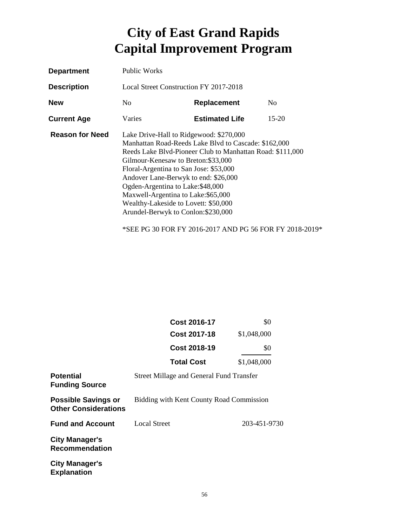| <b>Department</b>      | Public Works                                                                                                                                                                                                                                                                                                                                                                                                                                     |                       |         |
|------------------------|--------------------------------------------------------------------------------------------------------------------------------------------------------------------------------------------------------------------------------------------------------------------------------------------------------------------------------------------------------------------------------------------------------------------------------------------------|-----------------------|---------|
| <b>Description</b>     | Local Street Construction FY 2017-2018                                                                                                                                                                                                                                                                                                                                                                                                           |                       |         |
| <b>New</b>             | No.                                                                                                                                                                                                                                                                                                                                                                                                                                              | Replacement           | No.     |
| <b>Current Age</b>     | Varies                                                                                                                                                                                                                                                                                                                                                                                                                                           | <b>Estimated Life</b> | $15-20$ |
| <b>Reason for Need</b> | Lake Drive-Hall to Ridgewood: \$270,000<br>Manhattan Road-Reeds Lake Blvd to Cascade: \$162,000<br>Reeds Lake Blvd-Pioneer Club to Manhattan Road: \$111,000<br>Gilmour-Kenesaw to Breton: \$33,000<br>Floral-Argentina to San Jose: \$53,000<br>Andover Lane-Berwyk to end: \$26,000<br>Ogden-Argentina to Lake: \$48,000<br>Maxwell-Argentina to Lake: \$65,000<br>Wealthy-Lakeside to Lovett: \$50,000<br>Arundel-Berwyk to Conlon: \$230,000 |                       |         |

\*SEE PG 30 FOR FY 2016-2017 AND PG 56 FOR FY 2018-2019\*

|                                                           | <b>Cost 2016-17</b>                             | \$0          |
|-----------------------------------------------------------|-------------------------------------------------|--------------|
|                                                           | <b>Cost 2017-18</b>                             | \$1,048,000  |
|                                                           | Cost 2018-19                                    | \$0          |
|                                                           | <b>Total Cost</b>                               | \$1,048,000  |
| <b>Potential</b><br><b>Funding Source</b>                 | <b>Street Millage and General Fund Transfer</b> |              |
| <b>Possible Savings or</b><br><b>Other Considerations</b> | Bidding with Kent County Road Commission        |              |
| <b>Fund and Account</b>                                   | Local Street                                    | 203-451-9730 |
| <b>City Manager's</b><br><b>Recommendation</b>            |                                                 |              |
| <b>City Manager's</b><br><b>Explanation</b>               |                                                 |              |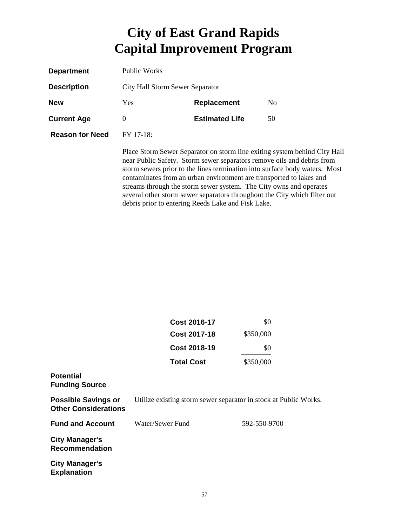| <b>Department</b>      | Public Works                    |                                                                                                                                                                                                                                                                                                                                                        |                                                                                                                                                         |
|------------------------|---------------------------------|--------------------------------------------------------------------------------------------------------------------------------------------------------------------------------------------------------------------------------------------------------------------------------------------------------------------------------------------------------|---------------------------------------------------------------------------------------------------------------------------------------------------------|
| <b>Description</b>     | City Hall Storm Sewer Separator |                                                                                                                                                                                                                                                                                                                                                        |                                                                                                                                                         |
| <b>New</b>             | Yes.                            | <b>Replacement</b>                                                                                                                                                                                                                                                                                                                                     | N <sub>0</sub>                                                                                                                                          |
| <b>Current Age</b>     | 0                               | <b>Estimated Life</b>                                                                                                                                                                                                                                                                                                                                  | 50                                                                                                                                                      |
| <b>Reason for Need</b> | FY 17-18:                       |                                                                                                                                                                                                                                                                                                                                                        |                                                                                                                                                         |
|                        |                                 | near Public Safety. Storm sewer separators remove oils and debris from<br>contaminates from an urban environment are transported to lakes and<br>streams through the storm sewer system. The City owns and operates<br>several other storm sewer separators throughout the City which filter out<br>debris prior to entering Reeds Lake and Fisk Lake. | Place Storm Sewer Separator on storm line exiting system behind City Hall<br>storm sewers prior to the lines termination into surface body waters. Most |

|                                                           | <b>Cost 2016-17</b>                                              | \$0          |
|-----------------------------------------------------------|------------------------------------------------------------------|--------------|
|                                                           | <b>Cost 2017-18</b>                                              | \$350,000    |
|                                                           | <b>Cost 2018-19</b>                                              | \$0          |
|                                                           | <b>Total Cost</b>                                                | \$350,000    |
| <b>Potential</b><br><b>Funding Source</b>                 |                                                                  |              |
| <b>Possible Savings or</b><br><b>Other Considerations</b> | Utilize existing storm sewer separator in stock at Public Works. |              |
| <b>Fund and Account</b>                                   | Water/Sewer Fund                                                 | 592-550-9700 |
| <b>City Manager's</b><br><b>Recommendation</b>            |                                                                  |              |
| <b>City Manager's</b><br><b>Explanation</b>               |                                                                  |              |
|                                                           |                                                                  |              |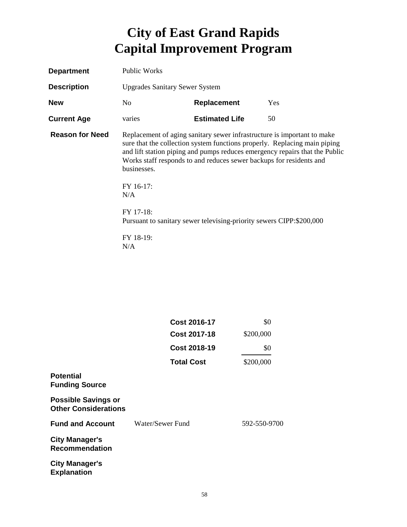| <b>Department</b>      | <b>Public Works</b>                                                                                                                                                                                                                                                                                                                                                                                                                |                       |     |
|------------------------|------------------------------------------------------------------------------------------------------------------------------------------------------------------------------------------------------------------------------------------------------------------------------------------------------------------------------------------------------------------------------------------------------------------------------------|-----------------------|-----|
| <b>Description</b>     | <b>Upgrades Sanitary Sewer System</b>                                                                                                                                                                                                                                                                                                                                                                                              |                       |     |
| <b>New</b>             | No.                                                                                                                                                                                                                                                                                                                                                                                                                                | <b>Replacement</b>    | Yes |
| <b>Current Age</b>     | varies                                                                                                                                                                                                                                                                                                                                                                                                                             | <b>Estimated Life</b> | 50  |
| <b>Reason for Need</b> | Replacement of aging sanitary sewer infrastructure is important to make<br>sure that the collection system functions properly. Replacing main piping<br>and lift station piping and pumps reduces emergency repairs that the Public<br>Works staff responds to and reduces sewer backups for residents and<br>businesses.<br>FY 16-17:<br>N/A<br>FY 17-18:<br>Pursuant to sanitary sewer televising-priority sewers CIPP:\$200,000 |                       |     |
|                        | FY 18-19:<br>N/A                                                                                                                                                                                                                                                                                                                                                                                                                   |                       |     |

|                                                           | <b>Cost 2016-17</b> | \$0          |
|-----------------------------------------------------------|---------------------|--------------|
|                                                           | <b>Cost 2017-18</b> | \$200,000    |
|                                                           | <b>Cost 2018-19</b> | \$0          |
|                                                           | <b>Total Cost</b>   | \$200,000    |
| <b>Potential</b><br><b>Funding Source</b>                 |                     |              |
| <b>Possible Savings or</b><br><b>Other Considerations</b> |                     |              |
| <b>Fund and Account</b>                                   | Water/Sewer Fund    | 592-550-9700 |
| <b>City Manager's</b><br><b>Recommendation</b>            |                     |              |
| <b>City Manager's</b><br><b>Explanation</b>               |                     |              |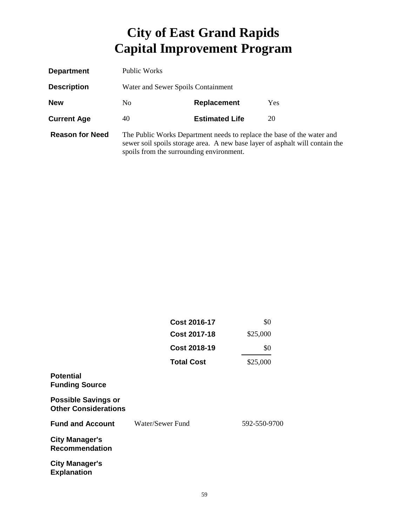| <b>Department</b>      | Public Works                                                                                                                                                                                       |                       |    |  |
|------------------------|----------------------------------------------------------------------------------------------------------------------------------------------------------------------------------------------------|-----------------------|----|--|
| <b>Description</b>     | Water and Sewer Spoils Containment                                                                                                                                                                 |                       |    |  |
| <b>New</b>             | Yes<br>N <sub>0</sub><br><b>Replacement</b>                                                                                                                                                        |                       |    |  |
| <b>Current Age</b>     | 40                                                                                                                                                                                                 | <b>Estimated Life</b> | 20 |  |
| <b>Reason for Need</b> | The Public Works Department needs to replace the base of the water and<br>sewer soil spoils storage area. A new base layer of asphalt will contain the<br>spoils from the surrounding environment. |                       |    |  |

|                                                           | <b>Cost 2016-17</b> | \$0          |
|-----------------------------------------------------------|---------------------|--------------|
|                                                           | <b>Cost 2017-18</b> | \$25,000     |
|                                                           | <b>Cost 2018-19</b> | \$0          |
|                                                           | <b>Total Cost</b>   | \$25,000     |
| <b>Potential</b><br><b>Funding Source</b>                 |                     |              |
| <b>Possible Savings or</b><br><b>Other Considerations</b> |                     |              |
| <b>Fund and Account</b>                                   | Water/Sewer Fund    | 592-550-9700 |
| <b>City Manager's</b><br><b>Recommendation</b>            |                     |              |
| <b>City Manager's</b><br><b>Explanation</b>               |                     |              |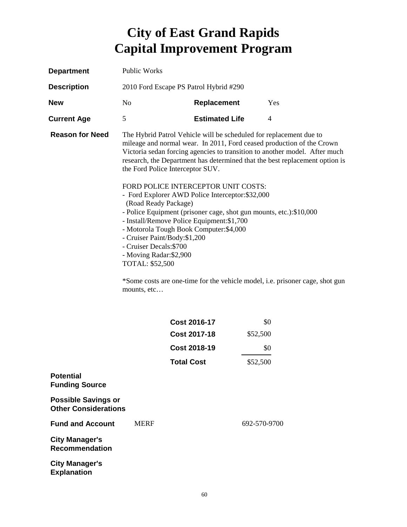| <b>Department</b>                                         | Public Works                                                                                                                                |                                                                                                                                                                                                                                                                                                                                                                  |                |                                                                                                                                                                                                                                                                                                                    |  |
|-----------------------------------------------------------|---------------------------------------------------------------------------------------------------------------------------------------------|------------------------------------------------------------------------------------------------------------------------------------------------------------------------------------------------------------------------------------------------------------------------------------------------------------------------------------------------------------------|----------------|--------------------------------------------------------------------------------------------------------------------------------------------------------------------------------------------------------------------------------------------------------------------------------------------------------------------|--|
| <b>Description</b>                                        | 2010 Ford Escape PS Patrol Hybrid #290                                                                                                      |                                                                                                                                                                                                                                                                                                                                                                  |                |                                                                                                                                                                                                                                                                                                                    |  |
| <b>New</b>                                                | N <sub>0</sub>                                                                                                                              | Replacement                                                                                                                                                                                                                                                                                                                                                      |                | Yes                                                                                                                                                                                                                                                                                                                |  |
| <b>Current Age</b>                                        | 5                                                                                                                                           | <b>Estimated Life</b>                                                                                                                                                                                                                                                                                                                                            | $\overline{4}$ |                                                                                                                                                                                                                                                                                                                    |  |
| <b>Reason for Need</b>                                    | (Road Ready Package)<br>- Cruiser Paint/Body:\$1,200<br>- Cruiser Decals: \$700<br>- Moving Radar:\$2,900<br>TOTAL: \$52,500<br>mounts, etc | The Hybrid Patrol Vehicle will be scheduled for replacement due to<br>the Ford Police Interceptor SUV.<br>FORD POLICE INTERCEPTOR UNIT COSTS:<br>- Ford Explorer AWD Police Interceptor: \$32,000<br>- Police Equipment (prisoner cage, shot gun mounts, etc.):\$10,000<br>- Install/Remove Police Equipment: \$1,700<br>- Motorola Tough Book Computer: \$4,000 |                | mileage and normal wear. In 2011, Ford ceased production of the Crown<br>Victoria sedan forcing agencies to transition to another model. After much<br>research, the Department has determined that the best replacement option is<br>*Some costs are one-time for the vehicle model, i.e. prisoner cage, shot gun |  |
|                                                           |                                                                                                                                             | <b>Cost 2016-17</b>                                                                                                                                                                                                                                                                                                                                              | \$0            |                                                                                                                                                                                                                                                                                                                    |  |
|                                                           |                                                                                                                                             | <b>Cost 2017-18</b>                                                                                                                                                                                                                                                                                                                                              | \$52,500       |                                                                                                                                                                                                                                                                                                                    |  |
|                                                           |                                                                                                                                             | <b>Cost 2018-19</b>                                                                                                                                                                                                                                                                                                                                              | \$0            |                                                                                                                                                                                                                                                                                                                    |  |
|                                                           |                                                                                                                                             | <b>Total Cost</b>                                                                                                                                                                                                                                                                                                                                                | \$52,500       |                                                                                                                                                                                                                                                                                                                    |  |
| <b>Potential</b><br><b>Funding Source</b>                 |                                                                                                                                             |                                                                                                                                                                                                                                                                                                                                                                  |                |                                                                                                                                                                                                                                                                                                                    |  |
| <b>Possible Savings or</b><br><b>Other Considerations</b> |                                                                                                                                             |                                                                                                                                                                                                                                                                                                                                                                  |                |                                                                                                                                                                                                                                                                                                                    |  |
| <b>Fund and Account</b>                                   | <b>MERF</b>                                                                                                                                 |                                                                                                                                                                                                                                                                                                                                                                  | 692-570-9700   |                                                                                                                                                                                                                                                                                                                    |  |
| <b>City Manager's</b><br><b>Recommendation</b>            |                                                                                                                                             |                                                                                                                                                                                                                                                                                                                                                                  |                |                                                                                                                                                                                                                                                                                                                    |  |
| <b>City Manager's</b><br><b>Explanation</b>               |                                                                                                                                             |                                                                                                                                                                                                                                                                                                                                                                  |                |                                                                                                                                                                                                                                                                                                                    |  |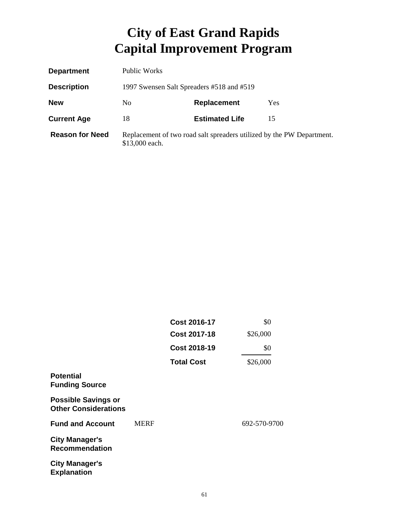| <b>Department</b>      | Public Works                              |                                                                       |     |
|------------------------|-------------------------------------------|-----------------------------------------------------------------------|-----|
| <b>Description</b>     | 1997 Swensen Salt Spreaders #518 and #519 |                                                                       |     |
| <b>New</b>             | N <sub>0</sub>                            | <b>Replacement</b>                                                    | Yes |
| <b>Current Age</b>     | 18                                        | <b>Estimated Life</b>                                                 | 15  |
| <b>Reason for Need</b> | \$13,000 each.                            | Replacement of two road salt spreaders utilized by the PW Department. |     |

|                                                           |             | <b>Cost 2016-17</b> | \$0          |
|-----------------------------------------------------------|-------------|---------------------|--------------|
|                                                           |             | <b>Cost 2017-18</b> | \$26,000     |
|                                                           |             | <b>Cost 2018-19</b> | \$0          |
|                                                           |             | <b>Total Cost</b>   | \$26,000     |
| <b>Potential</b><br><b>Funding Source</b>                 |             |                     |              |
| <b>Possible Savings or</b><br><b>Other Considerations</b> |             |                     |              |
| <b>Fund and Account</b>                                   | <b>MERF</b> |                     | 692-570-9700 |
| <b>City Manager's</b><br><b>Recommendation</b>            |             |                     |              |
| <b>City Manager's</b><br><b>Explanation</b>               |             |                     |              |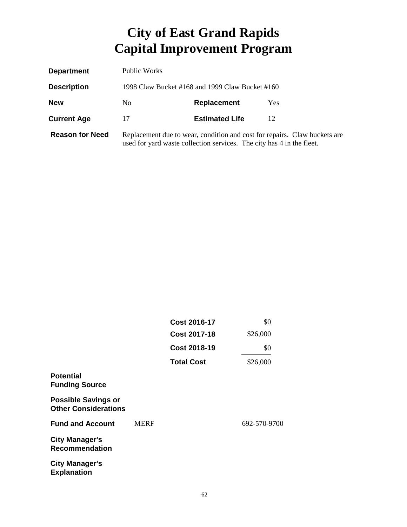| <b>Department</b>      | Public Works                                    |                                                                       |                                                                           |
|------------------------|-------------------------------------------------|-----------------------------------------------------------------------|---------------------------------------------------------------------------|
| <b>Description</b>     | 1998 Claw Bucket #168 and 1999 Claw Bucket #160 |                                                                       |                                                                           |
| <b>New</b>             | No.                                             | <b>Replacement</b>                                                    | <b>Yes</b>                                                                |
| <b>Current Age</b>     | 17                                              | <b>Estimated Life</b>                                                 | 12                                                                        |
| <b>Reason for Need</b> |                                                 | used for yard waste collection services. The city has 4 in the fleet. | Replacement due to wear, condition and cost for repairs. Claw buckets are |

|                                                           |             | <b>Cost 2016-17</b> | \$0          |
|-----------------------------------------------------------|-------------|---------------------|--------------|
|                                                           |             | <b>Cost 2017-18</b> | \$26,000     |
|                                                           |             | <b>Cost 2018-19</b> | \$0          |
|                                                           |             | <b>Total Cost</b>   | \$26,000     |
| <b>Potential</b><br><b>Funding Source</b>                 |             |                     |              |
| <b>Possible Savings or</b><br><b>Other Considerations</b> |             |                     |              |
| <b>Fund and Account</b>                                   | <b>MERF</b> |                     | 692-570-9700 |
| <b>City Manager's</b><br><b>Recommendation</b>            |             |                     |              |
| <b>City Manager's</b><br><b>Explanation</b>               |             |                     |              |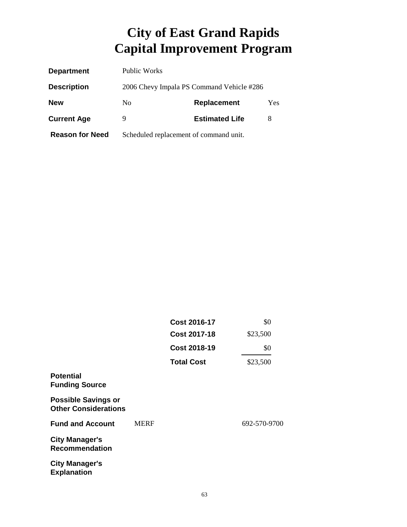| <b>Department</b>      | Public Works                              |                       |     |
|------------------------|-------------------------------------------|-----------------------|-----|
| <b>Description</b>     | 2006 Chevy Impala PS Command Vehicle #286 |                       |     |
| <b>New</b>             | N <sub>0</sub>                            | <b>Replacement</b>    | Yes |
| <b>Current Age</b>     | 9                                         | <b>Estimated Life</b> | 8   |
| <b>Reason for Need</b> | Scheduled replacement of command unit.    |                       |     |

|                                                           |             | <b>Cost 2016-17</b>                        | \$0          |
|-----------------------------------------------------------|-------------|--------------------------------------------|--------------|
|                                                           |             | <b>Cost 2017-18</b><br><b>Cost 2018-19</b> | \$23,500     |
|                                                           |             |                                            | \$0          |
|                                                           |             | <b>Total Cost</b>                          | \$23,500     |
| <b>Potential</b><br><b>Funding Source</b>                 |             |                                            |              |
| <b>Possible Savings or</b><br><b>Other Considerations</b> |             |                                            |              |
| <b>Fund and Account</b>                                   | <b>MERF</b> |                                            | 692-570-9700 |
| <b>City Manager's</b><br><b>Recommendation</b>            |             |                                            |              |
| <b>City Manager's</b><br><b>Explanation</b>               |             |                                            |              |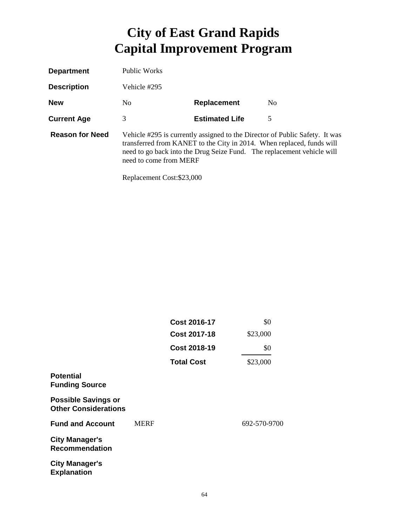| <b>Department</b>      | <b>Public Works</b>    |                       |                                                                                                                                                                                                                                |
|------------------------|------------------------|-----------------------|--------------------------------------------------------------------------------------------------------------------------------------------------------------------------------------------------------------------------------|
| <b>Description</b>     | Vehicle #295           |                       |                                                                                                                                                                                                                                |
| <b>New</b>             | No.                    | <b>Replacement</b>    | N <sub>0</sub>                                                                                                                                                                                                                 |
| <b>Current Age</b>     | 3                      | <b>Estimated Life</b> | 5                                                                                                                                                                                                                              |
| <b>Reason for Need</b> | need to come from MERF |                       | Vehicle #295 is currently assigned to the Director of Public Safety. It was<br>transferred from KANET to the City in 2014. When replaced, funds will<br>need to go back into the Drug Seize Fund. The replacement vehicle will |

Replacement Cost:\$23,000

|                                                           |             | <b>Cost 2016-17</b><br><b>Cost 2017-18</b><br><b>Cost 2018-19</b> | \$0<br>\$23,000 |
|-----------------------------------------------------------|-------------|-------------------------------------------------------------------|-----------------|
|                                                           |             |                                                                   |                 |
|                                                           |             |                                                                   | \$0             |
|                                                           |             | <b>Total Cost</b>                                                 | \$23,000        |
| <b>Potential</b><br><b>Funding Source</b>                 |             |                                                                   |                 |
| <b>Possible Savings or</b><br><b>Other Considerations</b> |             |                                                                   |                 |
| <b>Fund and Account</b>                                   | <b>MERF</b> |                                                                   | 692-570-9700    |
| <b>City Manager's</b><br><b>Recommendation</b>            |             |                                                                   |                 |
| <b>City Manager's</b><br><b>Explanation</b>               |             |                                                                   |                 |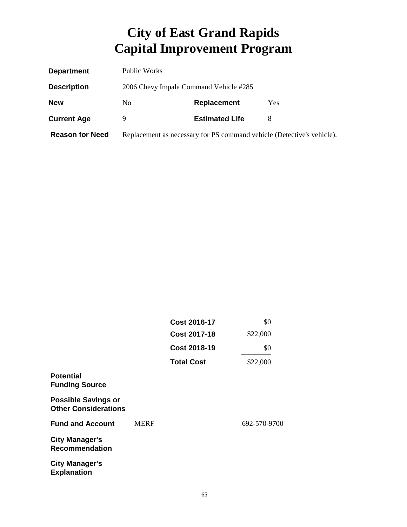| <b>Department</b>      | Public Works   |                                        |                                                                        |
|------------------------|----------------|----------------------------------------|------------------------------------------------------------------------|
| <b>Description</b>     |                | 2006 Chevy Impala Command Vehicle #285 |                                                                        |
| <b>New</b>             | N <sub>0</sub> | <b>Replacement</b>                     | Yes                                                                    |
| <b>Current Age</b>     |                | <b>Estimated Life</b>                  | 8                                                                      |
| <b>Reason for Need</b> |                |                                        | Replacement as necessary for PS command vehicle (Detective's vehicle). |

|                                                           |             | <b>Cost 2016-17</b>                        | \$0          |
|-----------------------------------------------------------|-------------|--------------------------------------------|--------------|
|                                                           |             | <b>Cost 2017-18</b><br><b>Cost 2018-19</b> | \$22,000     |
|                                                           |             |                                            | \$0          |
|                                                           |             | <b>Total Cost</b>                          | \$22,000     |
| <b>Potential</b><br><b>Funding Source</b>                 |             |                                            |              |
| <b>Possible Savings or</b><br><b>Other Considerations</b> |             |                                            |              |
| <b>Fund and Account</b>                                   | <b>MERF</b> |                                            | 692-570-9700 |
| <b>City Manager's</b><br><b>Recommendation</b>            |             |                                            |              |
| <b>City Manager's</b><br><b>Explanation</b>               |             |                                            |              |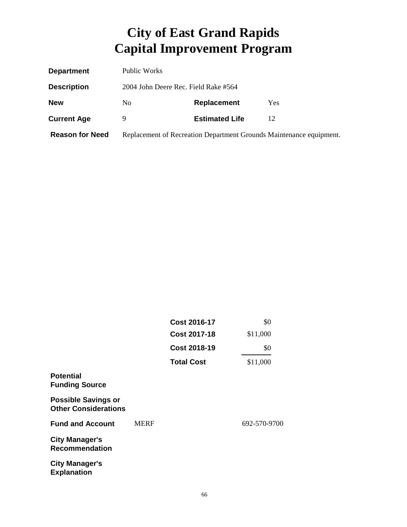| <b>Department</b>      | Public Works                         |                       |                                                                     |
|------------------------|--------------------------------------|-----------------------|---------------------------------------------------------------------|
| <b>Description</b>     | 2004 John Deere Rec. Field Rake #564 |                       |                                                                     |
| <b>New</b>             | No                                   | Replacement           | Yes                                                                 |
| <b>Current Age</b>     | 9                                    | <b>Estimated Life</b> | 12                                                                  |
| <b>Reason for Need</b> |                                      |                       | Replacement of Recreation Department Grounds Maintenance equipment. |

|                                                           |             | <b>Cost 2016-17</b><br><b>Cost 2017-18</b><br><b>Cost 2018-19</b><br><b>Total Cost</b> | \$0<br>\$11,000 |
|-----------------------------------------------------------|-------------|----------------------------------------------------------------------------------------|-----------------|
|                                                           |             |                                                                                        |                 |
|                                                           |             |                                                                                        | \$0             |
|                                                           |             |                                                                                        | \$11,000        |
| <b>Potential</b><br><b>Funding Source</b>                 |             |                                                                                        |                 |
| <b>Possible Savings or</b><br><b>Other Considerations</b> |             |                                                                                        |                 |
| <b>Fund and Account</b>                                   | <b>MERF</b> |                                                                                        | 692-570-9700    |
| <b>City Manager's</b><br><b>Recommendation</b>            |             |                                                                                        |                 |
| <b>City Manager's</b><br><b>Explanation</b>               |             |                                                                                        |                 |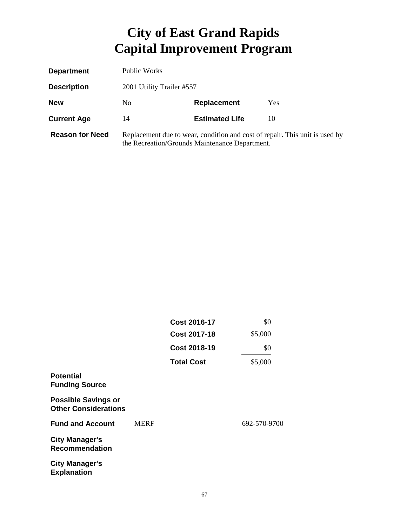| <b>Department</b>      | Public Works              |                                                |                                                                             |
|------------------------|---------------------------|------------------------------------------------|-----------------------------------------------------------------------------|
| <b>Description</b>     | 2001 Utility Trailer #557 |                                                |                                                                             |
| <b>New</b>             | N <sub>0</sub>            | Replacement                                    | <b>Yes</b>                                                                  |
| <b>Current Age</b>     | 14                        | <b>Estimated Life</b>                          | 10                                                                          |
| <b>Reason for Need</b> |                           | the Recreation/Grounds Maintenance Department. | Replacement due to wear, condition and cost of repair. This unit is used by |

|                                                           |             | <b>Cost 2016-17</b> | \$0          |
|-----------------------------------------------------------|-------------|---------------------|--------------|
|                                                           |             | <b>Cost 2017-18</b> | \$5,000      |
|                                                           |             | <b>Cost 2018-19</b> | \$0          |
|                                                           |             | <b>Total Cost</b>   | \$5,000      |
| <b>Potential</b><br><b>Funding Source</b>                 |             |                     |              |
| <b>Possible Savings or</b><br><b>Other Considerations</b> |             |                     |              |
| <b>Fund and Account</b>                                   | <b>MERF</b> |                     | 692-570-9700 |
| <b>City Manager's</b><br><b>Recommendation</b>            |             |                     |              |
| <b>City Manager's</b><br><b>Explanation</b>               |             |                     |              |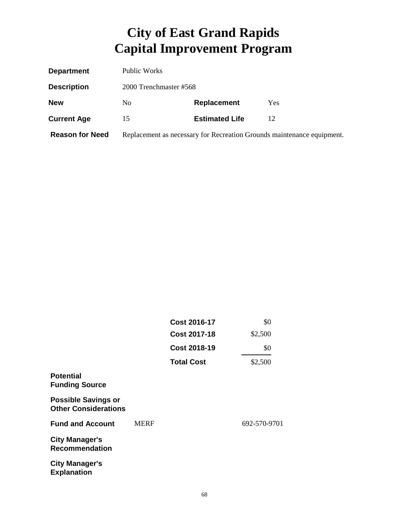| <b>Department</b>      | Public Works           |                       |                                                                        |
|------------------------|------------------------|-----------------------|------------------------------------------------------------------------|
| <b>Description</b>     | 2000 Trenchmaster #568 |                       |                                                                        |
| <b>New</b>             | N <sub>0</sub>         | <b>Replacement</b>    | Yes                                                                    |
| <b>Current Age</b>     | 15                     | <b>Estimated Life</b> | 12                                                                     |
| <b>Reason for Need</b> |                        |                       | Replacement as necessary for Recreation Grounds maintenance equipment. |

|                                                           |             | <b>Cost 2016-17</b> | \$0          |
|-----------------------------------------------------------|-------------|---------------------|--------------|
|                                                           |             | <b>Cost 2017-18</b> | \$2,500      |
|                                                           |             | <b>Cost 2018-19</b> | \$0          |
|                                                           |             | <b>Total Cost</b>   | \$2,500      |
| <b>Potential</b><br><b>Funding Source</b>                 |             |                     |              |
| <b>Possible Savings or</b><br><b>Other Considerations</b> |             |                     |              |
| <b>Fund and Account</b>                                   | <b>MERF</b> |                     | 692-570-9701 |
| <b>City Manager's</b><br><b>Recommendation</b>            |             |                     |              |
| <b>City Manager's</b><br><b>Explanation</b>               |             |                     |              |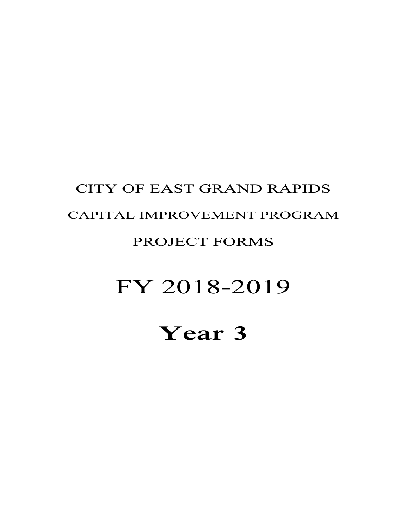## **Year 3**

# FY 2018-2019

#### PROJECT FORMS

## CAPITAL IMPROVEMENT PROGRAM

CITY OF EAST GRAND RAPIDS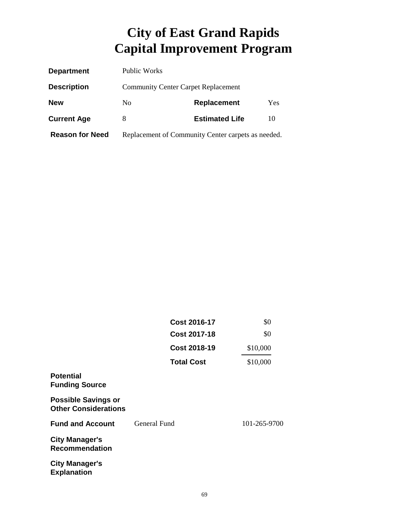| <b>Department</b>      | Public Works                                       |                       |     |
|------------------------|----------------------------------------------------|-----------------------|-----|
| <b>Description</b>     | <b>Community Center Carpet Replacement</b>         |                       |     |
| <b>New</b>             | N <sub>0</sub>                                     | Replacement           | Yes |
| <b>Current Age</b>     | 8                                                  | <b>Estimated Life</b> | 10  |
| <b>Reason for Need</b> | Replacement of Community Center carpets as needed. |                       |     |

|                                                           | <b>Cost 2016-17</b> | \$0          |
|-----------------------------------------------------------|---------------------|--------------|
|                                                           | <b>Cost 2017-18</b> | \$0          |
|                                                           | <b>Cost 2018-19</b> | \$10,000     |
|                                                           | <b>Total Cost</b>   | \$10,000     |
| <b>Potential</b><br><b>Funding Source</b>                 |                     |              |
| <b>Possible Savings or</b><br><b>Other Considerations</b> |                     |              |
| <b>Fund and Account</b>                                   | General Fund        | 101-265-9700 |
| <b>City Manager's</b><br><b>Recommendation</b>            |                     |              |
| <b>City Manager's</b><br><b>Explanation</b>               |                     |              |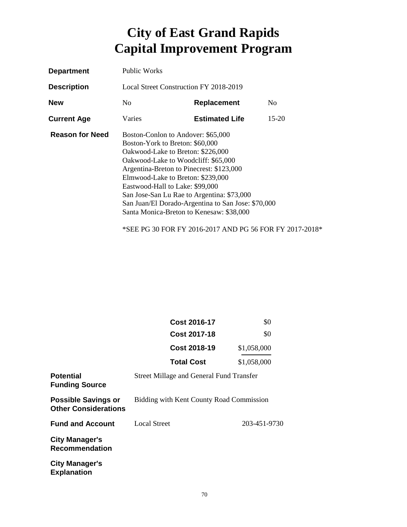| <b>Department</b>      | <b>Public Works</b>                                                                                                                                                                                                                                                                                                                                                                                                   |                       |                |
|------------------------|-----------------------------------------------------------------------------------------------------------------------------------------------------------------------------------------------------------------------------------------------------------------------------------------------------------------------------------------------------------------------------------------------------------------------|-----------------------|----------------|
| <b>Description</b>     | Local Street Construction FY 2018-2019                                                                                                                                                                                                                                                                                                                                                                                |                       |                |
| <b>New</b>             | No.                                                                                                                                                                                                                                                                                                                                                                                                                   | <b>Replacement</b>    | N <sub>0</sub> |
| <b>Current Age</b>     | Varies                                                                                                                                                                                                                                                                                                                                                                                                                | <b>Estimated Life</b> | $15-20$        |
| <b>Reason for Need</b> | Boston-Conlon to Andover: \$65,000<br>Boston-York to Breton: \$60,000<br>Oakwood-Lake to Breton: \$226,000<br>Oakwood-Lake to Woodcliff: \$65,000<br>Argentina-Breton to Pinecrest: \$123,000<br>Elmwood-Lake to Breton: \$239,000<br>Eastwood-Hall to Lake: \$99,000<br>San Jose-San Lu Rae to Argentina: \$73,000<br>San Juan/El Dorado-Argentina to San Jose: \$70,000<br>Santa Monica-Breton to Kenesaw: \$38,000 |                       |                |

\*SEE PG 30 FOR FY 2016-2017 AND PG 56 FOR FY 2017-2018\*

|                                                           | <b>Cost 2016-17</b>                             | \$0          |
|-----------------------------------------------------------|-------------------------------------------------|--------------|
|                                                           | <b>Cost 2017-18</b>                             | \$0          |
|                                                           | <b>Cost 2018-19</b>                             | \$1,058,000  |
|                                                           | <b>Total Cost</b>                               | \$1,058,000  |
| <b>Potential</b><br><b>Funding Source</b>                 | <b>Street Millage and General Fund Transfer</b> |              |
| <b>Possible Savings or</b><br><b>Other Considerations</b> | Bidding with Kent County Road Commission        |              |
| <b>Fund and Account</b>                                   | Local Street                                    | 203-451-9730 |
| <b>City Manager's</b><br><b>Recommendation</b>            |                                                 |              |
| <b>City Manager's</b><br><b>Explanation</b>               |                                                 |              |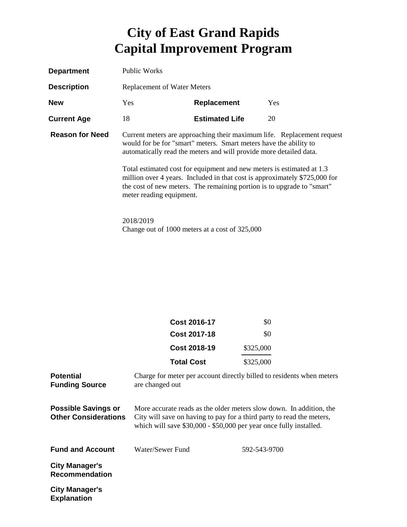| <b>Department</b>      | <b>Public Works</b>                                                                                                                                                                                                                                                                                                                                                                                                                                                            |                       |            |
|------------------------|--------------------------------------------------------------------------------------------------------------------------------------------------------------------------------------------------------------------------------------------------------------------------------------------------------------------------------------------------------------------------------------------------------------------------------------------------------------------------------|-----------------------|------------|
| <b>Description</b>     | <b>Replacement of Water Meters</b>                                                                                                                                                                                                                                                                                                                                                                                                                                             |                       |            |
| <b>New</b>             | <b>Yes</b>                                                                                                                                                                                                                                                                                                                                                                                                                                                                     | Replacement           | <b>Yes</b> |
| <b>Current Age</b>     | 18                                                                                                                                                                                                                                                                                                                                                                                                                                                                             | <b>Estimated Life</b> | 20         |
| <b>Reason for Need</b> | Current meters are approaching their maximum life. Replacement request<br>would for be for "smart" meters. Smart meters have the ability to<br>automatically read the meters and will provide more detailed data.<br>Total estimated cost for equipment and new meters is estimated at 1.3<br>million over 4 years. Included in that cost is approximately \$725,000 for<br>the cost of new meters. The remaining portion is to upgrade to "smart"<br>meter reading equipment. |                       |            |
|                        | 2018/2019<br>Change out of 1000 meters at a cost of 325,000                                                                                                                                                                                                                                                                                                                                                                                                                    |                       |            |

|                                                           | <b>Cost 2016-17</b>                                                | \$0                                                                                                                                          |
|-----------------------------------------------------------|--------------------------------------------------------------------|----------------------------------------------------------------------------------------------------------------------------------------------|
|                                                           | <b>Cost 2017-18</b>                                                | \$0                                                                                                                                          |
|                                                           | <b>Cost 2018-19</b>                                                | \$325,000                                                                                                                                    |
|                                                           | <b>Total Cost</b>                                                  | \$325,000                                                                                                                                    |
| <b>Potential</b><br><b>Funding Source</b>                 | are changed out                                                    | Charge for meter per account directly billed to residents when meters                                                                        |
| <b>Possible Savings or</b><br><b>Other Considerations</b> | which will save \$30,000 - \$50,000 per year once fully installed. | More accurate reads as the older meters slow down. In addition, the<br>City will save on having to pay for a third party to read the meters, |
| <b>Fund and Account</b>                                   | Water/Sewer Fund                                                   | 592-543-9700                                                                                                                                 |
| <b>City Manager's</b><br><b>Recommendation</b>            |                                                                    |                                                                                                                                              |
| <b>City Manager's</b><br><b>Explanation</b>               |                                                                    |                                                                                                                                              |